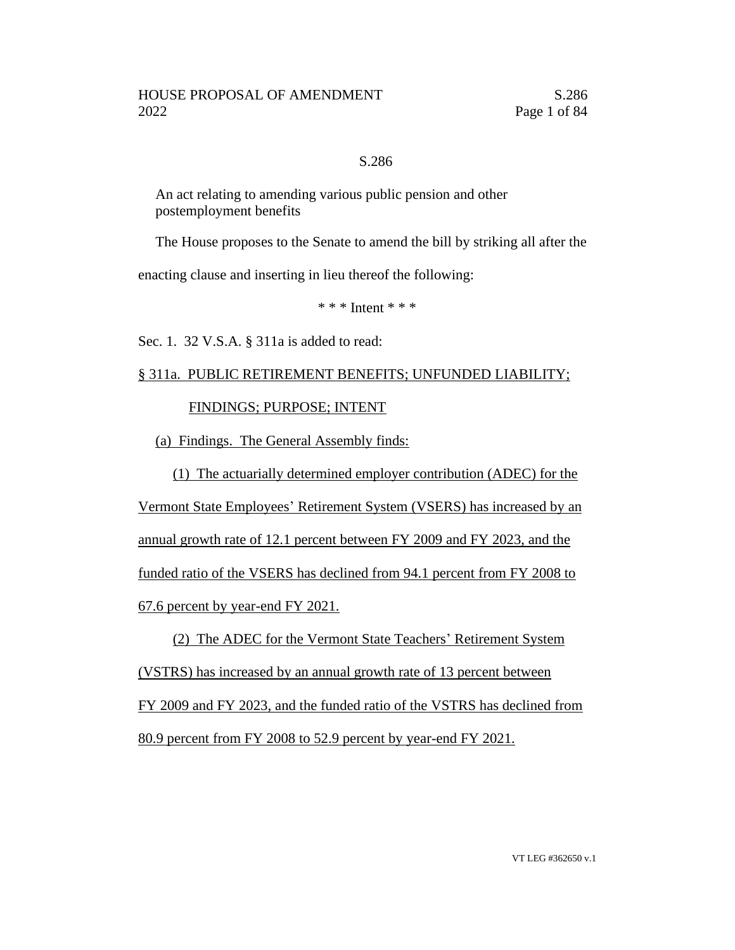#### S.286

An act relating to amending various public pension and other postemployment benefits

The House proposes to the Senate to amend the bill by striking all after the

enacting clause and inserting in lieu thereof the following:

 $* * *$  Intent \* \* \*

Sec. 1. 32 V.S.A. § 311a is added to read:

# § 311a. PUBLIC RETIREMENT BENEFITS; UNFUNDED LIABILITY;

### FINDINGS; PURPOSE; INTENT

(a) Findings. The General Assembly finds:

(1) The actuarially determined employer contribution (ADEC) for the Vermont State Employees' Retirement System (VSERS) has increased by an annual growth rate of 12.1 percent between FY 2009 and FY 2023, and the funded ratio of the VSERS has declined from 94.1 percent from FY 2008 to 67.6 percent by year-end FY 2021.

(2) The ADEC for the Vermont State Teachers' Retirement System (VSTRS) has increased by an annual growth rate of 13 percent between FY 2009 and FY 2023, and the funded ratio of the VSTRS has declined from 80.9 percent from FY 2008 to 52.9 percent by year-end FY 2021.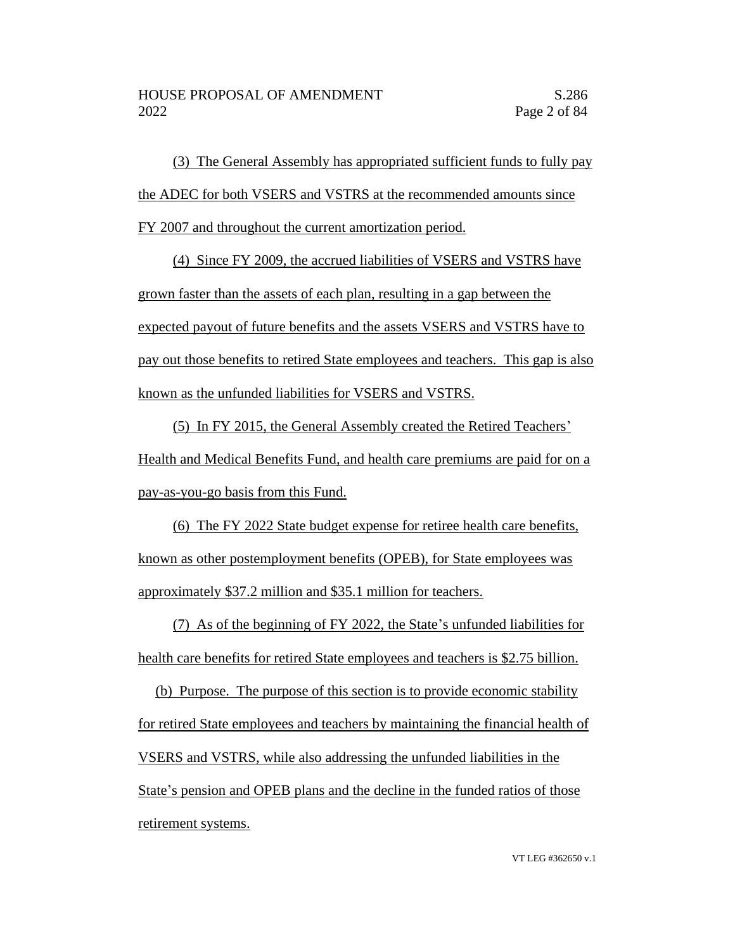(3) The General Assembly has appropriated sufficient funds to fully pay the ADEC for both VSERS and VSTRS at the recommended amounts since FY 2007 and throughout the current amortization period.

(4) Since FY 2009, the accrued liabilities of VSERS and VSTRS have grown faster than the assets of each plan, resulting in a gap between the expected payout of future benefits and the assets VSERS and VSTRS have to pay out those benefits to retired State employees and teachers. This gap is also known as the unfunded liabilities for VSERS and VSTRS.

(5) In FY 2015, the General Assembly created the Retired Teachers' Health and Medical Benefits Fund, and health care premiums are paid for on a pay-as-you-go basis from this Fund.

(6) The FY 2022 State budget expense for retiree health care benefits, known as other postemployment benefits (OPEB), for State employees was approximately \$37.2 million and \$35.1 million for teachers.

(7) As of the beginning of FY 2022, the State's unfunded liabilities for health care benefits for retired State employees and teachers is \$2.75 billion.

(b) Purpose. The purpose of this section is to provide economic stability for retired State employees and teachers by maintaining the financial health of VSERS and VSTRS, while also addressing the unfunded liabilities in the State's pension and OPEB plans and the decline in the funded ratios of those retirement systems.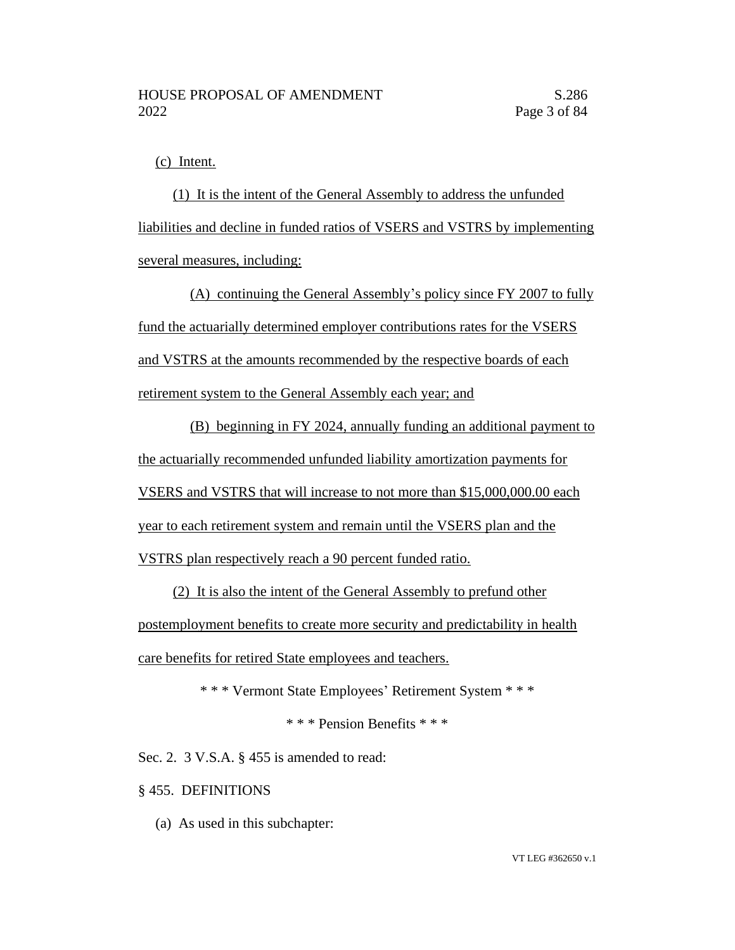(c) Intent.

(1) It is the intent of the General Assembly to address the unfunded liabilities and decline in funded ratios of VSERS and VSTRS by implementing several measures, including:

(A) continuing the General Assembly's policy since FY 2007 to fully fund the actuarially determined employer contributions rates for the VSERS and VSTRS at the amounts recommended by the respective boards of each retirement system to the General Assembly each year; and

(B) beginning in FY 2024, annually funding an additional payment to the actuarially recommended unfunded liability amortization payments for VSERS and VSTRS that will increase to not more than \$15,000,000.00 each year to each retirement system and remain until the VSERS plan and the VSTRS plan respectively reach a 90 percent funded ratio.

(2) It is also the intent of the General Assembly to prefund other postemployment benefits to create more security and predictability in health care benefits for retired State employees and teachers.

\* \* \* Vermont State Employees' Retirement System \* \* \*

\* \* \* Pension Benefits \* \* \*

Sec. 2. 3 V.S.A. § 455 is amended to read:

§ 455. DEFINITIONS

(a) As used in this subchapter: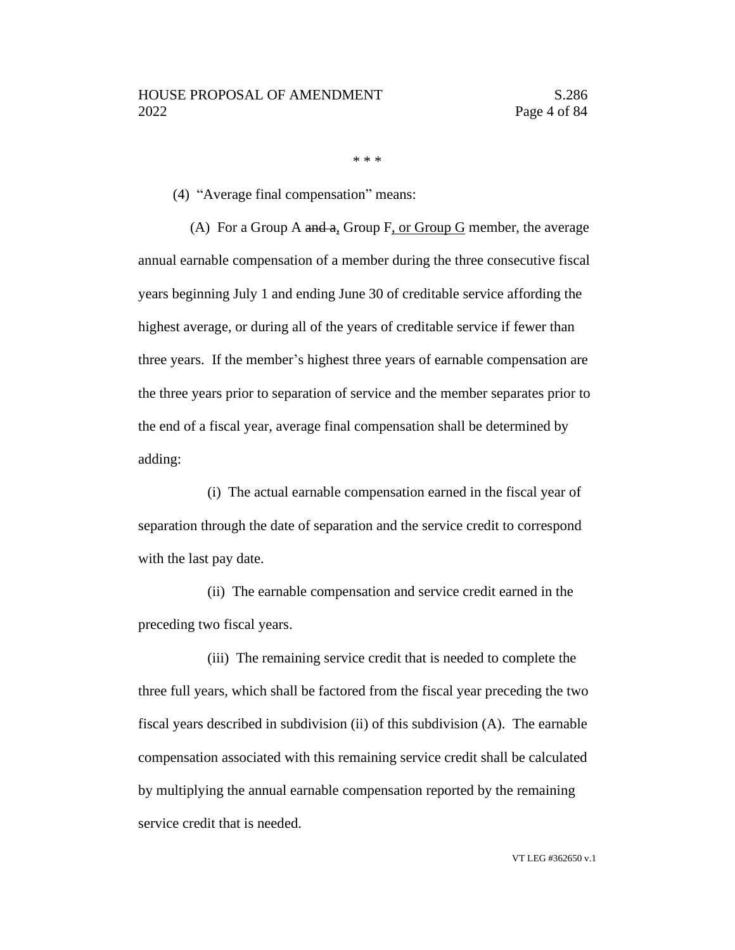\* \* \*

(4) "Average final compensation" means:

(A) For a Group A and a, Group F, or Group G member, the average annual earnable compensation of a member during the three consecutive fiscal years beginning July 1 and ending June 30 of creditable service affording the highest average, or during all of the years of creditable service if fewer than three years. If the member's highest three years of earnable compensation are the three years prior to separation of service and the member separates prior to the end of a fiscal year, average final compensation shall be determined by adding:

(i) The actual earnable compensation earned in the fiscal year of separation through the date of separation and the service credit to correspond with the last pay date.

(ii) The earnable compensation and service credit earned in the preceding two fiscal years.

(iii) The remaining service credit that is needed to complete the three full years, which shall be factored from the fiscal year preceding the two fiscal years described in subdivision (ii) of this subdivision (A). The earnable compensation associated with this remaining service credit shall be calculated by multiplying the annual earnable compensation reported by the remaining service credit that is needed.

VT LEG #362650 v.1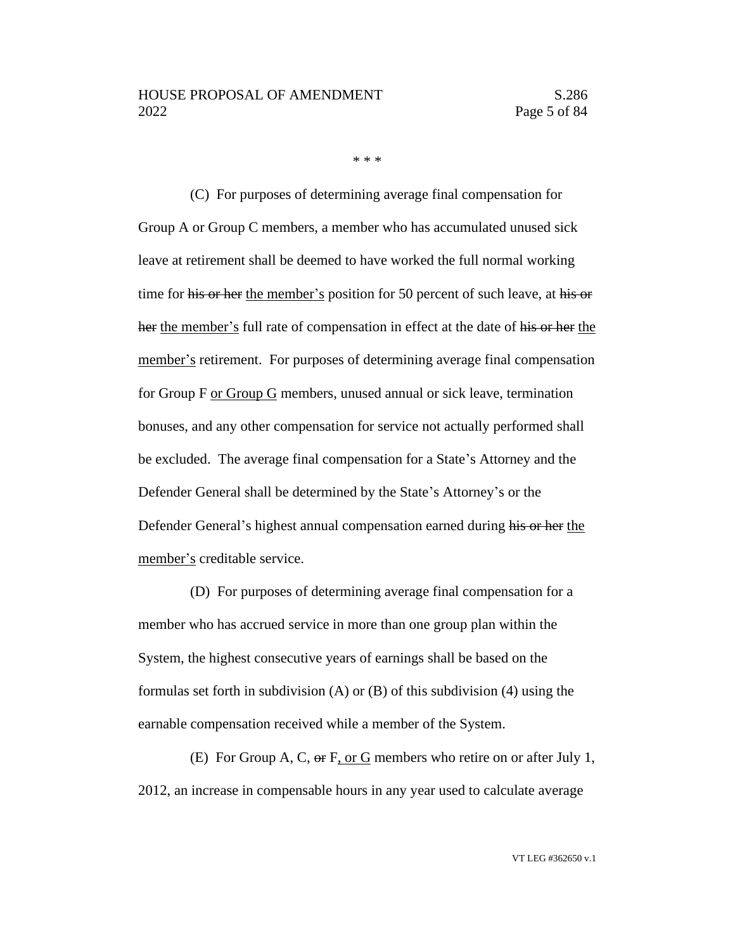\* \* \*

(C) For purposes of determining average final compensation for Group A or Group C members, a member who has accumulated unused sick leave at retirement shall be deemed to have worked the full normal working time for his or her the member's position for 50 percent of such leave, at his or her the member's full rate of compensation in effect at the date of his or her the member's retirement. For purposes of determining average final compensation for Group F or Group G members, unused annual or sick leave, termination bonuses, and any other compensation for service not actually performed shall be excluded. The average final compensation for a State's Attorney and the Defender General shall be determined by the State's Attorney's or the Defender General's highest annual compensation earned during his or her the member's creditable service.

(D) For purposes of determining average final compensation for a member who has accrued service in more than one group plan within the System, the highest consecutive years of earnings shall be based on the formulas set forth in subdivision (A) or (B) of this subdivision (4) using the earnable compensation received while a member of the System.

(E) For Group A, C,  $\Theta$  F, or G members who retire on or after July 1, 2012, an increase in compensable hours in any year used to calculate average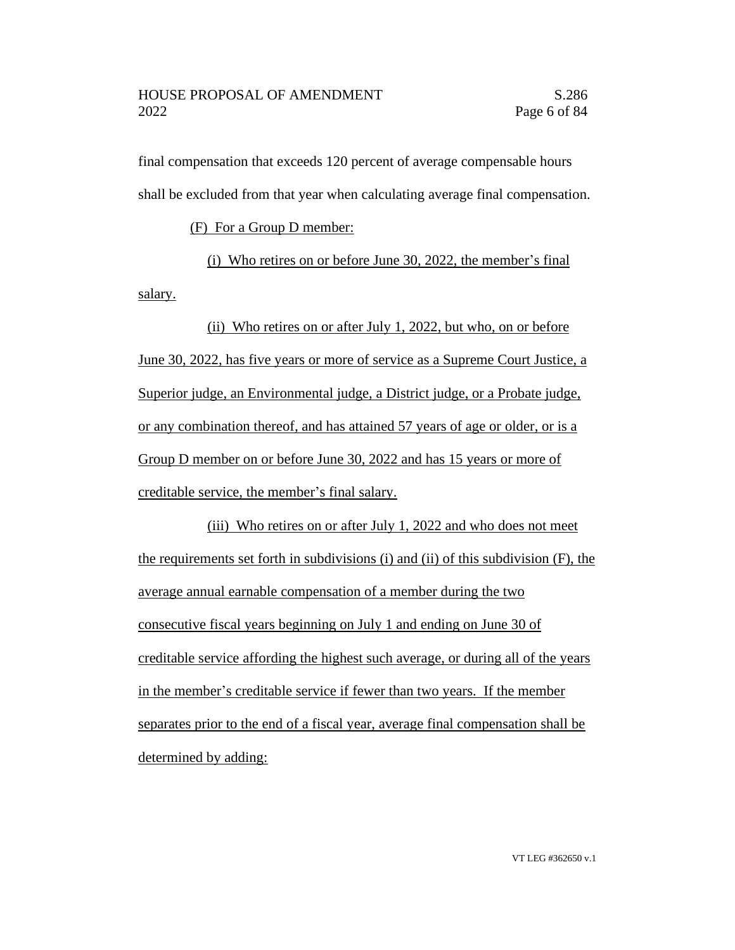final compensation that exceeds 120 percent of average compensable hours shall be excluded from that year when calculating average final compensation.

(F) For a Group D member:

(i) Who retires on or before June 30, 2022, the member's final salary.

(ii) Who retires on or after July 1, 2022, but who, on or before June 30, 2022, has five years or more of service as a Supreme Court Justice, a Superior judge, an Environmental judge, a District judge, or a Probate judge, or any combination thereof, and has attained 57 years of age or older, or is a Group D member on or before June 30, 2022 and has 15 years or more of creditable service, the member's final salary.

(iii) Who retires on or after July 1, 2022 and who does not meet the requirements set forth in subdivisions (i) and (ii) of this subdivision (F), the average annual earnable compensation of a member during the two consecutive fiscal years beginning on July 1 and ending on June 30 of creditable service affording the highest such average, or during all of the years in the member's creditable service if fewer than two years. If the member separates prior to the end of a fiscal year, average final compensation shall be determined by adding: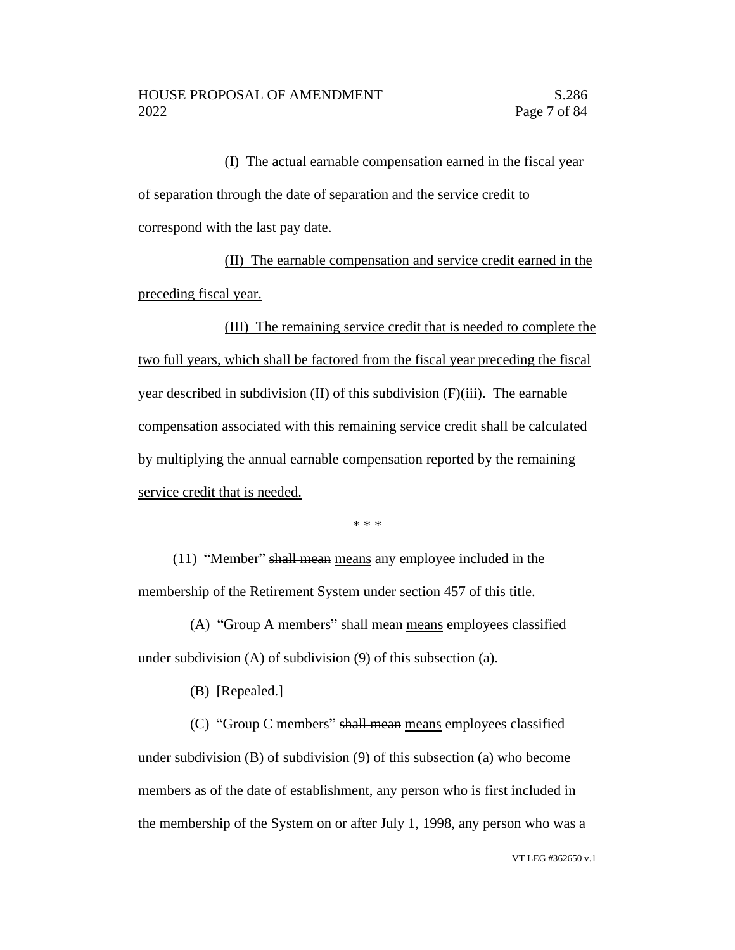(I) The actual earnable compensation earned in the fiscal year of separation through the date of separation and the service credit to correspond with the last pay date.

(II) The earnable compensation and service credit earned in the preceding fiscal year.

(III) The remaining service credit that is needed to complete the two full years, which shall be factored from the fiscal year preceding the fiscal year described in subdivision (II) of this subdivision (F)(iii). The earnable compensation associated with this remaining service credit shall be calculated by multiplying the annual earnable compensation reported by the remaining service credit that is needed.

\* \* \*

(11) "Member" shall mean means any employee included in the membership of the Retirement System under section 457 of this title.

(A) "Group A members" shall mean means employees classified under subdivision (A) of subdivision (9) of this subsection (a).

(B) [Repealed.]

(C) "Group C members" shall mean means employees classified under subdivision (B) of subdivision (9) of this subsection (a) who become members as of the date of establishment, any person who is first included in the membership of the System on or after July 1, 1998, any person who was a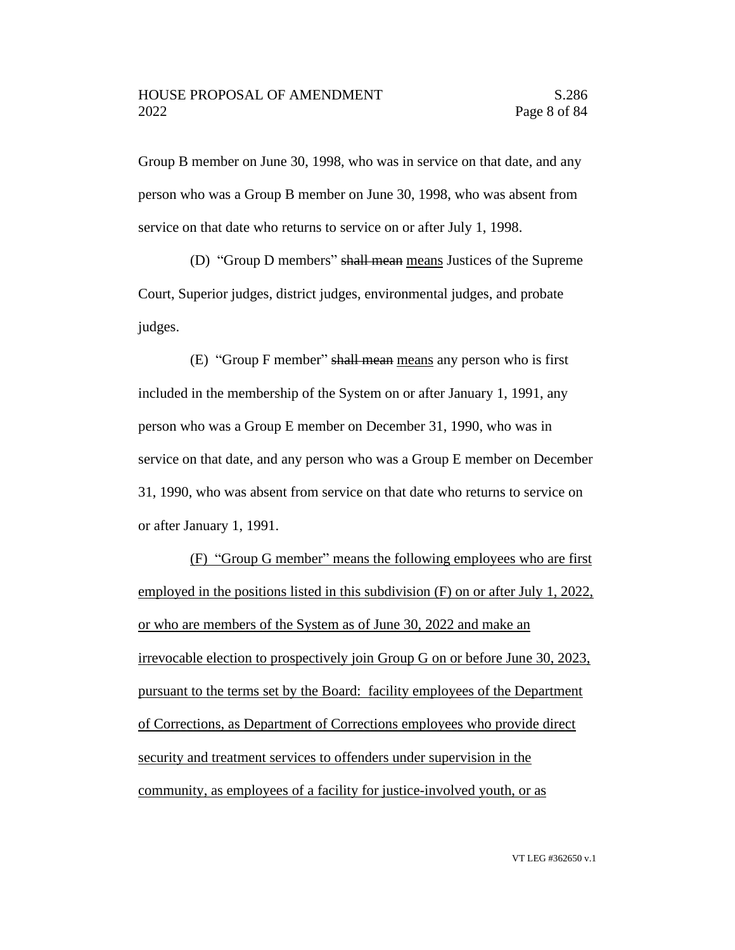Group B member on June 30, 1998, who was in service on that date, and any person who was a Group B member on June 30, 1998, who was absent from service on that date who returns to service on or after July 1, 1998.

(D) "Group D members" shall mean means Justices of the Supreme Court, Superior judges, district judges, environmental judges, and probate judges.

(E) "Group F member" shall mean means any person who is first included in the membership of the System on or after January 1, 1991, any person who was a Group E member on December 31, 1990, who was in service on that date, and any person who was a Group E member on December 31, 1990, who was absent from service on that date who returns to service on or after January 1, 1991.

(F) "Group G member" means the following employees who are first employed in the positions listed in this subdivision (F) on or after July 1, 2022, or who are members of the System as of June 30, 2022 and make an irrevocable election to prospectively join Group G on or before June 30, 2023, pursuant to the terms set by the Board: facility employees of the Department of Corrections, as Department of Corrections employees who provide direct security and treatment services to offenders under supervision in the community, as employees of a facility for justice-involved youth, or as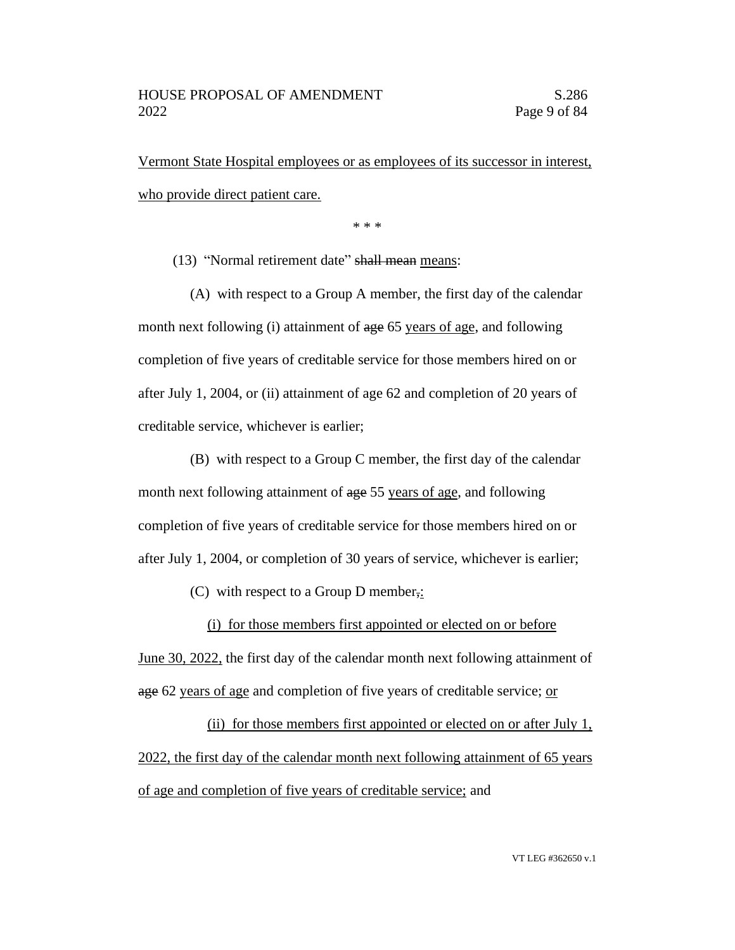Vermont State Hospital employees or as employees of its successor in interest, who provide direct patient care.

\* \* \*

(13) "Normal retirement date" shall mean means:

(A) with respect to a Group A member, the first day of the calendar month next following (i) attainment of age 65 years of age, and following completion of five years of creditable service for those members hired on or after July 1, 2004, or (ii) attainment of age 62 and completion of 20 years of creditable service, whichever is earlier;

(B) with respect to a Group C member, the first day of the calendar month next following attainment of age 55 years of age, and following completion of five years of creditable service for those members hired on or after July 1, 2004, or completion of 30 years of service, whichever is earlier;

(C) with respect to a Group D member,:

(i) for those members first appointed or elected on or before

June 30, 2022, the first day of the calendar month next following attainment of age 62 years of age and completion of five years of creditable service; or

(ii) for those members first appointed or elected on or after July 1, 2022, the first day of the calendar month next following attainment of 65 years of age and completion of five years of creditable service; and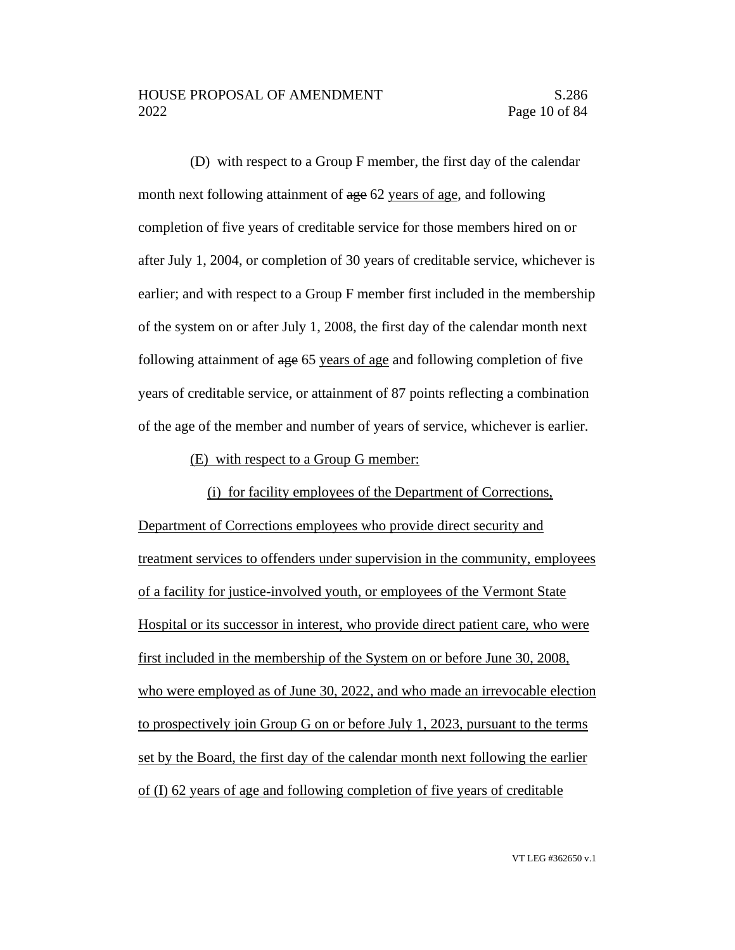(D) with respect to a Group F member, the first day of the calendar month next following attainment of age 62 years of age, and following completion of five years of creditable service for those members hired on or after July 1, 2004, or completion of 30 years of creditable service, whichever is earlier; and with respect to a Group F member first included in the membership of the system on or after July 1, 2008, the first day of the calendar month next following attainment of age 65 years of age and following completion of five years of creditable service, or attainment of 87 points reflecting a combination of the age of the member and number of years of service, whichever is earlier.

#### (E) with respect to a Group G member:

(i) for facility employees of the Department of Corrections, Department of Corrections employees who provide direct security and treatment services to offenders under supervision in the community, employees of a facility for justice-involved youth, or employees of the Vermont State Hospital or its successor in interest, who provide direct patient care, who were first included in the membership of the System on or before June 30, 2008, who were employed as of June 30, 2022, and who made an irrevocable election to prospectively join Group G on or before July 1, 2023, pursuant to the terms set by the Board, the first day of the calendar month next following the earlier of (I) 62 years of age and following completion of five years of creditable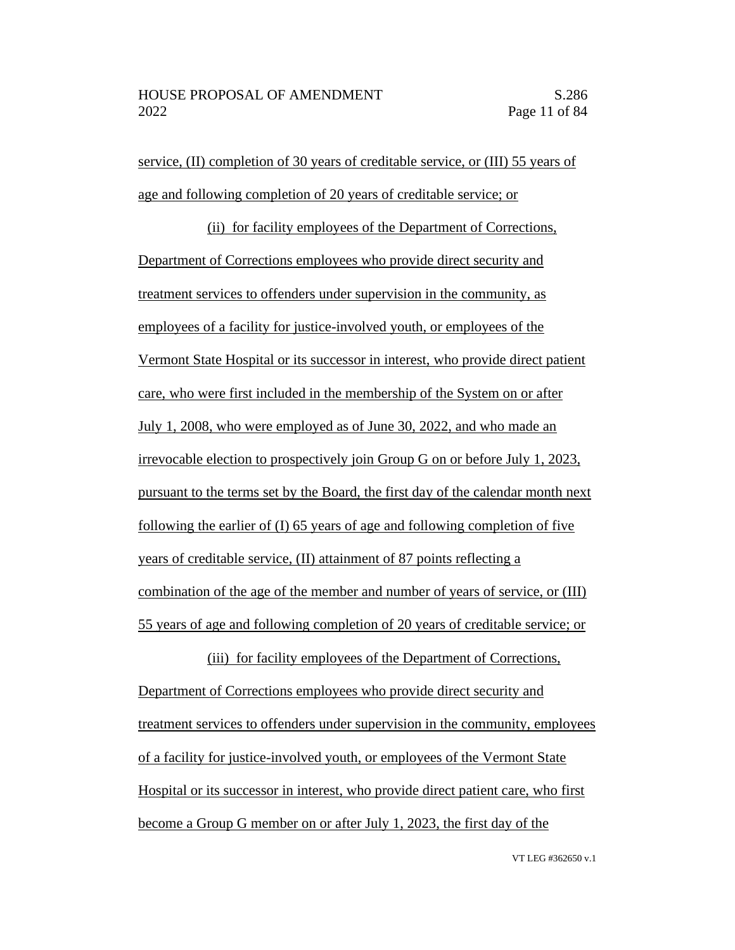service, (II) completion of 30 years of creditable service, or (III) 55 years of age and following completion of 20 years of creditable service; or

(ii) for facility employees of the Department of Corrections, Department of Corrections employees who provide direct security and treatment services to offenders under supervision in the community, as employees of a facility for justice-involved youth, or employees of the Vermont State Hospital or its successor in interest, who provide direct patient care, who were first included in the membership of the System on or after July 1, 2008, who were employed as of June 30, 2022, and who made an irrevocable election to prospectively join Group G on or before July 1, 2023, pursuant to the terms set by the Board, the first day of the calendar month next following the earlier of (I) 65 years of age and following completion of five years of creditable service, (II) attainment of 87 points reflecting a combination of the age of the member and number of years of service, or (III) 55 years of age and following completion of 20 years of creditable service; or

(iii) for facility employees of the Department of Corrections, Department of Corrections employees who provide direct security and treatment services to offenders under supervision in the community, employees of a facility for justice-involved youth, or employees of the Vermont State Hospital or its successor in interest, who provide direct patient care, who first become a Group G member on or after July 1, 2023, the first day of the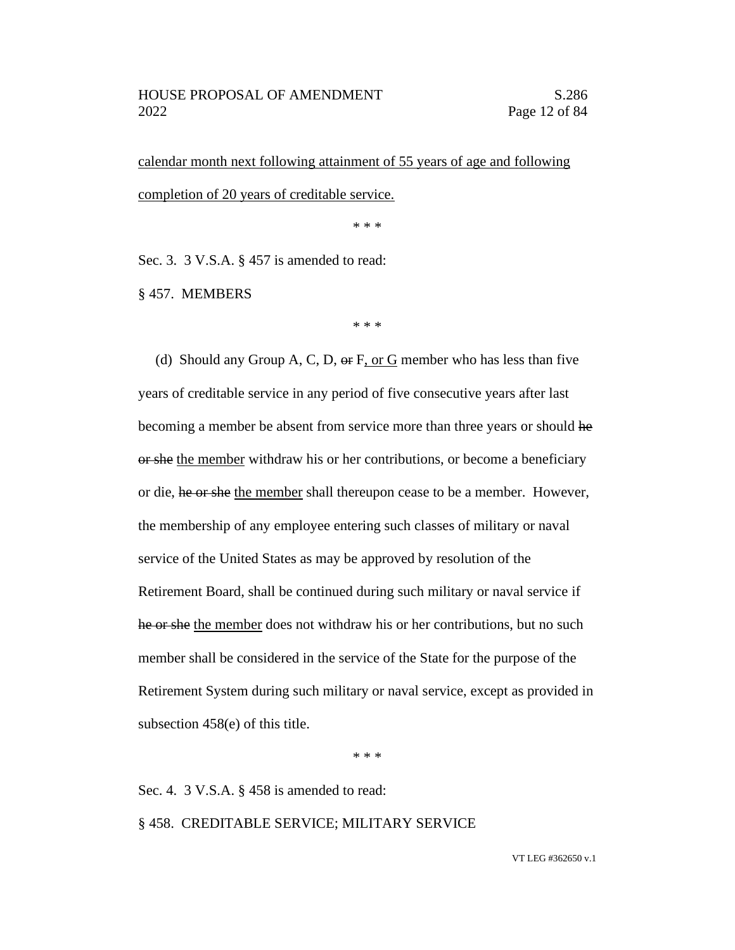calendar month next following attainment of 55 years of age and following completion of 20 years of creditable service.

\* \* \*

Sec. 3. 3 V.S.A. § 457 is amended to read:

§ 457. MEMBERS

\* \* \*

(d) Should any Group A, C, D,  $\Theta$  F, or G member who has less than five years of creditable service in any period of five consecutive years after last becoming a member be absent from service more than three years or should he or she the member withdraw his or her contributions, or become a beneficiary or die, he or she the member shall thereupon cease to be a member. However, the membership of any employee entering such classes of military or naval service of the United States as may be approved by resolution of the Retirement Board, shall be continued during such military or naval service if he or she the member does not withdraw his or her contributions, but no such member shall be considered in the service of the State for the purpose of the Retirement System during such military or naval service, except as provided in subsection 458(e) of this title.

\* \* \*

Sec. 4. 3 V.S.A. § 458 is amended to read:

#### § 458. CREDITABLE SERVICE; MILITARY SERVICE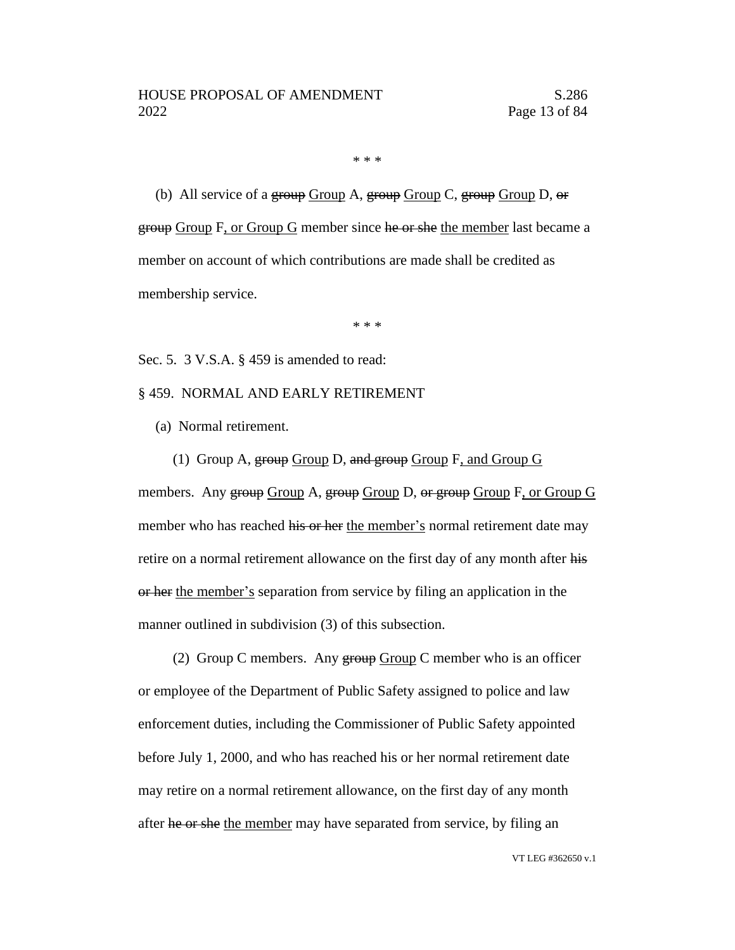\* \* \*

(b) All service of a group Group A, group Group C, group Group D,  $\Theta$ r group Group F, or Group G member since he or she the member last became a member on account of which contributions are made shall be credited as membership service.

\* \* \*

Sec. 5. 3 V.S.A. § 459 is amended to read:

#### § 459. NORMAL AND EARLY RETIREMENT

- (a) Normal retirement.
	- (1) Group A,  $\frac{1}{2}$  Group D, and  $\frac{1}{2}$  Group F, and Group G

members. Any group Group A, group Group D, or group Group F, or Group G member who has reached his or her the member's normal retirement date may retire on a normal retirement allowance on the first day of any month after his or her the member's separation from service by filing an application in the manner outlined in subdivision (3) of this subsection.

(2) Group C members. Any  $\frac{1}{2}$  Group C member who is an officer or employee of the Department of Public Safety assigned to police and law enforcement duties, including the Commissioner of Public Safety appointed before July 1, 2000, and who has reached his or her normal retirement date may retire on a normal retirement allowance, on the first day of any month after he or she the member may have separated from service, by filing an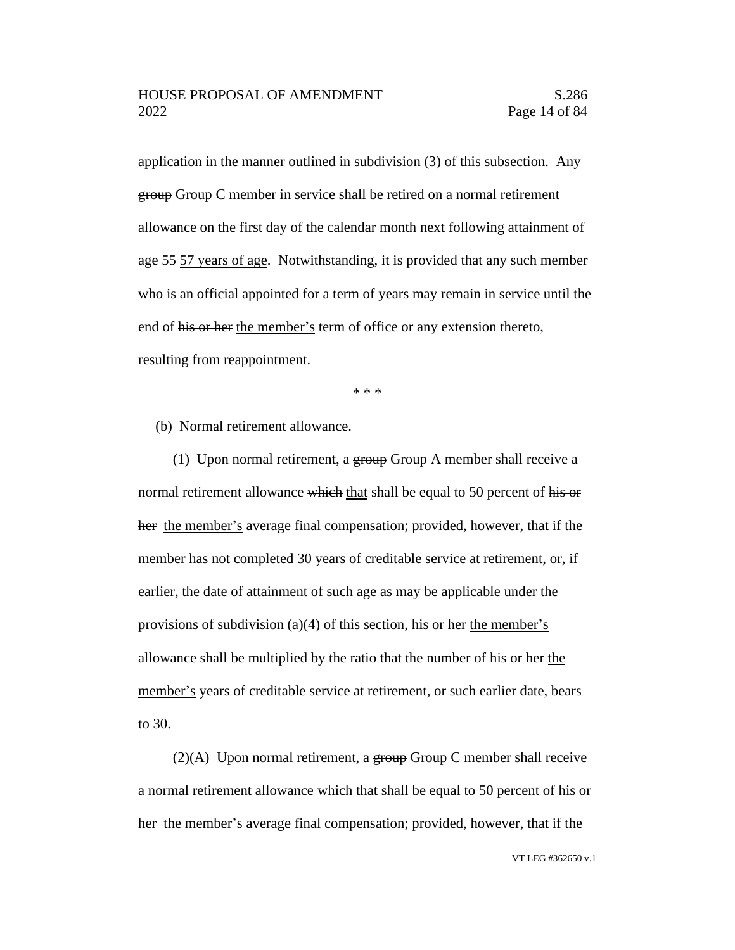application in the manner outlined in subdivision (3) of this subsection. Any group Group C member in service shall be retired on a normal retirement allowance on the first day of the calendar month next following attainment of age 55 57 years of age. Notwithstanding, it is provided that any such member who is an official appointed for a term of years may remain in service until the end of his or her the member's term of office or any extension thereto, resulting from reappointment.

\* \* \*

(b) Normal retirement allowance.

(1) Upon normal retirement, a  $\frac{1}{2}$  group A member shall receive a normal retirement allowance which that shall be equal to 50 percent of his or her the member's average final compensation; provided, however, that if the member has not completed 30 years of creditable service at retirement, or, if earlier, the date of attainment of such age as may be applicable under the provisions of subdivision (a)(4) of this section, his or her the member's allowance shall be multiplied by the ratio that the number of his or her the member's years of creditable service at retirement, or such earlier date, bears to 30.

 $(2)(A)$  Upon normal retirement, a group Group C member shall receive a normal retirement allowance which that shall be equal to 50 percent of his or her the member's average final compensation; provided, however, that if the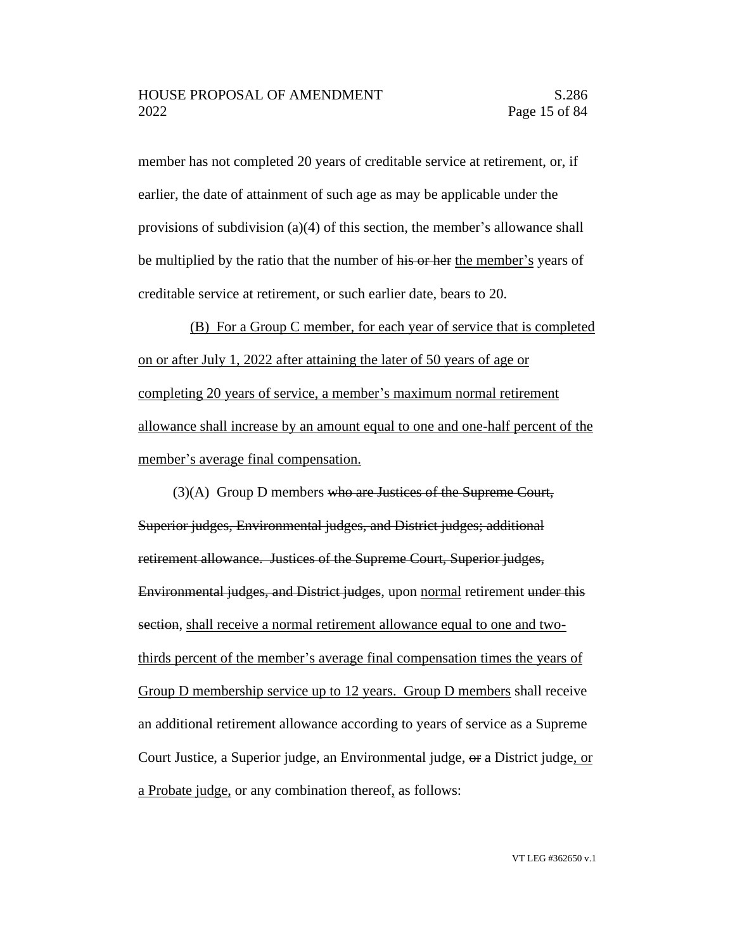member has not completed 20 years of creditable service at retirement, or, if earlier, the date of attainment of such age as may be applicable under the provisions of subdivision (a)(4) of this section, the member's allowance shall be multiplied by the ratio that the number of his or her the member's years of creditable service at retirement, or such earlier date, bears to 20.

(B) For a Group C member, for each year of service that is completed on or after July 1, 2022 after attaining the later of 50 years of age or completing 20 years of service, a member's maximum normal retirement allowance shall increase by an amount equal to one and one-half percent of the member's average final compensation.

(3)(A) Group D members who are Justices of the Supreme Court, Superior judges, Environmental judges, and District judges; additional retirement allowance. Justices of the Supreme Court, Superior judges, Environmental judges, and District judges, upon normal retirement under this section, shall receive a normal retirement allowance equal to one and twothirds percent of the member's average final compensation times the years of Group D membership service up to 12 years. Group D members shall receive an additional retirement allowance according to years of service as a Supreme Court Justice, a Superior judge, an Environmental judge, or a District judge, or a Probate judge, or any combination thereof, as follows: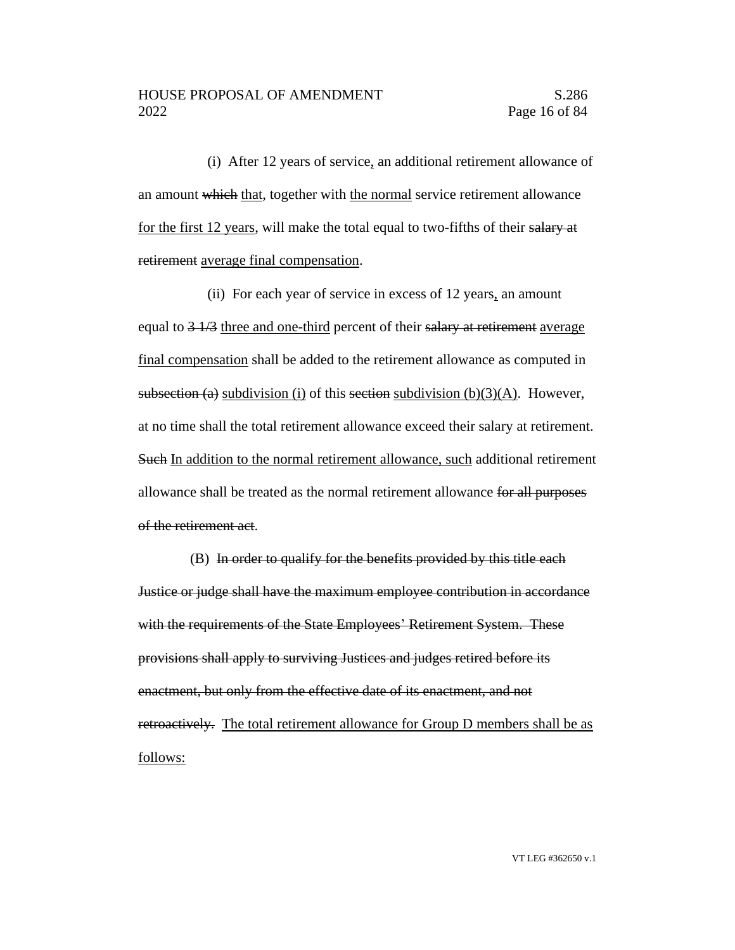(i) After 12 years of service, an additional retirement allowance of an amount which that, together with the normal service retirement allowance for the first 12 years, will make the total equal to two-fifths of their salary at retirement average final compensation.

(ii) For each year of service in excess of 12 years, an amount equal to  $\frac{3 \cdot 1}{3}$  three and one-third percent of their salary at retirement average final compensation shall be added to the retirement allowance as computed in subsection (a) subdivision (i) of this section subdivision (b)(3)(A). However, at no time shall the total retirement allowance exceed their salary at retirement. Such In addition to the normal retirement allowance, such additional retirement allowance shall be treated as the normal retirement allowance for all purposes of the retirement act.

(B) In order to qualify for the benefits provided by this title each Justice or judge shall have the maximum employee contribution in accordance with the requirements of the State Employees' Retirement System. These provisions shall apply to surviving Justices and judges retired before its enactment, but only from the effective date of its enactment, and not retroactively. The total retirement allowance for Group D members shall be as follows: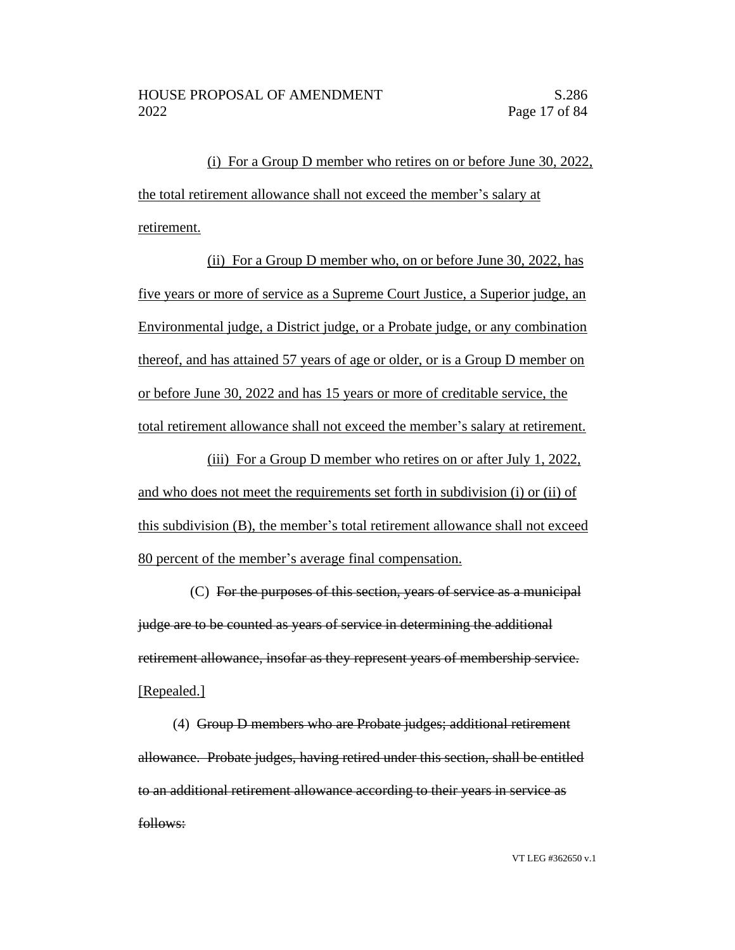(i) For a Group D member who retires on or before June 30, 2022, the total retirement allowance shall not exceed the member's salary at retirement.

(ii) For a Group D member who, on or before June 30, 2022, has five years or more of service as a Supreme Court Justice, a Superior judge, an Environmental judge, a District judge, or a Probate judge, or any combination thereof, and has attained 57 years of age or older, or is a Group D member on or before June 30, 2022 and has 15 years or more of creditable service, the total retirement allowance shall not exceed the member's salary at retirement.

(iii) For a Group D member who retires on or after July 1, 2022, and who does not meet the requirements set forth in subdivision (i) or (ii) of this subdivision (B), the member's total retirement allowance shall not exceed 80 percent of the member's average final compensation.

(C) For the purposes of this section, years of service as a municipal judge are to be counted as years of service in determining the additional retirement allowance, insofar as they represent years of membership service. [Repealed.]

(4) Group D members who are Probate judges; additional retirement allowance. Probate judges, having retired under this section, shall be entitled to an additional retirement allowance according to their years in service as follows: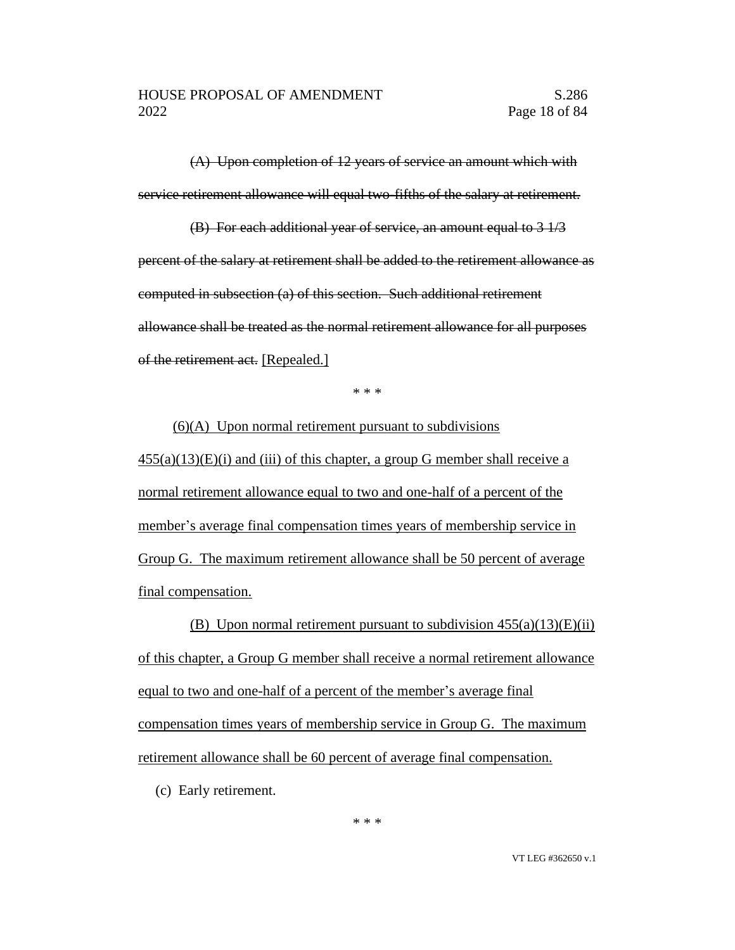(A) Upon completion of 12 years of service an amount which with service retirement allowance will equal two-fifths of the salary at retirement.

(B) For each additional year of service, an amount equal to 3 1/3 percent of the salary at retirement shall be added to the retirement allowance as computed in subsection (a) of this section. Such additional retirement allowance shall be treated as the normal retirement allowance for all purposes of the retirement act. [Repealed.]

\* \* \*

 $(6)(A)$  Upon normal retirement pursuant to subdivisions  $455(a)(13)(E)(i)$  and (iii) of this chapter, a group G member shall receive a normal retirement allowance equal to two and one-half of a percent of the member's average final compensation times years of membership service in Group G. The maximum retirement allowance shall be 50 percent of average final compensation.

(B) Upon normal retirement pursuant to subdivision  $455(a)(13)(E)(ii)$ of this chapter, a Group G member shall receive a normal retirement allowance equal to two and one-half of a percent of the member's average final compensation times years of membership service in Group G. The maximum retirement allowance shall be 60 percent of average final compensation.

(c) Early retirement.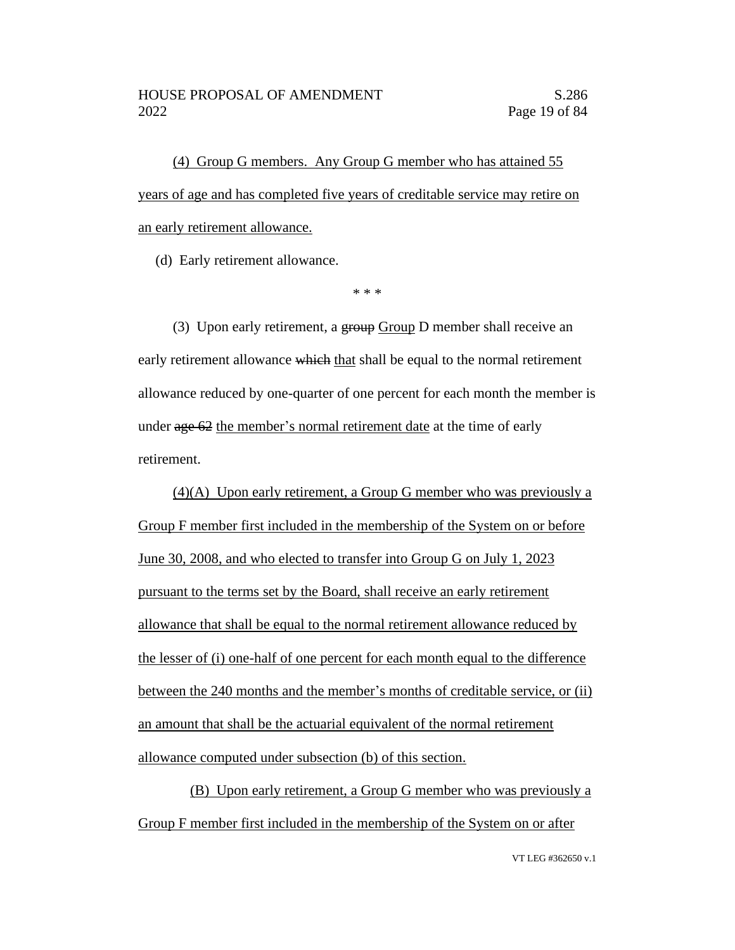(4) Group G members. Any Group G member who has attained 55 years of age and has completed five years of creditable service may retire on an early retirement allowance.

(d) Early retirement allowance.

\* \* \*

(3) Upon early retirement, a group Group D member shall receive an early retirement allowance which that shall be equal to the normal retirement allowance reduced by one-quarter of one percent for each month the member is under age 62 the member's normal retirement date at the time of early retirement.

(4)(A) Upon early retirement, a Group G member who was previously a Group F member first included in the membership of the System on or before June 30, 2008, and who elected to transfer into Group G on July 1, 2023 pursuant to the terms set by the Board, shall receive an early retirement allowance that shall be equal to the normal retirement allowance reduced by the lesser of (i) one-half of one percent for each month equal to the difference between the 240 months and the member's months of creditable service, or (ii) an amount that shall be the actuarial equivalent of the normal retirement allowance computed under subsection (b) of this section.

(B) Upon early retirement, a Group G member who was previously a Group F member first included in the membership of the System on or after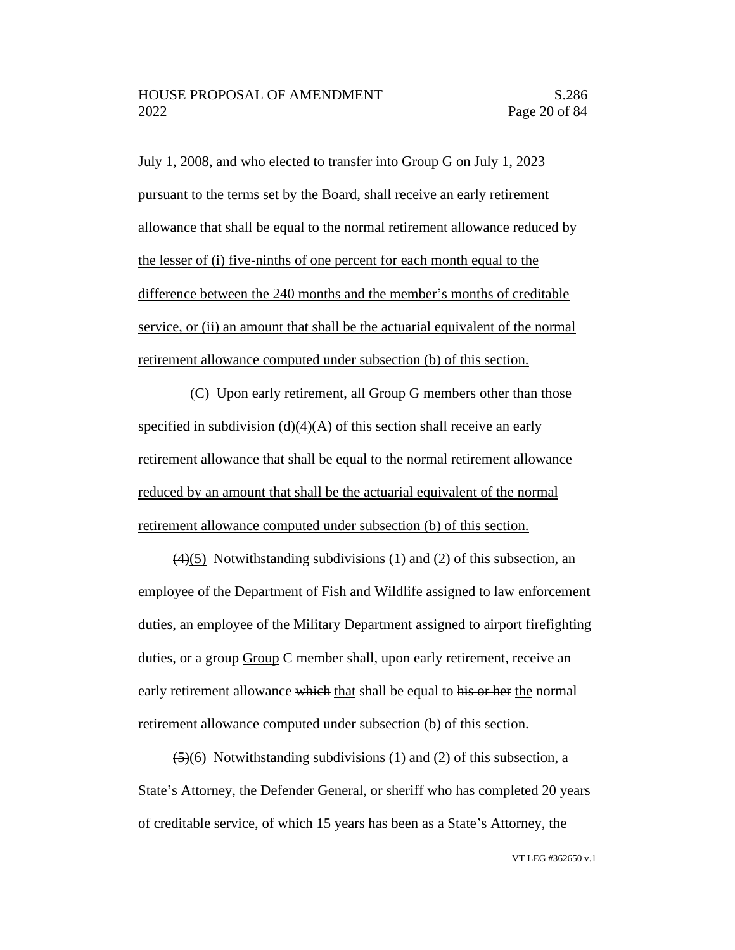July 1, 2008, and who elected to transfer into Group G on July 1, 2023 pursuant to the terms set by the Board, shall receive an early retirement allowance that shall be equal to the normal retirement allowance reduced by the lesser of (i) five-ninths of one percent for each month equal to the difference between the 240 months and the member's months of creditable service, or (ii) an amount that shall be the actuarial equivalent of the normal retirement allowance computed under subsection (b) of this section.

(C) Upon early retirement, all Group G members other than those specified in subdivision  $(d)(4)(A)$  of this section shall receive an early retirement allowance that shall be equal to the normal retirement allowance reduced by an amount that shall be the actuarial equivalent of the normal retirement allowance computed under subsection (b) of this section.

(4)(5) Notwithstanding subdivisions (1) and (2) of this subsection, an employee of the Department of Fish and Wildlife assigned to law enforcement duties, an employee of the Military Department assigned to airport firefighting duties, or a group Group C member shall, upon early retirement, receive an early retirement allowance which that shall be equal to his or her the normal retirement allowance computed under subsection (b) of this section.

 $(5)(6)$  Notwithstanding subdivisions (1) and (2) of this subsection, a State's Attorney, the Defender General, or sheriff who has completed 20 years of creditable service, of which 15 years has been as a State's Attorney, the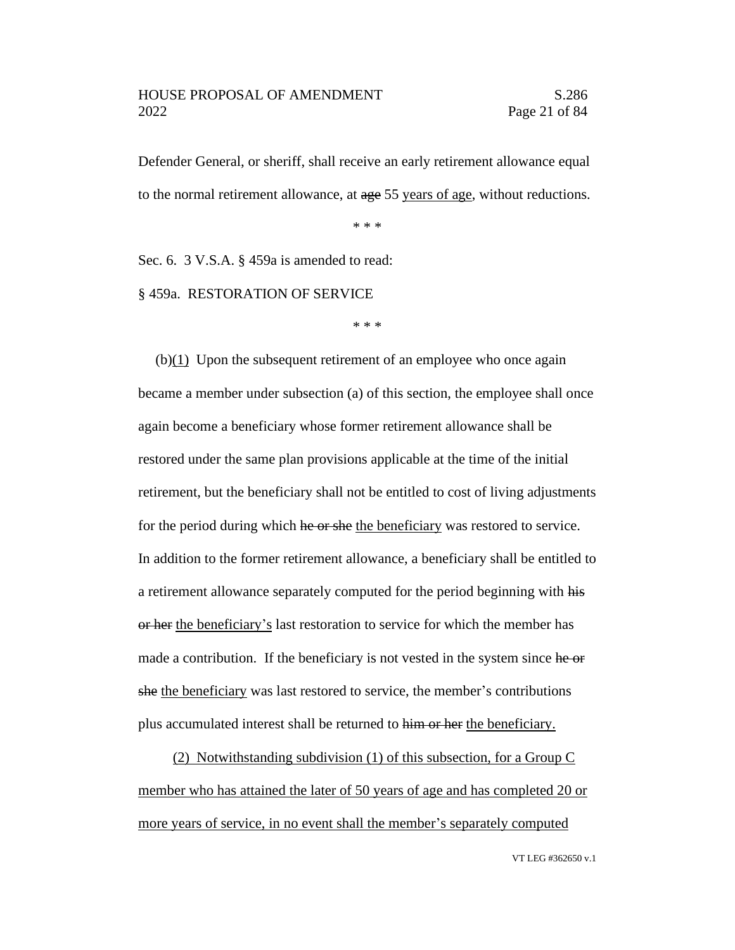Defender General, or sheriff, shall receive an early retirement allowance equal to the normal retirement allowance, at age 55 years of age, without reductions.

\* \* \*

Sec. 6. 3 V.S.A. § 459a is amended to read:

§ 459a. RESTORATION OF SERVICE

\* \* \*

(b)(1) Upon the subsequent retirement of an employee who once again became a member under subsection (a) of this section, the employee shall once again become a beneficiary whose former retirement allowance shall be restored under the same plan provisions applicable at the time of the initial retirement, but the beneficiary shall not be entitled to cost of living adjustments for the period during which he or she the beneficiary was restored to service. In addition to the former retirement allowance, a beneficiary shall be entitled to a retirement allowance separately computed for the period beginning with his or her the beneficiary's last restoration to service for which the member has made a contribution. If the beneficiary is not vested in the system since he or she the beneficiary was last restored to service, the member's contributions plus accumulated interest shall be returned to him or her the beneficiary.

(2) Notwithstanding subdivision (1) of this subsection, for a Group C member who has attained the later of 50 years of age and has completed 20 or more years of service, in no event shall the member's separately computed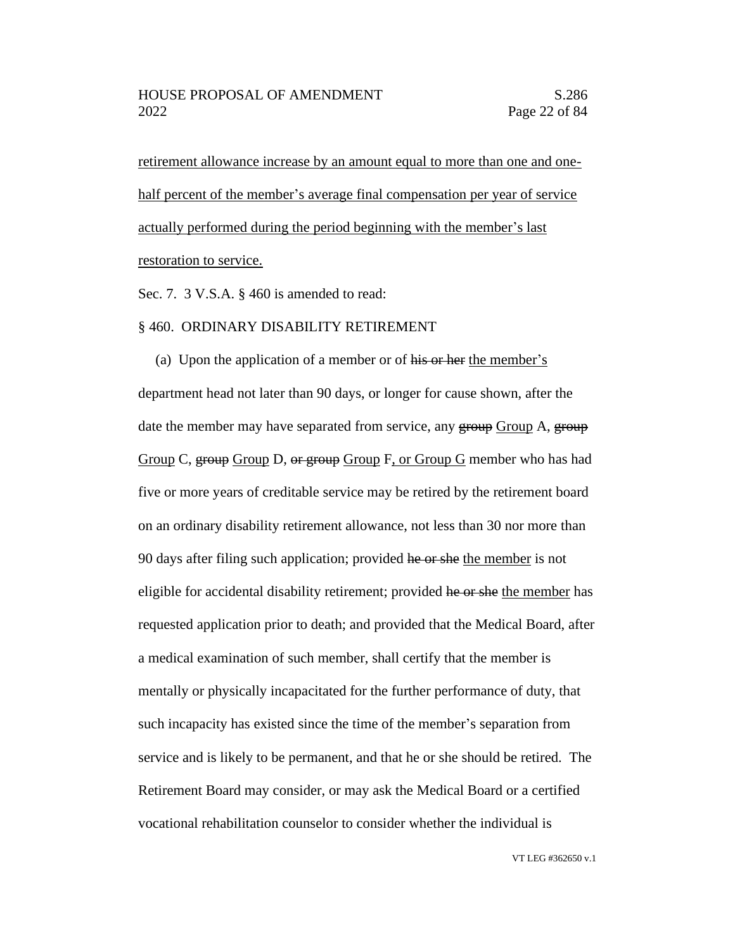retirement allowance increase by an amount equal to more than one and onehalf percent of the member's average final compensation per year of service actually performed during the period beginning with the member's last restoration to service.

Sec. 7. 3 V.S.A. § 460 is amended to read:

#### § 460. ORDINARY DISABILITY RETIREMENT

(a) Upon the application of a member or of his or her the member's department head not later than 90 days, or longer for cause shown, after the date the member may have separated from service, any group Group A, group Group C, group Group D, or group Group F, or Group G member who has had five or more years of creditable service may be retired by the retirement board on an ordinary disability retirement allowance, not less than 30 nor more than 90 days after filing such application; provided he or she the member is not eligible for accidental disability retirement; provided he or she the member has requested application prior to death; and provided that the Medical Board, after a medical examination of such member, shall certify that the member is mentally or physically incapacitated for the further performance of duty, that such incapacity has existed since the time of the member's separation from service and is likely to be permanent, and that he or she should be retired. The Retirement Board may consider, or may ask the Medical Board or a certified vocational rehabilitation counselor to consider whether the individual is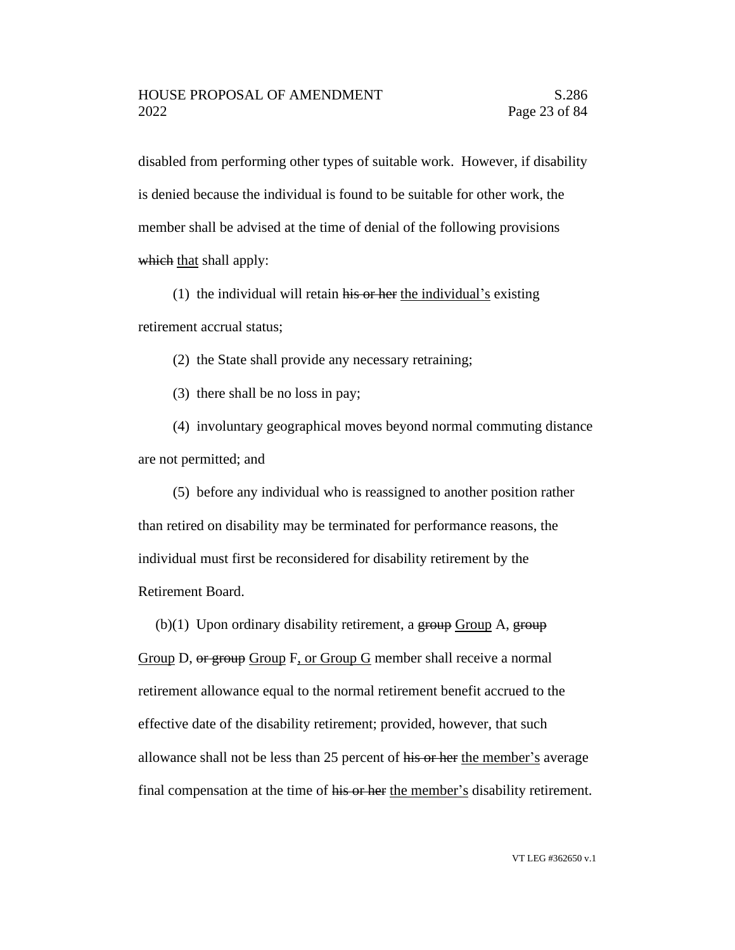disabled from performing other types of suitable work. However, if disability is denied because the individual is found to be suitable for other work, the member shall be advised at the time of denial of the following provisions which that shall apply:

(1) the individual will retain his or her the individual's existing retirement accrual status;

(2) the State shall provide any necessary retraining;

(3) there shall be no loss in pay;

(4) involuntary geographical moves beyond normal commuting distance are not permitted; and

(5) before any individual who is reassigned to another position rather than retired on disability may be terminated for performance reasons, the individual must first be reconsidered for disability retirement by the Retirement Board.

(b)(1) Upon ordinary disability retirement, a  $\frac{1}{2}$  group A,  $\frac{1}{2}$  group

Group D, or group Group F, or Group G member shall receive a normal retirement allowance equal to the normal retirement benefit accrued to the effective date of the disability retirement; provided, however, that such allowance shall not be less than 25 percent of his or her the member's average final compensation at the time of his or her the member's disability retirement.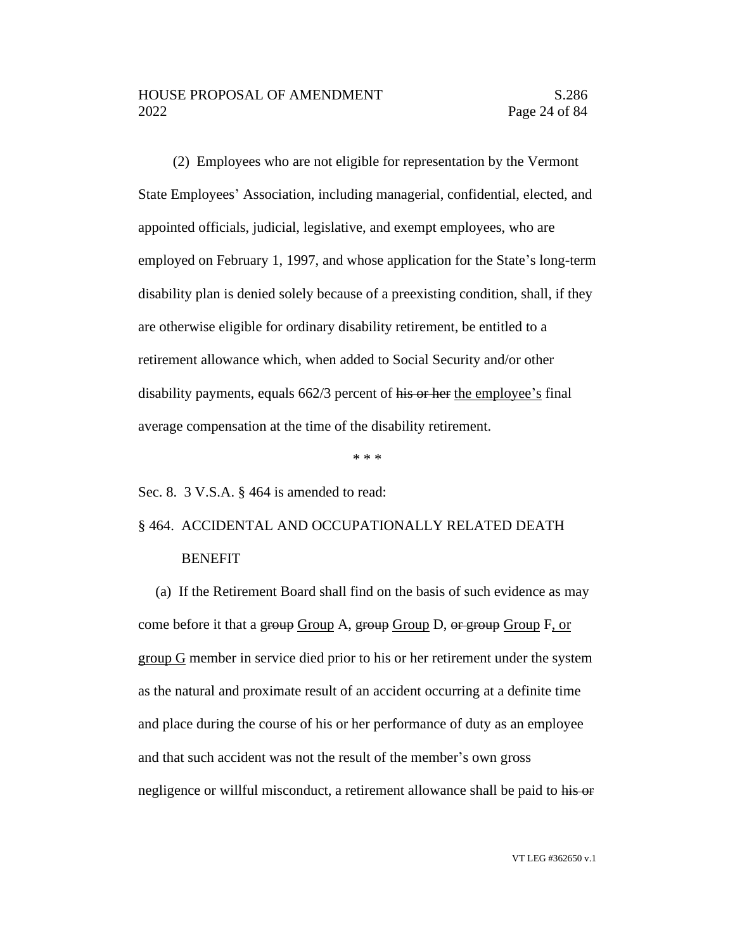(2) Employees who are not eligible for representation by the Vermont State Employees' Association, including managerial, confidential, elected, and appointed officials, judicial, legislative, and exempt employees, who are employed on February 1, 1997, and whose application for the State's long-term disability plan is denied solely because of a preexisting condition, shall, if they are otherwise eligible for ordinary disability retirement, be entitled to a retirement allowance which, when added to Social Security and/or other disability payments, equals 662/3 percent of his or her the employee's final average compensation at the time of the disability retirement.

\* \* \*

Sec. 8. 3 V.S.A. § 464 is amended to read:

## § 464. ACCIDENTAL AND OCCUPATIONALLY RELATED DEATH BENEFIT

(a) If the Retirement Board shall find on the basis of such evidence as may come before it that a group Group A, group Group D, or group Group F, or group G member in service died prior to his or her retirement under the system as the natural and proximate result of an accident occurring at a definite time and place during the course of his or her performance of duty as an employee and that such accident was not the result of the member's own gross negligence or willful misconduct, a retirement allowance shall be paid to his or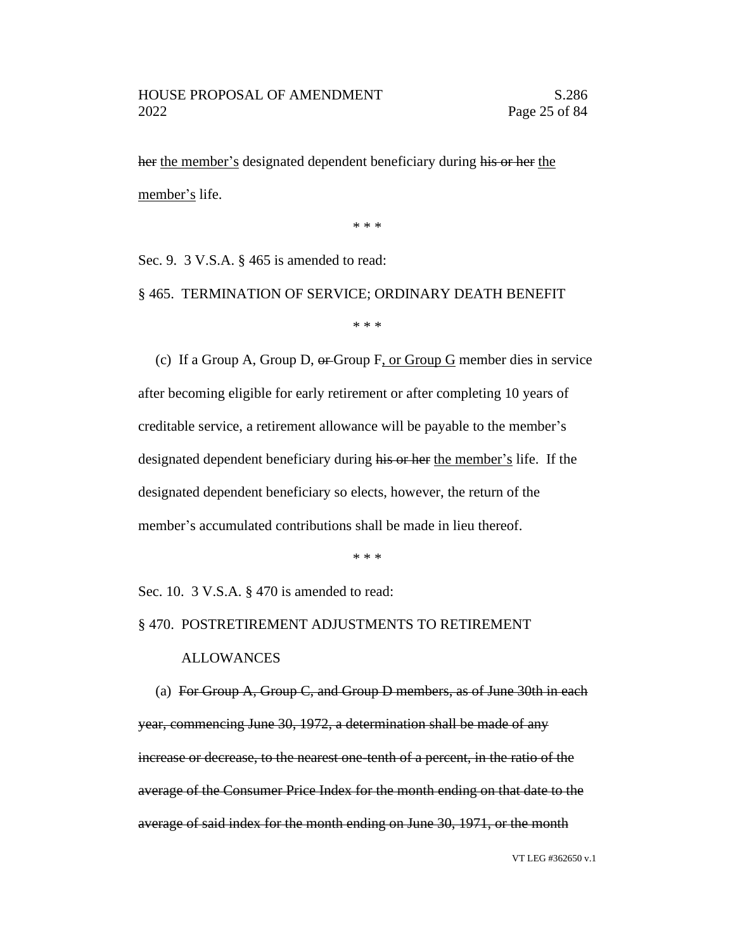her the member's designated dependent beneficiary during his or her the member's life.

\* \* \*

Sec. 9. 3 V.S.A. § 465 is amended to read:

§ 465. TERMINATION OF SERVICE; ORDINARY DEATH BENEFIT

\* \* \*

(c) If a Group A, Group D, or Group F, or Group G member dies in service after becoming eligible for early retirement or after completing 10 years of creditable service, a retirement allowance will be payable to the member's designated dependent beneficiary during his or her the member's life. If the designated dependent beneficiary so elects, however, the return of the member's accumulated contributions shall be made in lieu thereof.

\* \* \*

Sec. 10. 3 V.S.A. § 470 is amended to read:

#### § 470. POSTRETIREMENT ADJUSTMENTS TO RETIREMENT

#### ALLOWANCES

(a) For Group A, Group C, and Group D members, as of June 30th in each year, commencing June 30, 1972, a determination shall be made of any increase or decrease, to the nearest one-tenth of a percent, in the ratio of the average of the Consumer Price Index for the month ending on that date to the average of said index for the month ending on June 30, 1971, or the month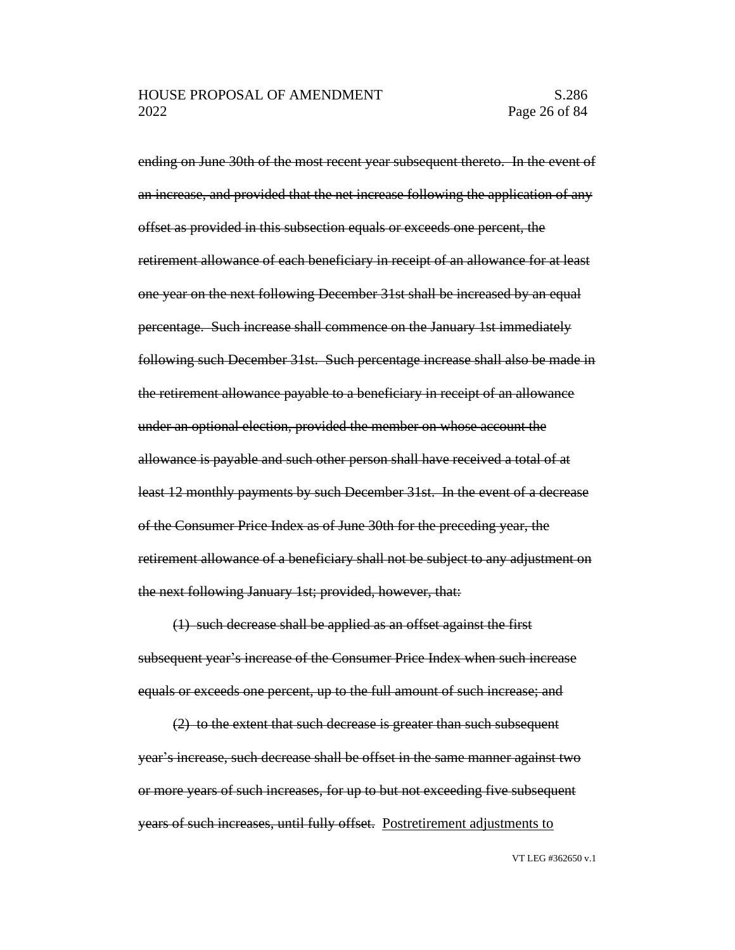ending on June 30th of the most recent year subsequent thereto. In the event of an increase, and provided that the net increase following the application of any offset as provided in this subsection equals or exceeds one percent, the retirement allowance of each beneficiary in receipt of an allowance for at least one year on the next following December 31st shall be increased by an equal percentage. Such increase shall commence on the January 1st immediately following such December 31st. Such percentage increase shall also be made in the retirement allowance payable to a beneficiary in receipt of an allowance under an optional election, provided the member on whose account the allowance is payable and such other person shall have received a total of at least 12 monthly payments by such December 31st. In the event of a decrease of the Consumer Price Index as of June 30th for the preceding year, the retirement allowance of a beneficiary shall not be subject to any adjustment on the next following January 1st; provided, however, that:

(1) such decrease shall be applied as an offset against the first subsequent year's increase of the Consumer Price Index when such increase equals or exceeds one percent, up to the full amount of such increase; and

(2) to the extent that such decrease is greater than such subsequent year's increase, such decrease shall be offset in the same manner against two or more years of such increases, for up to but not exceeding five subsequent years of such increases, until fully offset. Postretirement adjustments to

VT LEG #362650 v.1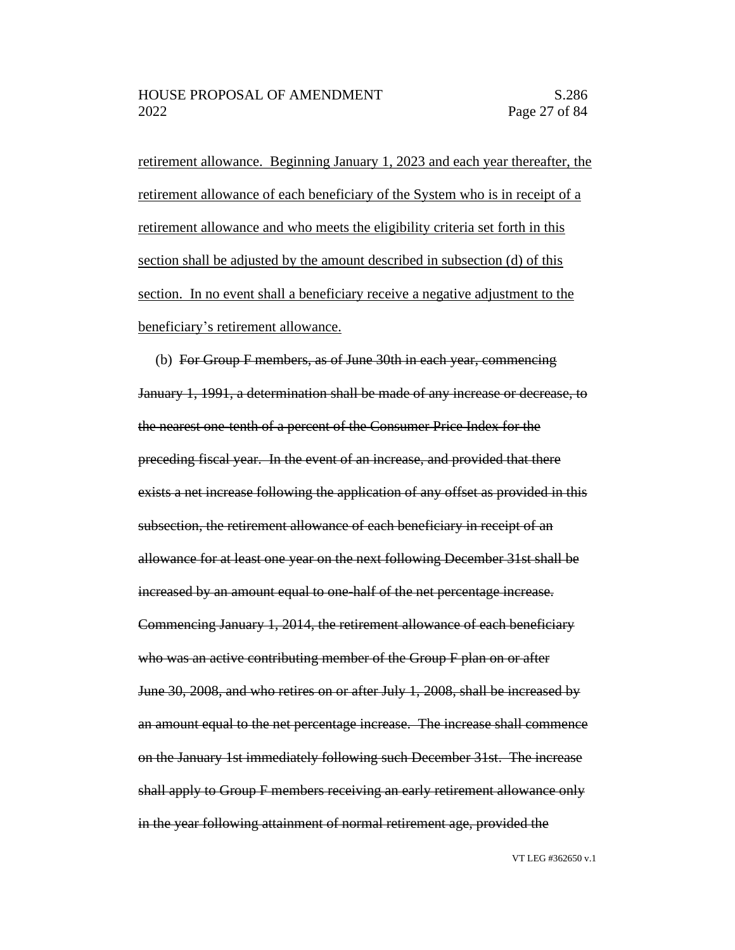retirement allowance. Beginning January 1, 2023 and each year thereafter, the retirement allowance of each beneficiary of the System who is in receipt of a retirement allowance and who meets the eligibility criteria set forth in this section shall be adjusted by the amount described in subsection (d) of this section. In no event shall a beneficiary receive a negative adjustment to the beneficiary's retirement allowance.

(b) For Group F members, as of June 30th in each year, commencing January 1, 1991, a determination shall be made of any increase or decrease, to the nearest one-tenth of a percent of the Consumer Price Index for the preceding fiscal year. In the event of an increase, and provided that there exists a net increase following the application of any offset as provided in this subsection, the retirement allowance of each beneficiary in receipt of an allowance for at least one year on the next following December 31st shall be increased by an amount equal to one-half of the net percentage increase. Commencing January 1, 2014, the retirement allowance of each beneficiary who was an active contributing member of the Group F plan on or after June 30, 2008, and who retires on or after July 1, 2008, shall be increased by an amount equal to the net percentage increase. The increase shall commence on the January 1st immediately following such December 31st. The increase shall apply to Group F members receiving an early retirement allowance only in the year following attainment of normal retirement age, provided the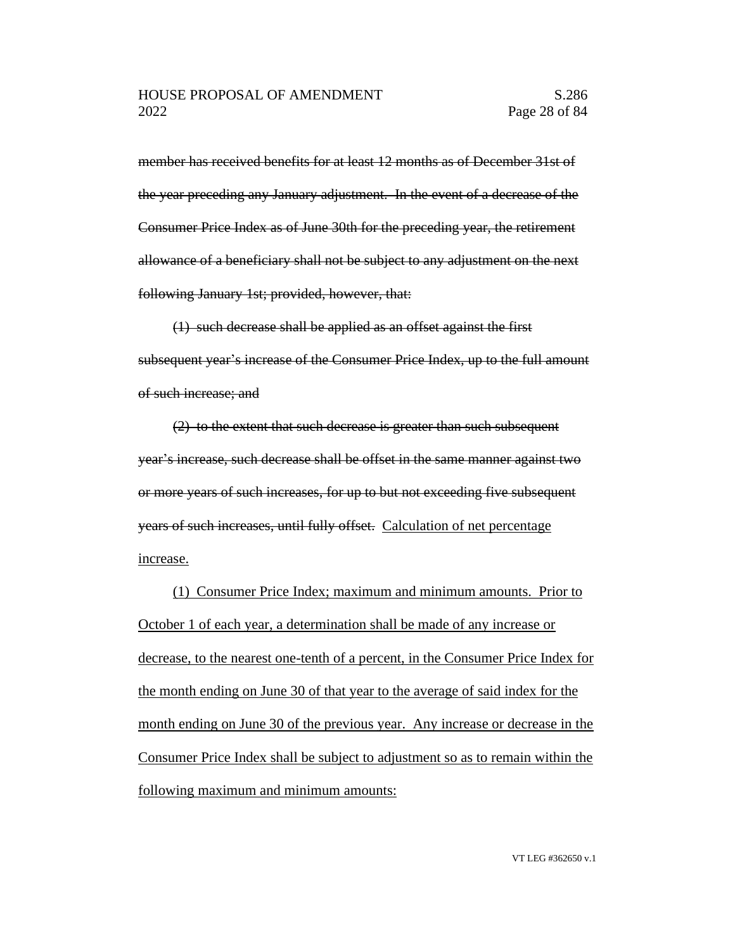member has received benefits for at least 12 months as of December 31st of the year preceding any January adjustment. In the event of a decrease of the Consumer Price Index as of June 30th for the preceding year, the retirement allowance of a beneficiary shall not be subject to any adjustment on the next following January 1st; provided, however, that:

(1) such decrease shall be applied as an offset against the first subsequent year's increase of the Consumer Price Index, up to the full amount of such increase; and

(2) to the extent that such decrease is greater than such subsequent year's increase, such decrease shall be offset in the same manner against two or more years of such increases, for up to but not exceeding five subsequent years of such increases, until fully offset. Calculation of net percentage increase.

(1) Consumer Price Index; maximum and minimum amounts. Prior to October 1 of each year, a determination shall be made of any increase or decrease, to the nearest one-tenth of a percent, in the Consumer Price Index for the month ending on June 30 of that year to the average of said index for the month ending on June 30 of the previous year. Any increase or decrease in the Consumer Price Index shall be subject to adjustment so as to remain within the following maximum and minimum amounts: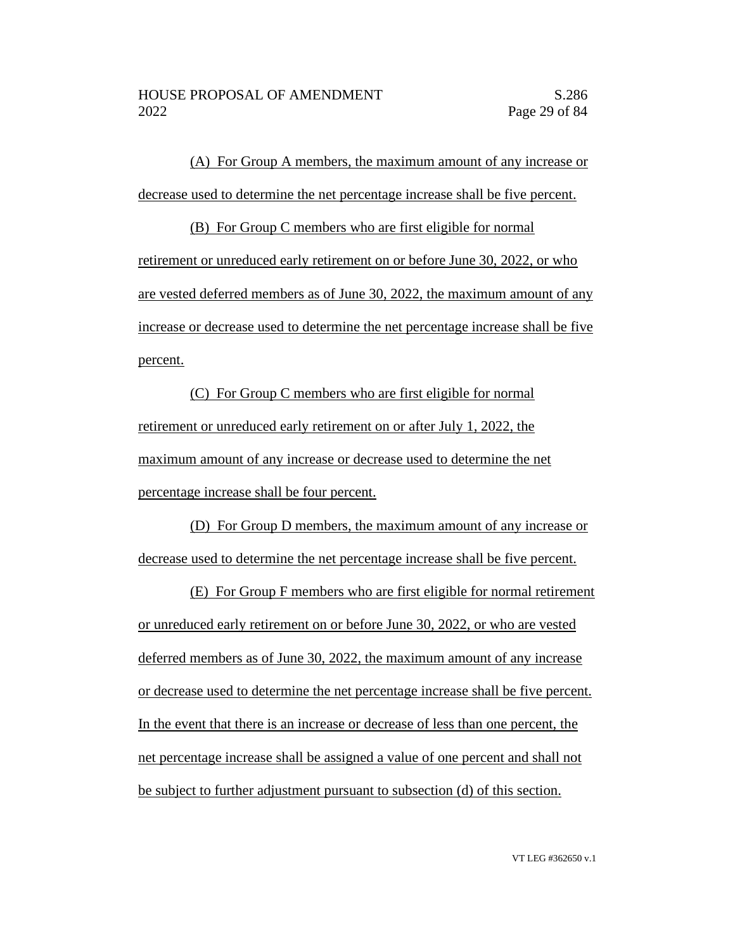(A) For Group A members, the maximum amount of any increase or decrease used to determine the net percentage increase shall be five percent.

(B) For Group C members who are first eligible for normal retirement or unreduced early retirement on or before June 30, 2022, or who are vested deferred members as of June 30, 2022, the maximum amount of any increase or decrease used to determine the net percentage increase shall be five percent.

(C) For Group C members who are first eligible for normal retirement or unreduced early retirement on or after July 1, 2022, the maximum amount of any increase or decrease used to determine the net percentage increase shall be four percent.

(D) For Group D members, the maximum amount of any increase or decrease used to determine the net percentage increase shall be five percent.

(E) For Group F members who are first eligible for normal retirement or unreduced early retirement on or before June 30, 2022, or who are vested deferred members as of June 30, 2022, the maximum amount of any increase or decrease used to determine the net percentage increase shall be five percent. In the event that there is an increase or decrease of less than one percent, the net percentage increase shall be assigned a value of one percent and shall not be subject to further adjustment pursuant to subsection (d) of this section.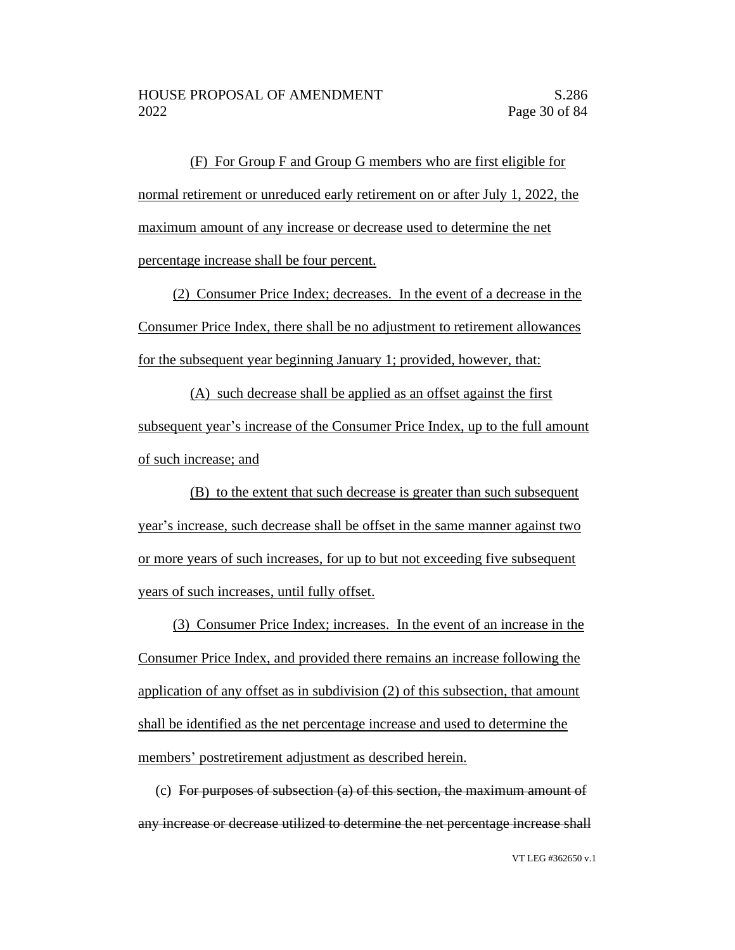(F) For Group F and Group G members who are first eligible for normal retirement or unreduced early retirement on or after July 1, 2022, the maximum amount of any increase or decrease used to determine the net percentage increase shall be four percent.

(2) Consumer Price Index; decreases. In the event of a decrease in the Consumer Price Index, there shall be no adjustment to retirement allowances for the subsequent year beginning January 1; provided, however, that:

(A) such decrease shall be applied as an offset against the first subsequent year's increase of the Consumer Price Index, up to the full amount of such increase; and

(B) to the extent that such decrease is greater than such subsequent year's increase, such decrease shall be offset in the same manner against two or more years of such increases, for up to but not exceeding five subsequent years of such increases, until fully offset.

(3) Consumer Price Index; increases. In the event of an increase in the Consumer Price Index, and provided there remains an increase following the application of any offset as in subdivision (2) of this subsection, that amount shall be identified as the net percentage increase and used to determine the members' postretirement adjustment as described herein.

(c) For purposes of subsection (a) of this section, the maximum amount of any increase or decrease utilized to determine the net percentage increase shall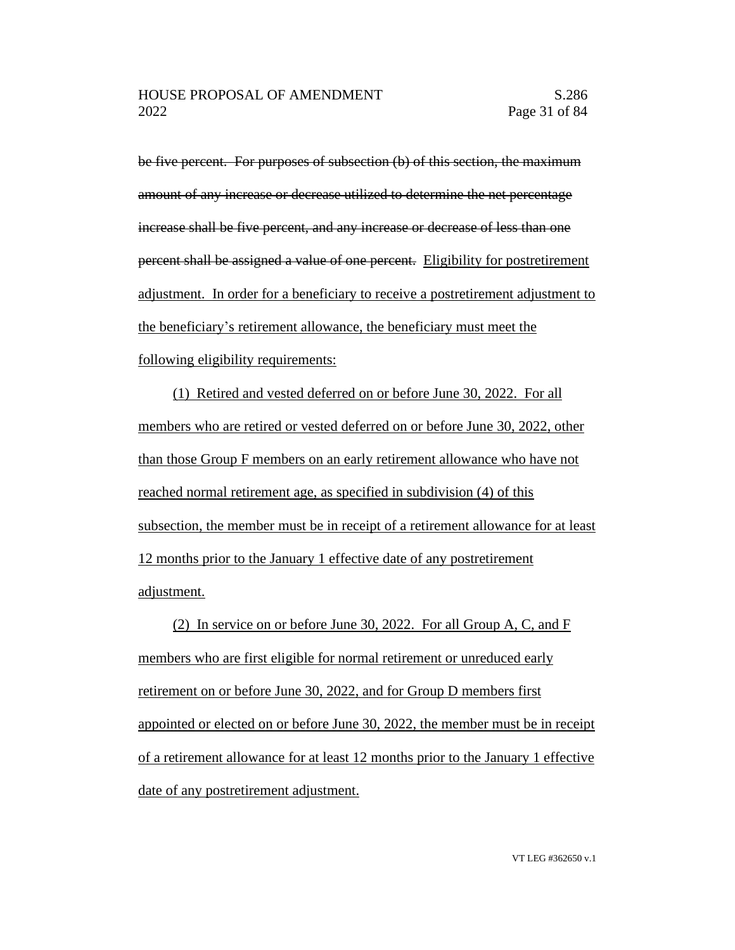be five percent. For purposes of subsection (b) of this section, the maximum amount of any increase or decrease utilized to determine the net percentage increase shall be five percent, and any increase or decrease of less than one percent shall be assigned a value of one percent. Eligibility for postretirement adjustment. In order for a beneficiary to receive a postretirement adjustment to the beneficiary's retirement allowance, the beneficiary must meet the following eligibility requirements:

(1) Retired and vested deferred on or before June 30, 2022. For all members who are retired or vested deferred on or before June 30, 2022, other than those Group F members on an early retirement allowance who have not reached normal retirement age, as specified in subdivision (4) of this subsection, the member must be in receipt of a retirement allowance for at least 12 months prior to the January 1 effective date of any postretirement adjustment.

(2) In service on or before June 30, 2022. For all Group A, C, and F members who are first eligible for normal retirement or unreduced early retirement on or before June 30, 2022, and for Group D members first appointed or elected on or before June 30, 2022, the member must be in receipt of a retirement allowance for at least 12 months prior to the January 1 effective date of any postretirement adjustment.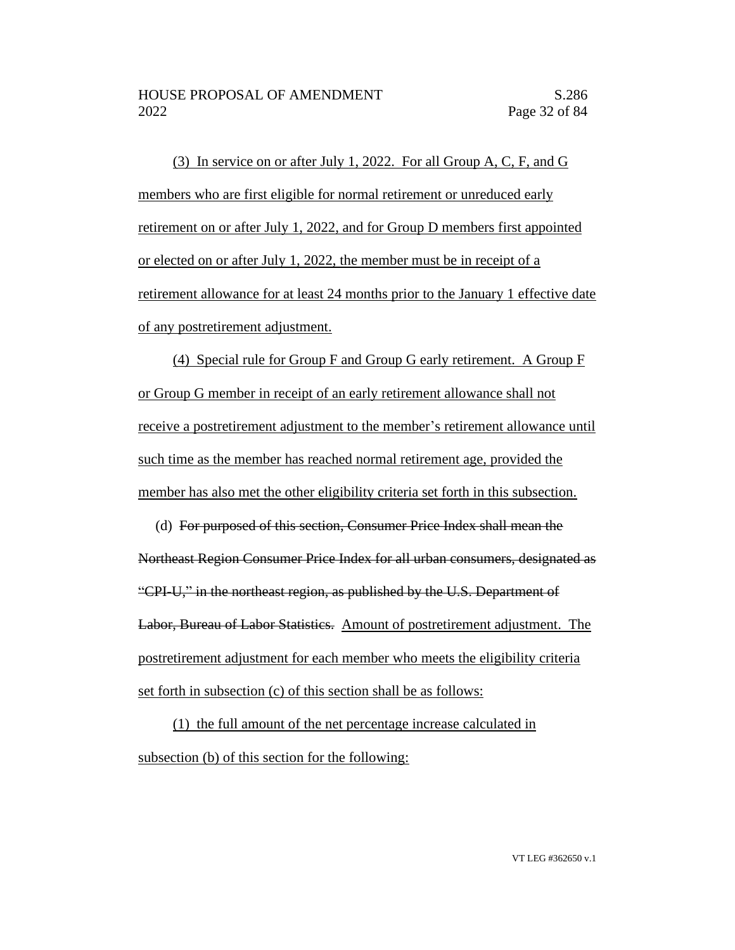(3) In service on or after July 1, 2022. For all Group A, C, F, and G members who are first eligible for normal retirement or unreduced early retirement on or after July 1, 2022, and for Group D members first appointed or elected on or after July 1, 2022, the member must be in receipt of a retirement allowance for at least 24 months prior to the January 1 effective date of any postretirement adjustment.

(4) Special rule for Group F and Group G early retirement. A Group F or Group G member in receipt of an early retirement allowance shall not receive a postretirement adjustment to the member's retirement allowance until such time as the member has reached normal retirement age, provided the member has also met the other eligibility criteria set forth in this subsection.

(d) For purposed of this section, Consumer Price Index shall mean the Northeast Region Consumer Price Index for all urban consumers, designated as "CPI-U," in the northeast region, as published by the U.S. Department of Labor, Bureau of Labor Statistics. Amount of postretirement adjustment. The postretirement adjustment for each member who meets the eligibility criteria set forth in subsection (c) of this section shall be as follows:

(1) the full amount of the net percentage increase calculated in subsection (b) of this section for the following: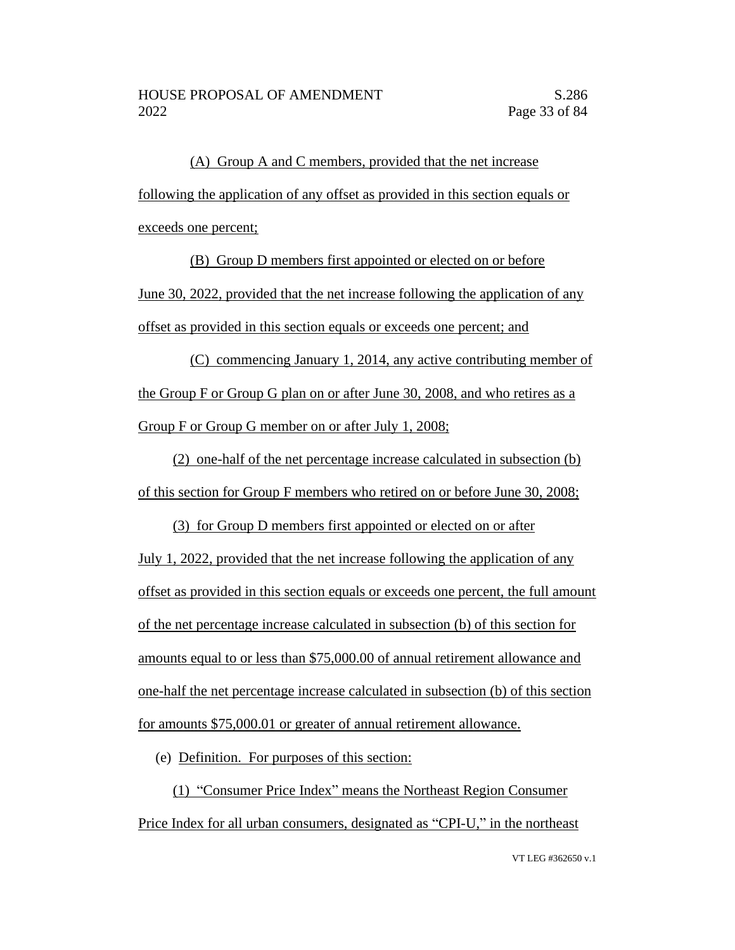(A) Group A and C members, provided that the net increase following the application of any offset as provided in this section equals or exceeds one percent;

(B) Group D members first appointed or elected on or before June 30, 2022, provided that the net increase following the application of any offset as provided in this section equals or exceeds one percent; and

(C) commencing January 1, 2014, any active contributing member of the Group F or Group G plan on or after June 30, 2008, and who retires as a Group F or Group G member on or after July 1, 2008;

(2) one-half of the net percentage increase calculated in subsection (b) of this section for Group F members who retired on or before June 30, 2008;

(3) for Group D members first appointed or elected on or after July 1, 2022, provided that the net increase following the application of any offset as provided in this section equals or exceeds one percent, the full amount of the net percentage increase calculated in subsection (b) of this section for amounts equal to or less than \$75,000.00 of annual retirement allowance and one-half the net percentage increase calculated in subsection (b) of this section for amounts \$75,000.01 or greater of annual retirement allowance.

(e) Definition. For purposes of this section:

(1) "Consumer Price Index" means the Northeast Region Consumer Price Index for all urban consumers, designated as "CPI-U," in the northeast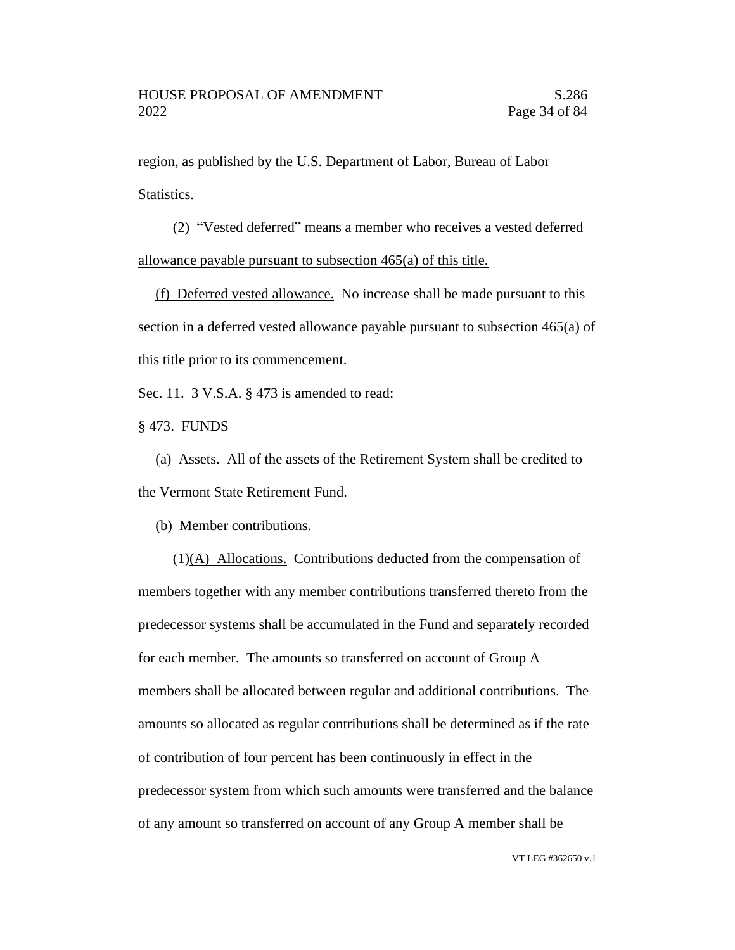region, as published by the U.S. Department of Labor, Bureau of Labor Statistics.

(2) "Vested deferred" means a member who receives a vested deferred allowance payable pursuant to subsection 465(a) of this title.

(f) Deferred vested allowance. No increase shall be made pursuant to this section in a deferred vested allowance payable pursuant to subsection 465(a) of this title prior to its commencement.

Sec. 11. 3 V.S.A. § 473 is amended to read:

§ 473. FUNDS

(a) Assets. All of the assets of the Retirement System shall be credited to the Vermont State Retirement Fund.

(b) Member contributions.

(1)(A) Allocations. Contributions deducted from the compensation of members together with any member contributions transferred thereto from the predecessor systems shall be accumulated in the Fund and separately recorded for each member. The amounts so transferred on account of Group A members shall be allocated between regular and additional contributions. The amounts so allocated as regular contributions shall be determined as if the rate of contribution of four percent has been continuously in effect in the predecessor system from which such amounts were transferred and the balance of any amount so transferred on account of any Group A member shall be

VT LEG #362650 v.1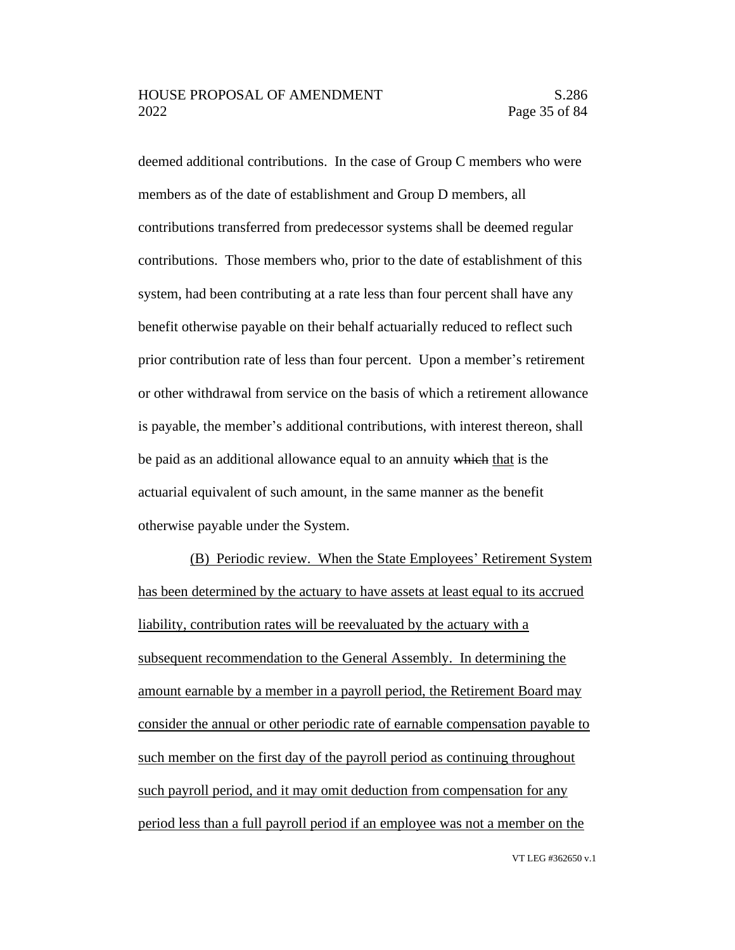deemed additional contributions. In the case of Group C members who were members as of the date of establishment and Group D members, all contributions transferred from predecessor systems shall be deemed regular contributions. Those members who, prior to the date of establishment of this system, had been contributing at a rate less than four percent shall have any benefit otherwise payable on their behalf actuarially reduced to reflect such prior contribution rate of less than four percent. Upon a member's retirement or other withdrawal from service on the basis of which a retirement allowance is payable, the member's additional contributions, with interest thereon, shall be paid as an additional allowance equal to an annuity which that is the actuarial equivalent of such amount, in the same manner as the benefit otherwise payable under the System.

(B) Periodic review. When the State Employees' Retirement System has been determined by the actuary to have assets at least equal to its accrued liability, contribution rates will be reevaluated by the actuary with a subsequent recommendation to the General Assembly. In determining the amount earnable by a member in a payroll period, the Retirement Board may consider the annual or other periodic rate of earnable compensation payable to such member on the first day of the payroll period as continuing throughout such payroll period, and it may omit deduction from compensation for any period less than a full payroll period if an employee was not a member on the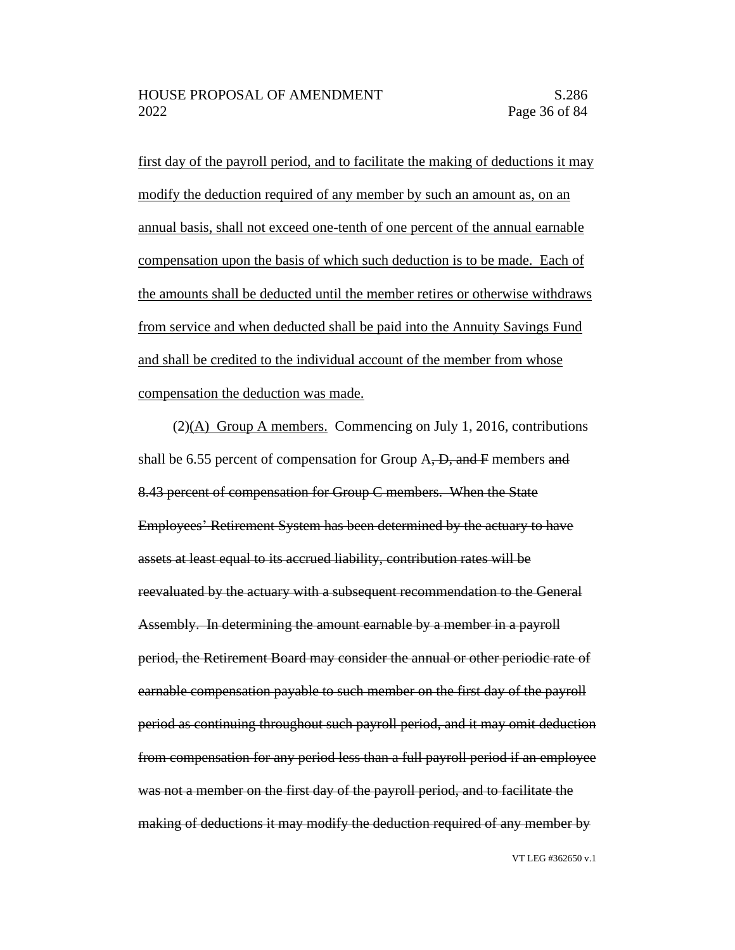first day of the payroll period, and to facilitate the making of deductions it may modify the deduction required of any member by such an amount as, on an annual basis, shall not exceed one-tenth of one percent of the annual earnable compensation upon the basis of which such deduction is to be made. Each of the amounts shall be deducted until the member retires or otherwise withdraws from service and when deducted shall be paid into the Annuity Savings Fund and shall be credited to the individual account of the member from whose compensation the deduction was made.

(2)(A) Group A members. Commencing on July 1, 2016, contributions shall be 6.55 percent of compensation for Group  $A$ ,  $D$ , and  $F$  members and 8.43 percent of compensation for Group C members. When the State Employees' Retirement System has been determined by the actuary to have assets at least equal to its accrued liability, contribution rates will be reevaluated by the actuary with a subsequent recommendation to the General Assembly. In determining the amount earnable by a member in a payroll period, the Retirement Board may consider the annual or other periodic rate of earnable compensation payable to such member on the first day of the payroll period as continuing throughout such payroll period, and it may omit deduction from compensation for any period less than a full payroll period if an employee was not a member on the first day of the payroll period, and to facilitate the making of deductions it may modify the deduction required of any member by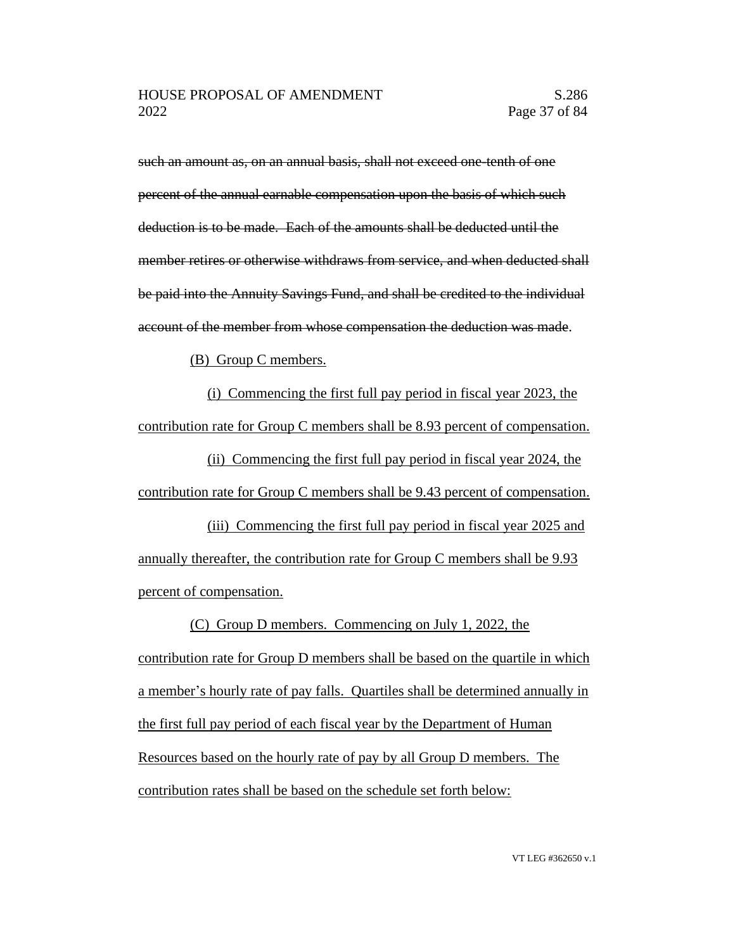such an amount as, on an annual basis, shall not exceed one-tenth of one percent of the annual earnable compensation upon the basis of which such deduction is to be made. Each of the amounts shall be deducted until the member retires or otherwise withdraws from service, and when deducted shall be paid into the Annuity Savings Fund, and shall be credited to the individual account of the member from whose compensation the deduction was made.

(B) Group C members.

(i) Commencing the first full pay period in fiscal year 2023, the contribution rate for Group C members shall be 8.93 percent of compensation.

(ii) Commencing the first full pay period in fiscal year 2024, the contribution rate for Group C members shall be 9.43 percent of compensation.

(iii) Commencing the first full pay period in fiscal year 2025 and annually thereafter, the contribution rate for Group C members shall be 9.93 percent of compensation.

(C) Group D members. Commencing on July 1, 2022, the contribution rate for Group D members shall be based on the quartile in which a member's hourly rate of pay falls. Quartiles shall be determined annually in the first full pay period of each fiscal year by the Department of Human Resources based on the hourly rate of pay by all Group D members. The contribution rates shall be based on the schedule set forth below: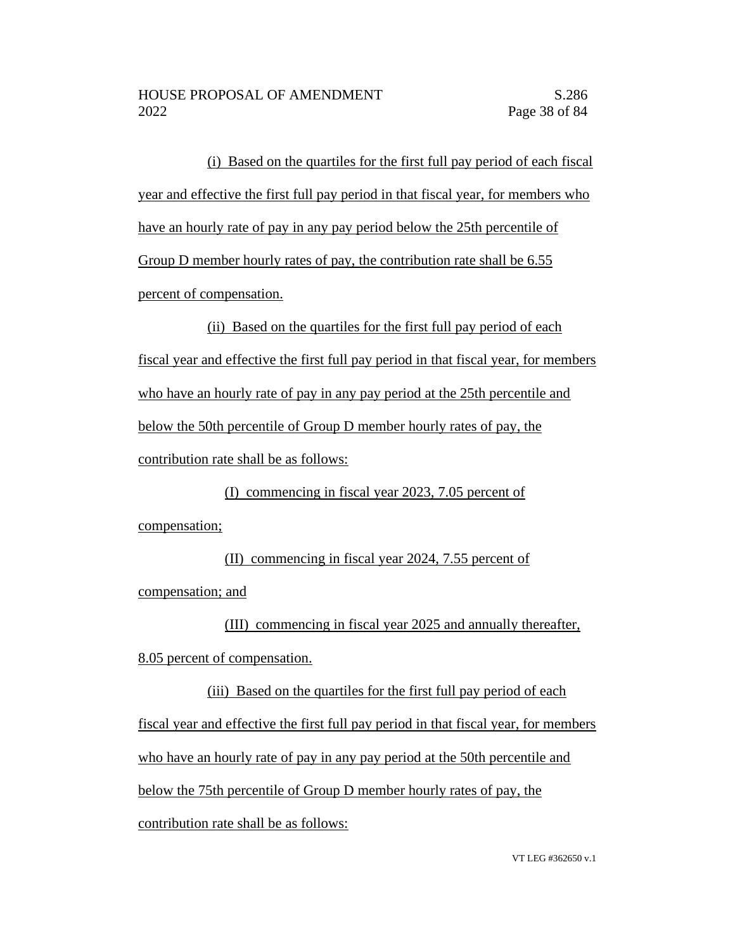(i) Based on the quartiles for the first full pay period of each fiscal year and effective the first full pay period in that fiscal year, for members who have an hourly rate of pay in any pay period below the 25th percentile of Group D member hourly rates of pay, the contribution rate shall be 6.55 percent of compensation.

(ii) Based on the quartiles for the first full pay period of each fiscal year and effective the first full pay period in that fiscal year, for members who have an hourly rate of pay in any pay period at the 25th percentile and below the 50th percentile of Group D member hourly rates of pay, the contribution rate shall be as follows:

(I) commencing in fiscal year 2023, 7.05 percent of compensation;

(II) commencing in fiscal year 2024, 7.55 percent of compensation; and

(III) commencing in fiscal year 2025 and annually thereafter, 8.05 percent of compensation.

(iii) Based on the quartiles for the first full pay period of each fiscal year and effective the first full pay period in that fiscal year, for members who have an hourly rate of pay in any pay period at the 50th percentile and below the 75th percentile of Group D member hourly rates of pay, the contribution rate shall be as follows: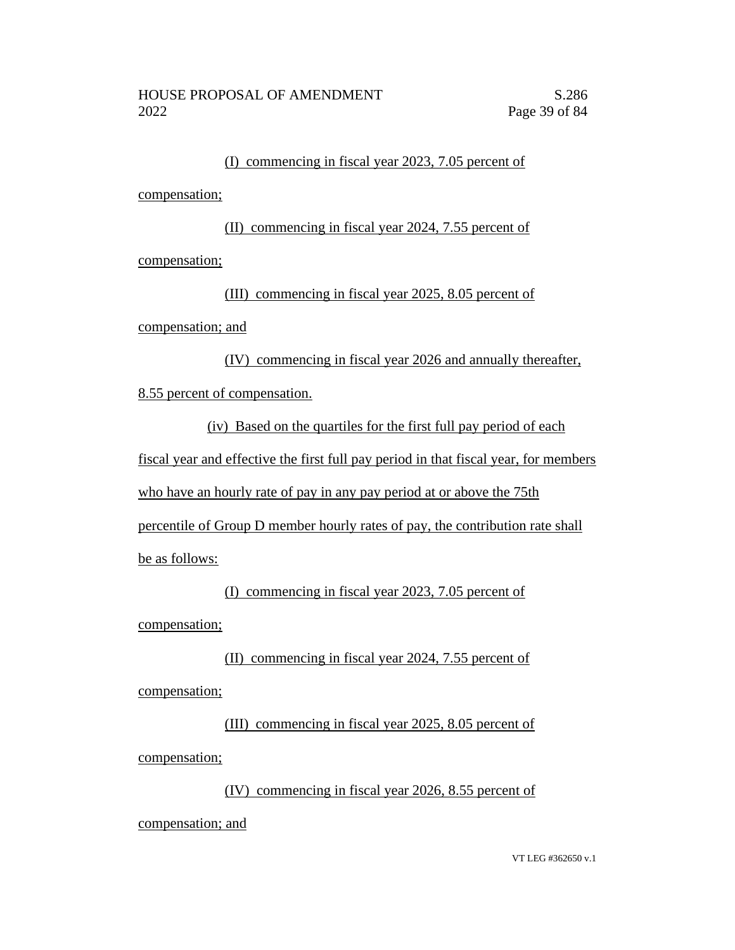#### (I) commencing in fiscal year 2023, 7.05 percent of

compensation;

(II) commencing in fiscal year 2024, 7.55 percent of compensation;

(III) commencing in fiscal year 2025, 8.05 percent of

compensation; and

(IV) commencing in fiscal year 2026 and annually thereafter,

8.55 percent of compensation.

(iv) Based on the quartiles for the first full pay period of each

fiscal year and effective the first full pay period in that fiscal year, for members

who have an hourly rate of pay in any pay period at or above the 75th

percentile of Group D member hourly rates of pay, the contribution rate shall

be as follows:

(I) commencing in fiscal year 2023, 7.05 percent of compensation;

(II) commencing in fiscal year 2024, 7.55 percent of compensation;

(III) commencing in fiscal year 2025, 8.05 percent of compensation;

(IV) commencing in fiscal year 2026, 8.55 percent of

compensation; and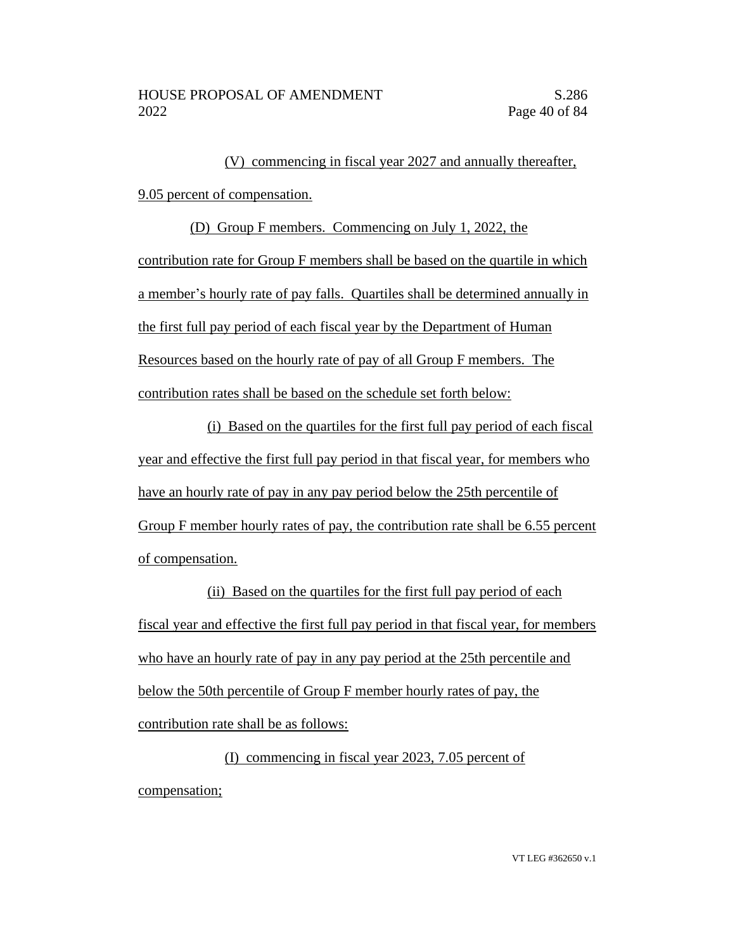(V) commencing in fiscal year 2027 and annually thereafter, 9.05 percent of compensation.

(D) Group F members. Commencing on July 1, 2022, the contribution rate for Group F members shall be based on the quartile in which a member's hourly rate of pay falls. Quartiles shall be determined annually in the first full pay period of each fiscal year by the Department of Human Resources based on the hourly rate of pay of all Group F members. The contribution rates shall be based on the schedule set forth below:

(i) Based on the quartiles for the first full pay period of each fiscal year and effective the first full pay period in that fiscal year, for members who have an hourly rate of pay in any pay period below the 25th percentile of Group F member hourly rates of pay, the contribution rate shall be 6.55 percent of compensation.

(ii) Based on the quartiles for the first full pay period of each fiscal year and effective the first full pay period in that fiscal year, for members who have an hourly rate of pay in any pay period at the 25th percentile and below the 50th percentile of Group F member hourly rates of pay, the contribution rate shall be as follows:

(I) commencing in fiscal year 2023, 7.05 percent of compensation;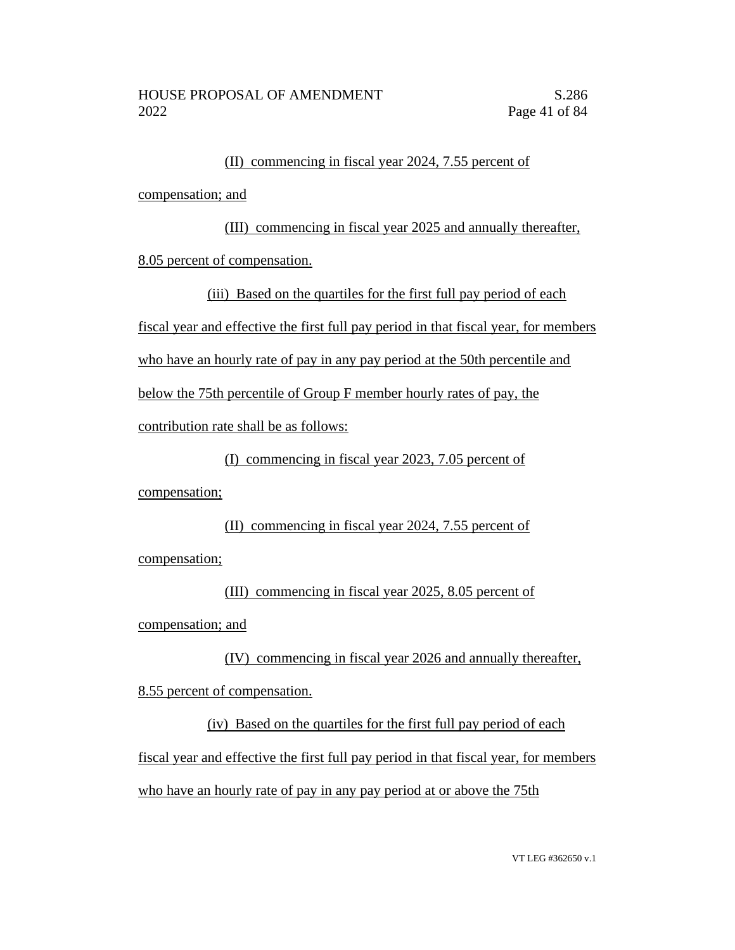### (II) commencing in fiscal year 2024, 7.55 percent of

compensation; and

(III) commencing in fiscal year 2025 and annually thereafter, 8.05 percent of compensation.

(iii) Based on the quartiles for the first full pay period of each fiscal year and effective the first full pay period in that fiscal year, for members who have an hourly rate of pay in any pay period at the 50th percentile and below the 75th percentile of Group F member hourly rates of pay, the contribution rate shall be as follows:

(I) commencing in fiscal year 2023, 7.05 percent of

compensation;

### (II) commencing in fiscal year 2024, 7.55 percent of

compensation;

(III) commencing in fiscal year 2025, 8.05 percent of compensation; and

(IV) commencing in fiscal year 2026 and annually thereafter,

8.55 percent of compensation.

(iv) Based on the quartiles for the first full pay period of each fiscal year and effective the first full pay period in that fiscal year, for members who have an hourly rate of pay in any pay period at or above the 75th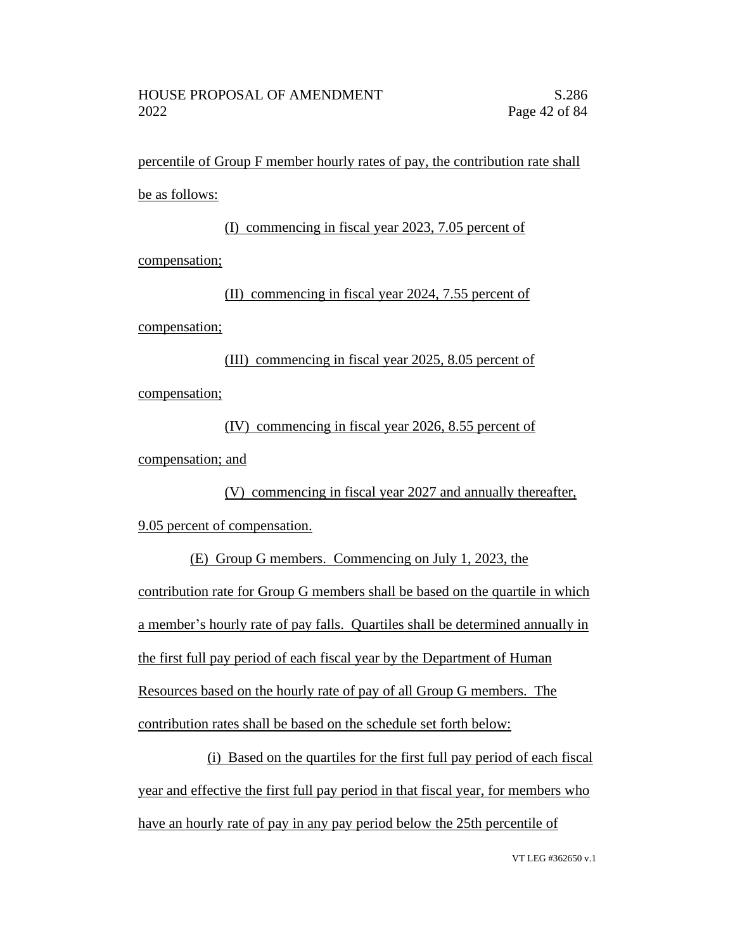percentile of Group F member hourly rates of pay, the contribution rate shall be as follows:

(I) commencing in fiscal year 2023, 7.05 percent of compensation; (II) commencing in fiscal year 2024, 7.55 percent of

compensation;

(III) commencing in fiscal year 2025, 8.05 percent of compensation;

(IV) commencing in fiscal year 2026, 8.55 percent of compensation; and

(V) commencing in fiscal year 2027 and annually thereafter, 9.05 percent of compensation.

(E) Group G members. Commencing on July 1, 2023, the contribution rate for Group G members shall be based on the quartile in which a member's hourly rate of pay falls. Quartiles shall be determined annually in the first full pay period of each fiscal year by the Department of Human Resources based on the hourly rate of pay of all Group G members. The contribution rates shall be based on the schedule set forth below:

(i) Based on the quartiles for the first full pay period of each fiscal year and effective the first full pay period in that fiscal year, for members who have an hourly rate of pay in any pay period below the 25th percentile of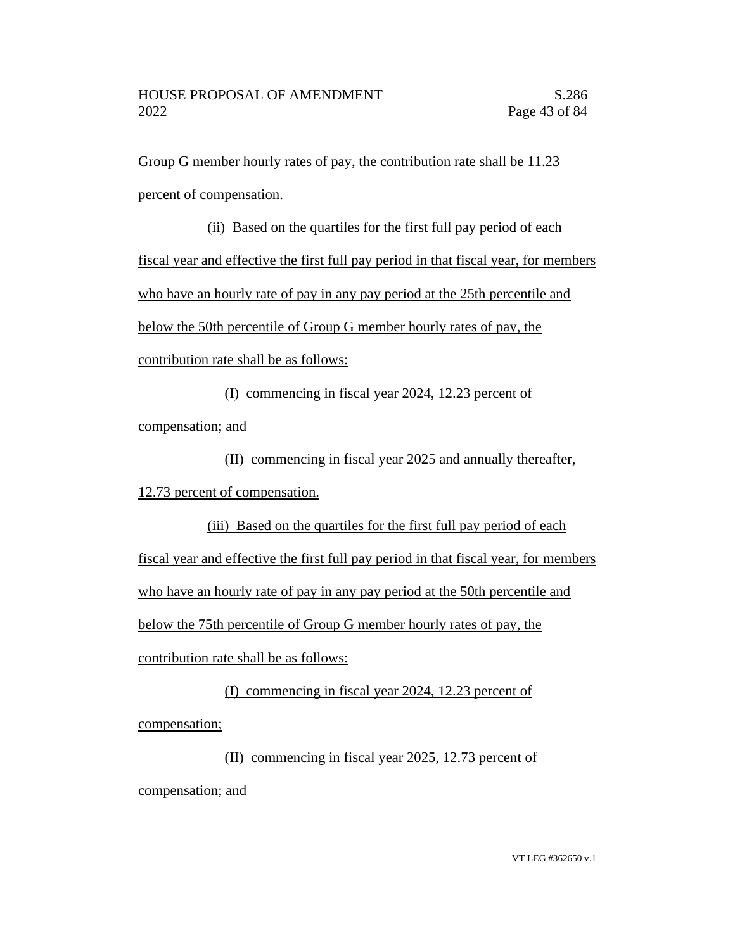Group G member hourly rates of pay, the contribution rate shall be 11.23 percent of compensation.

(ii) Based on the quartiles for the first full pay period of each fiscal year and effective the first full pay period in that fiscal year, for members who have an hourly rate of pay in any pay period at the 25th percentile and below the 50th percentile of Group G member hourly rates of pay, the contribution rate shall be as follows:

(I) commencing in fiscal year 2024, 12.23 percent of

compensation; and

(II) commencing in fiscal year 2025 and annually thereafter,

12.73 percent of compensation.

(iii) Based on the quartiles for the first full pay period of each fiscal year and effective the first full pay period in that fiscal year, for members who have an hourly rate of pay in any pay period at the 50th percentile and below the 75th percentile of Group G member hourly rates of pay, the contribution rate shall be as follows:

(I) commencing in fiscal year 2024, 12.23 percent of compensation;

(II) commencing in fiscal year 2025, 12.73 percent of compensation; and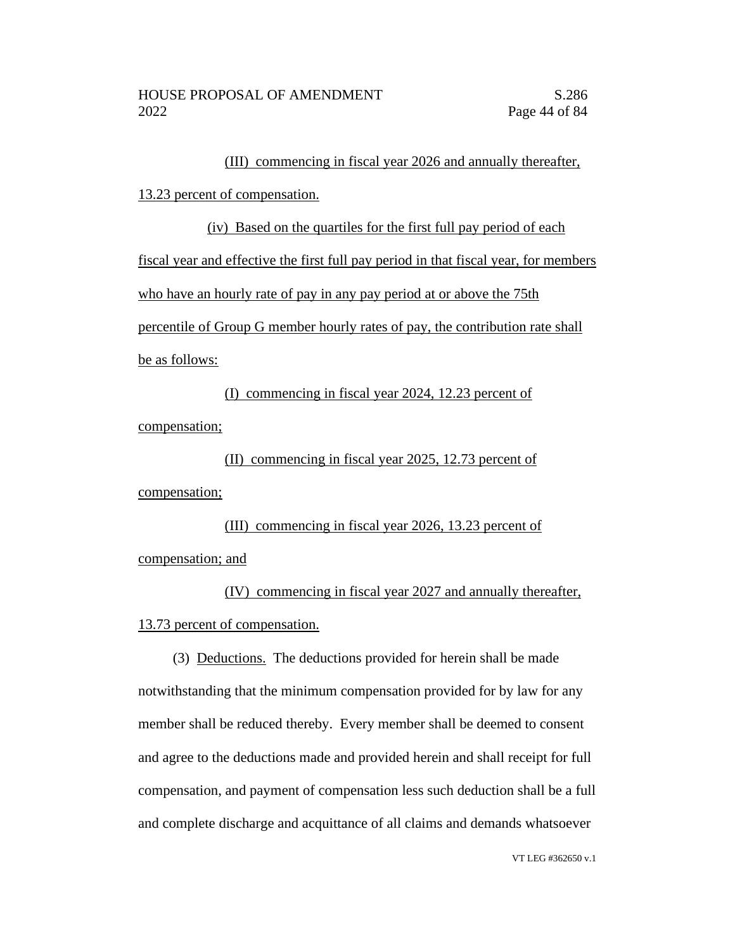#### (III) commencing in fiscal year 2026 and annually thereafter,

#### 13.23 percent of compensation.

(iv) Based on the quartiles for the first full pay period of each fiscal year and effective the first full pay period in that fiscal year, for members who have an hourly rate of pay in any pay period at or above the 75th percentile of Group G member hourly rates of pay, the contribution rate shall be as follows:

(I) commencing in fiscal year 2024, 12.23 percent of compensation;

(II) commencing in fiscal year 2025, 12.73 percent of

compensation;

(III) commencing in fiscal year 2026, 13.23 percent of compensation; and

(IV) commencing in fiscal year 2027 and annually thereafter, 13.73 percent of compensation.

(3) Deductions. The deductions provided for herein shall be made notwithstanding that the minimum compensation provided for by law for any member shall be reduced thereby. Every member shall be deemed to consent and agree to the deductions made and provided herein and shall receipt for full compensation, and payment of compensation less such deduction shall be a full and complete discharge and acquittance of all claims and demands whatsoever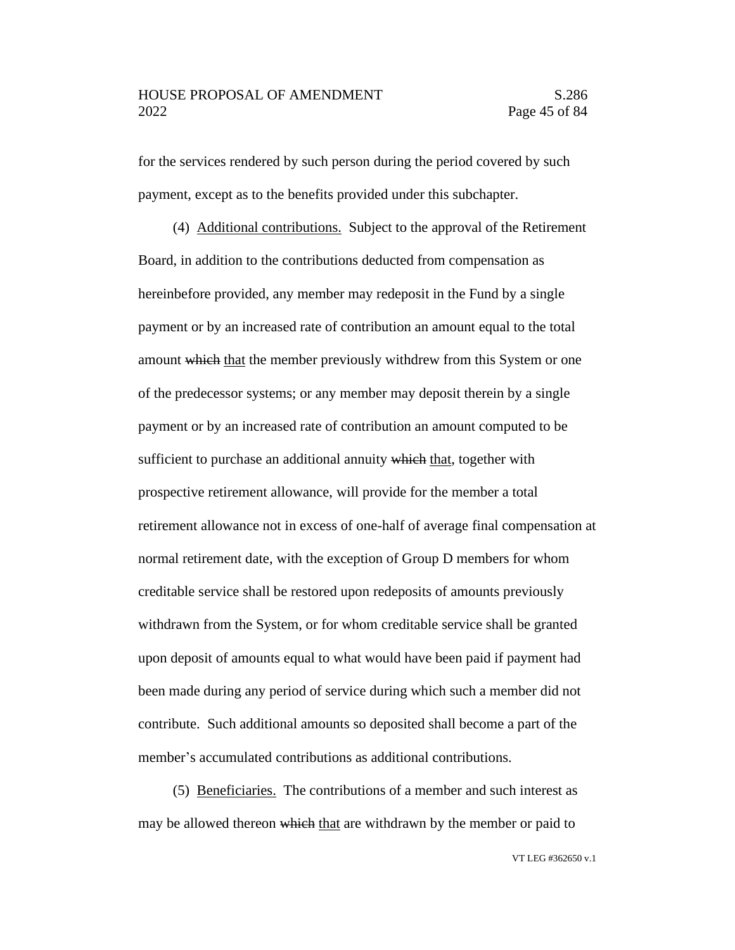for the services rendered by such person during the period covered by such payment, except as to the benefits provided under this subchapter.

(4) Additional contributions. Subject to the approval of the Retirement Board, in addition to the contributions deducted from compensation as hereinbefore provided, any member may redeposit in the Fund by a single payment or by an increased rate of contribution an amount equal to the total amount which that the member previously withdrew from this System or one of the predecessor systems; or any member may deposit therein by a single payment or by an increased rate of contribution an amount computed to be sufficient to purchase an additional annuity which that, together with prospective retirement allowance, will provide for the member a total retirement allowance not in excess of one-half of average final compensation at normal retirement date, with the exception of Group D members for whom creditable service shall be restored upon redeposits of amounts previously withdrawn from the System, or for whom creditable service shall be granted upon deposit of amounts equal to what would have been paid if payment had been made during any period of service during which such a member did not contribute. Such additional amounts so deposited shall become a part of the member's accumulated contributions as additional contributions.

(5) Beneficiaries. The contributions of a member and such interest as may be allowed thereon which that are withdrawn by the member or paid to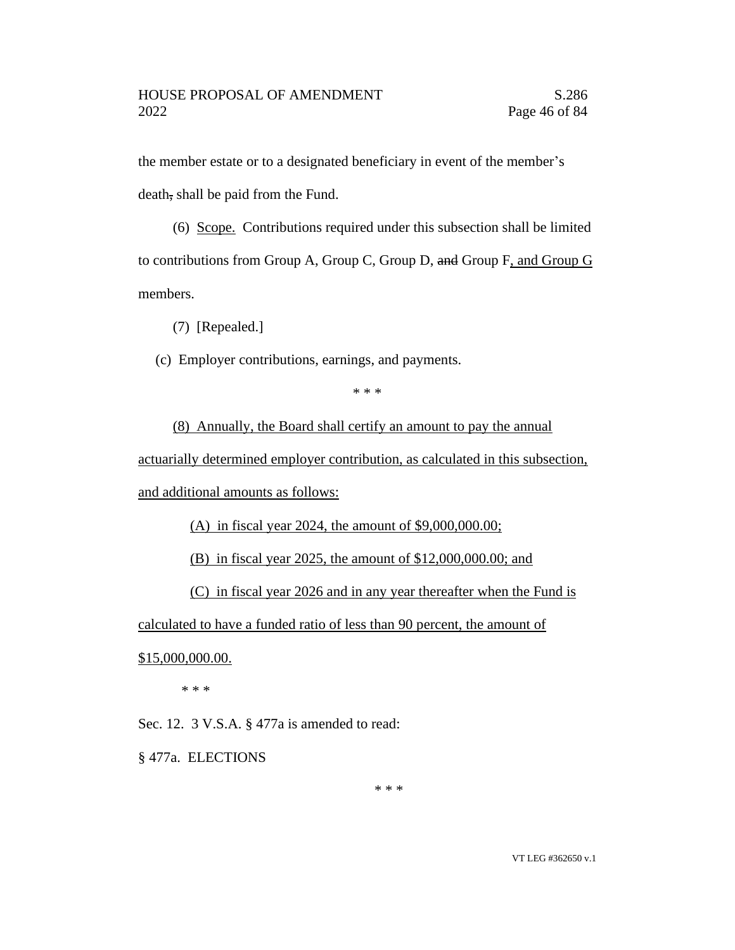the member estate or to a designated beneficiary in event of the member's death, shall be paid from the Fund.

(6) Scope. Contributions required under this subsection shall be limited to contributions from Group A, Group C, Group D, and Group F, and Group G members.

(7) [Repealed.]

(c) Employer contributions, earnings, and payments.

\* \* \*

(8) Annually, the Board shall certify an amount to pay the annual

actuarially determined employer contribution, as calculated in this subsection, and additional amounts as follows:

(A) in fiscal year 2024, the amount of \$9,000,000.00;

(B) in fiscal year 2025, the amount of \$12,000,000.00; and

(C) in fiscal year 2026 and in any year thereafter when the Fund is

calculated to have a funded ratio of less than 90 percent, the amount of

\$15,000,000.00.

\* \* \*

Sec. 12. 3 V.S.A. § 477a is amended to read:

§ 477a. ELECTIONS

\* \* \*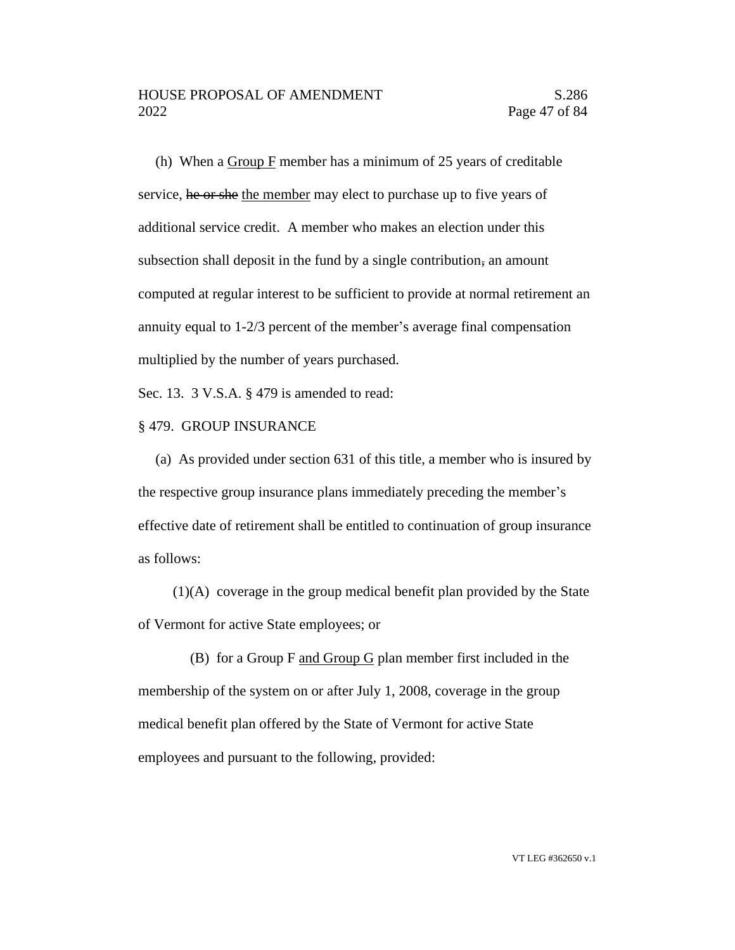(h) When a Group F member has a minimum of 25 years of creditable service, he or she the member may elect to purchase up to five years of additional service credit. A member who makes an election under this subsection shall deposit in the fund by a single contribution, an amount computed at regular interest to be sufficient to provide at normal retirement an annuity equal to 1-2/3 percent of the member's average final compensation multiplied by the number of years purchased.

Sec. 13. 3 V.S.A. § 479 is amended to read:

#### § 479. GROUP INSURANCE

(a) As provided under section 631 of this title, a member who is insured by the respective group insurance plans immediately preceding the member's effective date of retirement shall be entitled to continuation of group insurance as follows:

(1)(A) coverage in the group medical benefit plan provided by the State of Vermont for active State employees; or

(B) for a Group F and Group G plan member first included in the membership of the system on or after July 1, 2008, coverage in the group medical benefit plan offered by the State of Vermont for active State employees and pursuant to the following, provided: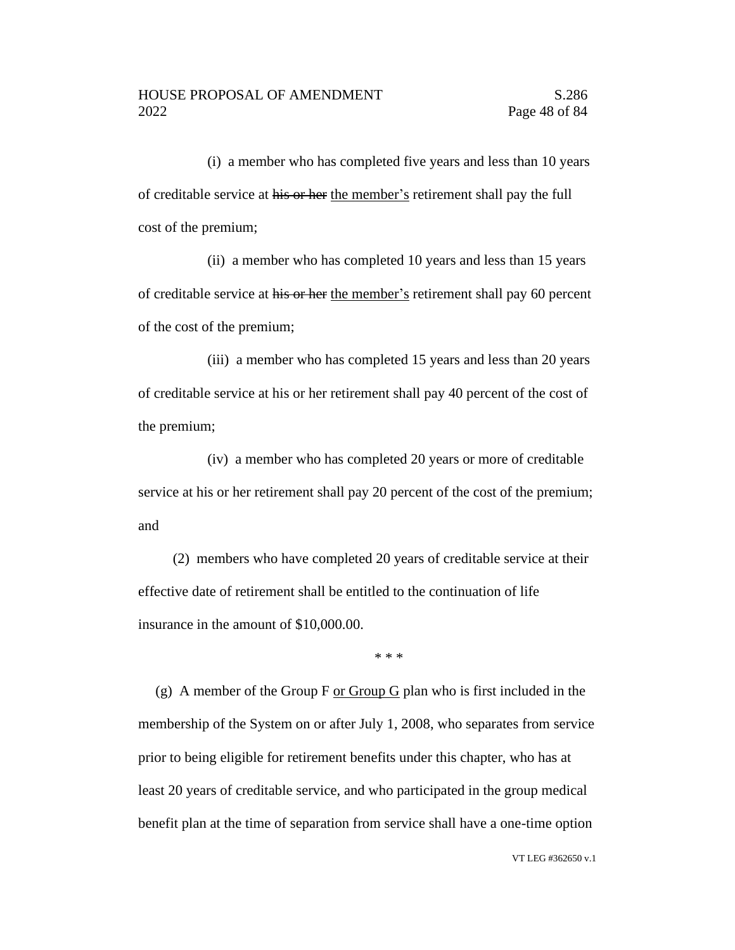(i) a member who has completed five years and less than 10 years of creditable service at his or her the member's retirement shall pay the full cost of the premium;

(ii) a member who has completed 10 years and less than 15 years of creditable service at his or her the member's retirement shall pay 60 percent of the cost of the premium;

(iii) a member who has completed 15 years and less than 20 years of creditable service at his or her retirement shall pay 40 percent of the cost of the premium;

(iv) a member who has completed 20 years or more of creditable service at his or her retirement shall pay 20 percent of the cost of the premium; and

(2) members who have completed 20 years of creditable service at their effective date of retirement shall be entitled to the continuation of life insurance in the amount of \$10,000.00.

\* \* \*

(g) A member of the Group F or Group G plan who is first included in the membership of the System on or after July 1, 2008, who separates from service prior to being eligible for retirement benefits under this chapter, who has at least 20 years of creditable service, and who participated in the group medical benefit plan at the time of separation from service shall have a one-time option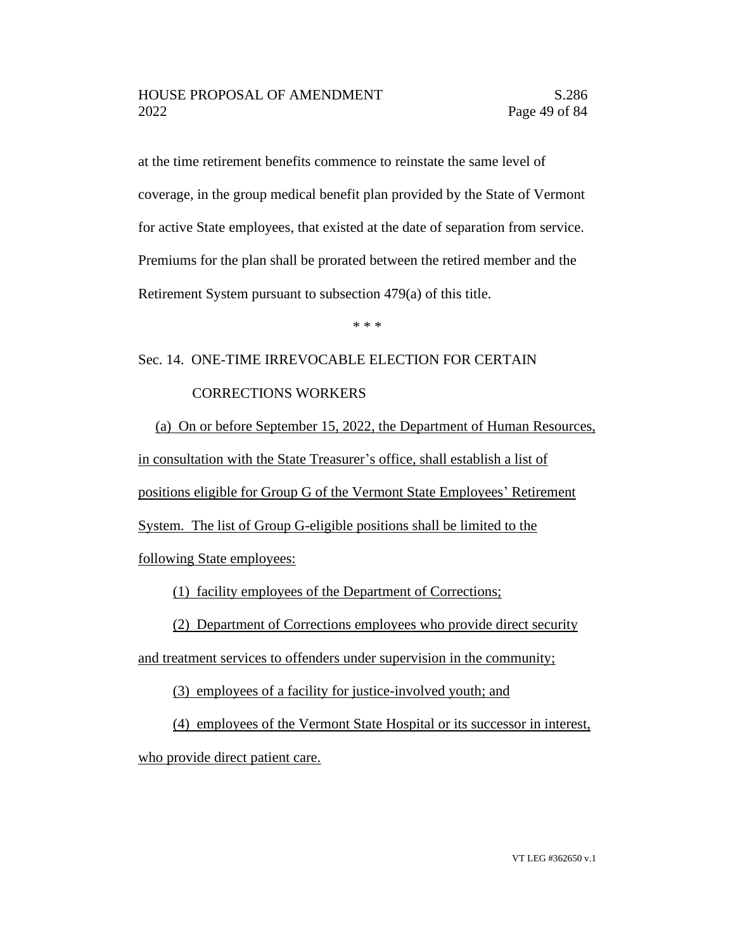at the time retirement benefits commence to reinstate the same level of coverage, in the group medical benefit plan provided by the State of Vermont for active State employees, that existed at the date of separation from service. Premiums for the plan shall be prorated between the retired member and the Retirement System pursuant to subsection 479(a) of this title.

\* \* \*

### Sec. 14. ONE-TIME IRREVOCABLE ELECTION FOR CERTAIN

#### CORRECTIONS WORKERS

(a) On or before September 15, 2022, the Department of Human Resources, in consultation with the State Treasurer's office, shall establish a list of positions eligible for Group G of the Vermont State Employees' Retirement System. The list of Group G-eligible positions shall be limited to the following State employees:

(1) facility employees of the Department of Corrections;

(2) Department of Corrections employees who provide direct security

and treatment services to offenders under supervision in the community;

(3) employees of a facility for justice-involved youth; and

(4) employees of the Vermont State Hospital or its successor in interest, who provide direct patient care.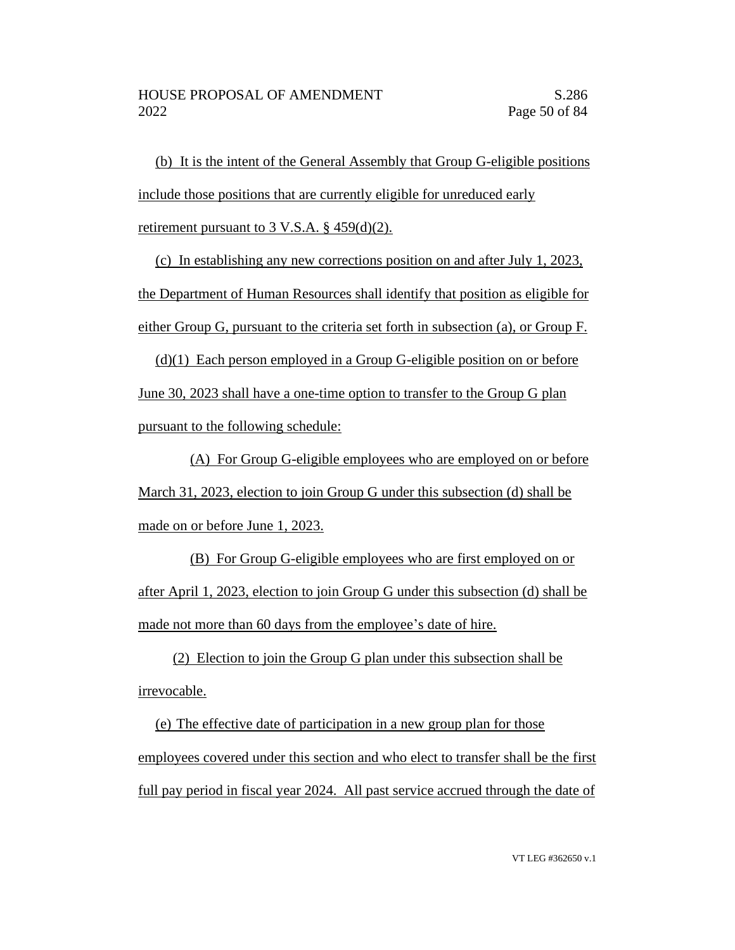(b) It is the intent of the General Assembly that Group G-eligible positions include those positions that are currently eligible for unreduced early retirement pursuant to 3 V.S.A. § 459(d)(2).

(c) In establishing any new corrections position on and after July 1, 2023, the Department of Human Resources shall identify that position as eligible for either Group G, pursuant to the criteria set forth in subsection (a), or Group F.

(d)(1) Each person employed in a Group G-eligible position on or before June 30, 2023 shall have a one-time option to transfer to the Group G plan pursuant to the following schedule:

(A) For Group G-eligible employees who are employed on or before March 31, 2023, election to join Group G under this subsection (d) shall be made on or before June 1, 2023.

(B) For Group G-eligible employees who are first employed on or after April 1, 2023, election to join Group G under this subsection (d) shall be made not more than 60 days from the employee's date of hire.

(2) Election to join the Group G plan under this subsection shall be irrevocable.

(e) The effective date of participation in a new group plan for those employees covered under this section and who elect to transfer shall be the first full pay period in fiscal year 2024. All past service accrued through the date of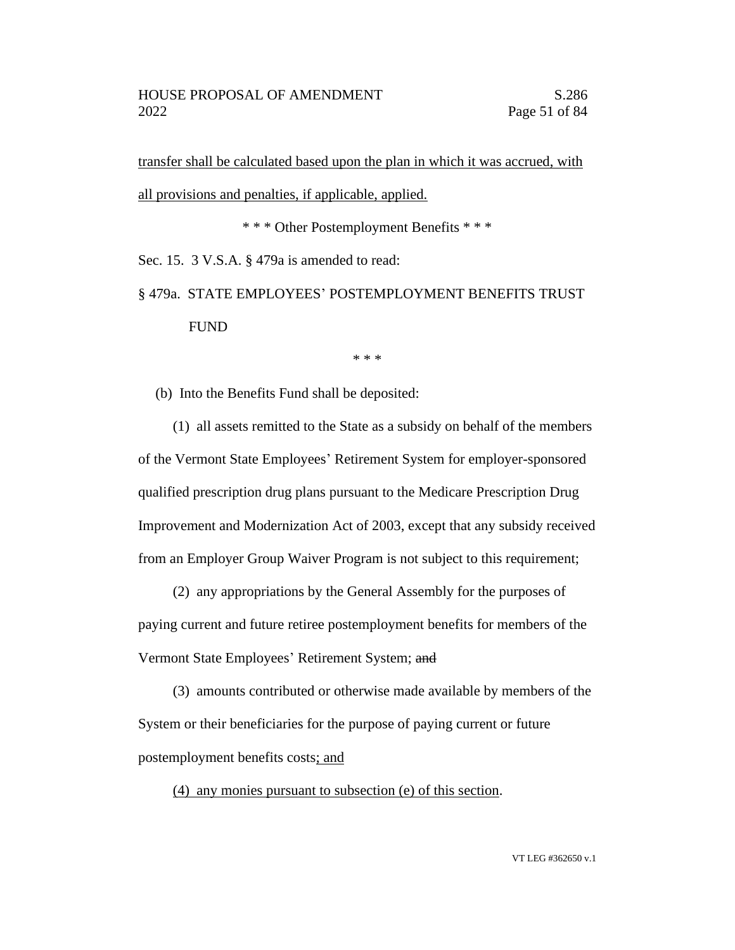transfer shall be calculated based upon the plan in which it was accrued, with all provisions and penalties, if applicable, applied.

\* \* \* Other Postemployment Benefits \* \* \*

Sec. 15. 3 V.S.A. § 479a is amended to read:

§ 479a. STATE EMPLOYEES' POSTEMPLOYMENT BENEFITS TRUST FUND

\* \* \*

(b) Into the Benefits Fund shall be deposited:

(1) all assets remitted to the State as a subsidy on behalf of the members of the Vermont State Employees' Retirement System for employer-sponsored qualified prescription drug plans pursuant to the Medicare Prescription Drug Improvement and Modernization Act of 2003, except that any subsidy received from an Employer Group Waiver Program is not subject to this requirement;

(2) any appropriations by the General Assembly for the purposes of paying current and future retiree postemployment benefits for members of the Vermont State Employees' Retirement System; and

(3) amounts contributed or otherwise made available by members of the System or their beneficiaries for the purpose of paying current or future postemployment benefits costs; and

(4) any monies pursuant to subsection (e) of this section.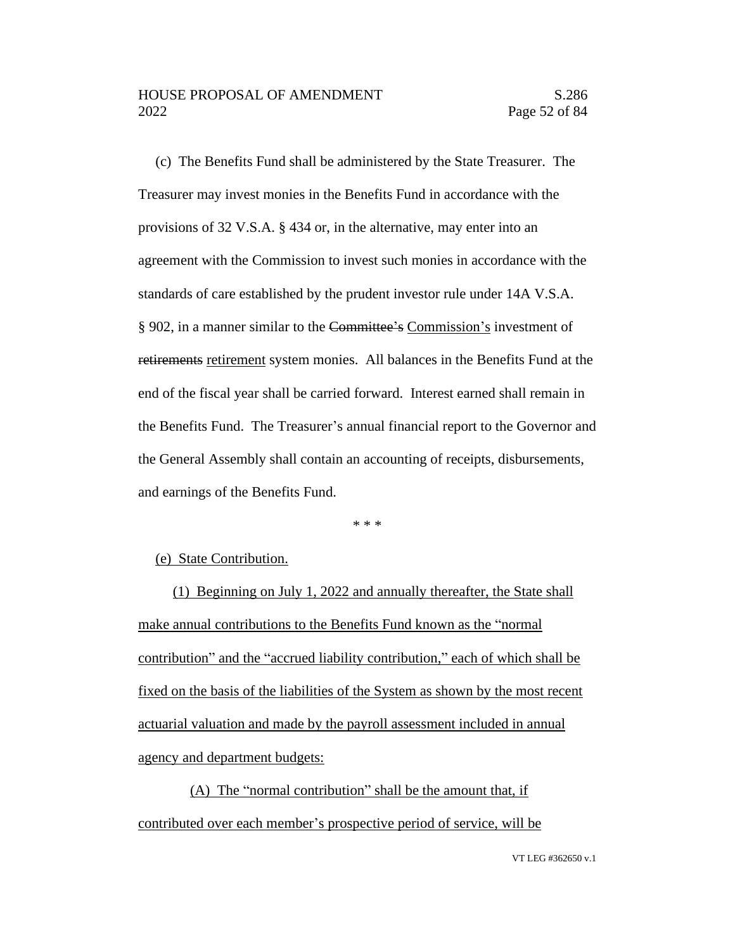(c) The Benefits Fund shall be administered by the State Treasurer. The Treasurer may invest monies in the Benefits Fund in accordance with the provisions of 32 V.S.A. § 434 or, in the alternative, may enter into an agreement with the Commission to invest such monies in accordance with the standards of care established by the prudent investor rule under 14A V.S.A. § 902, in a manner similar to the Committee's Commission's investment of retirements retirement system monies. All balances in the Benefits Fund at the end of the fiscal year shall be carried forward. Interest earned shall remain in the Benefits Fund. The Treasurer's annual financial report to the Governor and the General Assembly shall contain an accounting of receipts, disbursements, and earnings of the Benefits Fund.

\* \* \*

#### (e) State Contribution.

(1) Beginning on July 1, 2022 and annually thereafter, the State shall make annual contributions to the Benefits Fund known as the "normal contribution" and the "accrued liability contribution," each of which shall be fixed on the basis of the liabilities of the System as shown by the most recent actuarial valuation and made by the payroll assessment included in annual agency and department budgets:

(A) The "normal contribution" shall be the amount that, if contributed over each member's prospective period of service, will be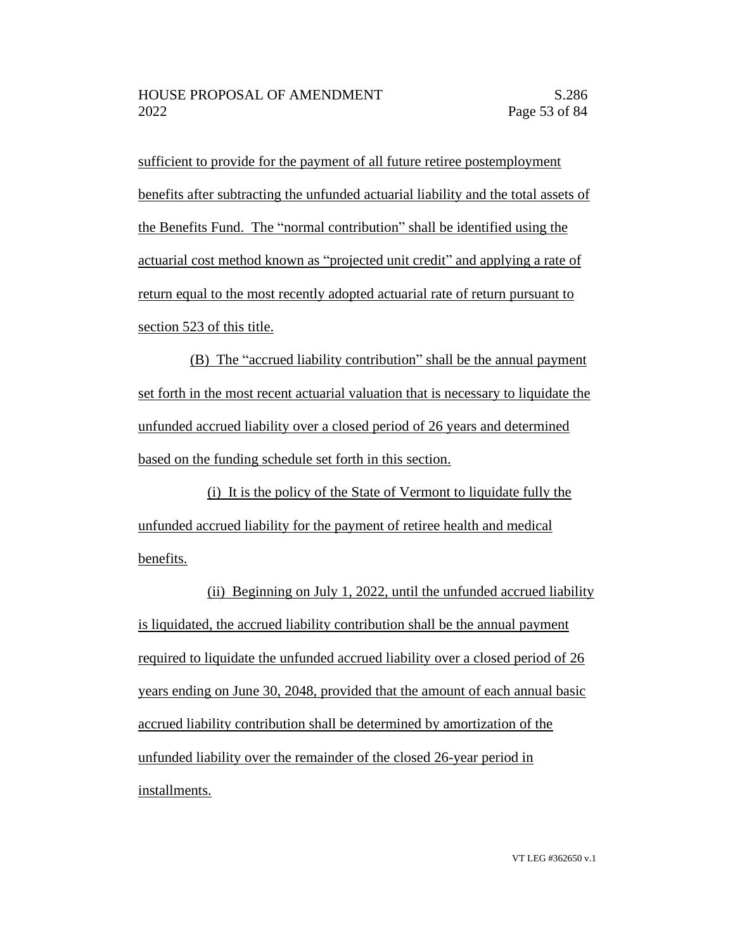sufficient to provide for the payment of all future retiree postemployment benefits after subtracting the unfunded actuarial liability and the total assets of the Benefits Fund. The "normal contribution" shall be identified using the actuarial cost method known as "projected unit credit" and applying a rate of return equal to the most recently adopted actuarial rate of return pursuant to section 523 of this title.

(B) The "accrued liability contribution" shall be the annual payment set forth in the most recent actuarial valuation that is necessary to liquidate the unfunded accrued liability over a closed period of 26 years and determined based on the funding schedule set forth in this section.

(i) It is the policy of the State of Vermont to liquidate fully the unfunded accrued liability for the payment of retiree health and medical benefits.

(ii) Beginning on July 1, 2022, until the unfunded accrued liability is liquidated, the accrued liability contribution shall be the annual payment required to liquidate the unfunded accrued liability over a closed period of 26 years ending on June 30, 2048, provided that the amount of each annual basic accrued liability contribution shall be determined by amortization of the unfunded liability over the remainder of the closed 26-year period in installments.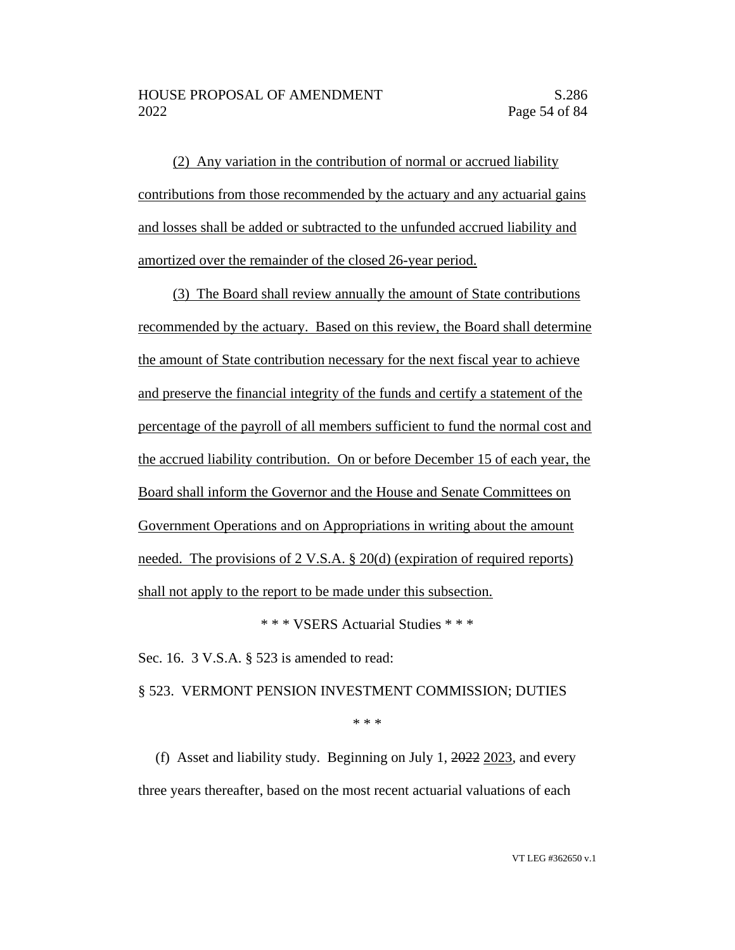(2) Any variation in the contribution of normal or accrued liability contributions from those recommended by the actuary and any actuarial gains and losses shall be added or subtracted to the unfunded accrued liability and amortized over the remainder of the closed 26-year period.

(3) The Board shall review annually the amount of State contributions recommended by the actuary. Based on this review, the Board shall determine the amount of State contribution necessary for the next fiscal year to achieve and preserve the financial integrity of the funds and certify a statement of the percentage of the payroll of all members sufficient to fund the normal cost and the accrued liability contribution. On or before December 15 of each year, the Board shall inform the Governor and the House and Senate Committees on Government Operations and on Appropriations in writing about the amount needed. The provisions of 2 V.S.A. § 20(d) (expiration of required reports) shall not apply to the report to be made under this subsection.

\* \* \* VSERS Actuarial Studies \* \* \*

Sec. 16. 3 V.S.A. § 523 is amended to read:

§ 523. VERMONT PENSION INVESTMENT COMMISSION; DUTIES

\* \* \*

(f) Asset and liability study. Beginning on July 1, 2022 2023, and every three years thereafter, based on the most recent actuarial valuations of each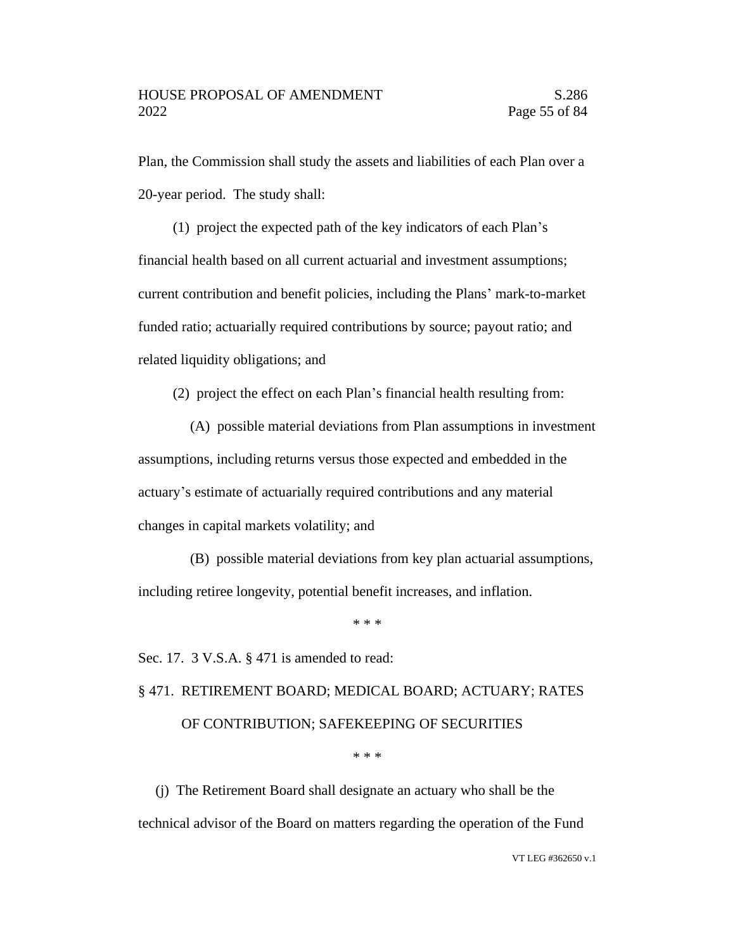Plan, the Commission shall study the assets and liabilities of each Plan over a 20-year period. The study shall:

(1) project the expected path of the key indicators of each Plan's financial health based on all current actuarial and investment assumptions; current contribution and benefit policies, including the Plans' mark-to-market funded ratio; actuarially required contributions by source; payout ratio; and related liquidity obligations; and

(2) project the effect on each Plan's financial health resulting from:

(A) possible material deviations from Plan assumptions in investment assumptions, including returns versus those expected and embedded in the actuary's estimate of actuarially required contributions and any material changes in capital markets volatility; and

(B) possible material deviations from key plan actuarial assumptions, including retiree longevity, potential benefit increases, and inflation.

\* \* \*

Sec. 17. 3 V.S.A. § 471 is amended to read:

## § 471. RETIREMENT BOARD; MEDICAL BOARD; ACTUARY; RATES OF CONTRIBUTION; SAFEKEEPING OF SECURITIES

\* \* \*

(j) The Retirement Board shall designate an actuary who shall be the technical advisor of the Board on matters regarding the operation of the Fund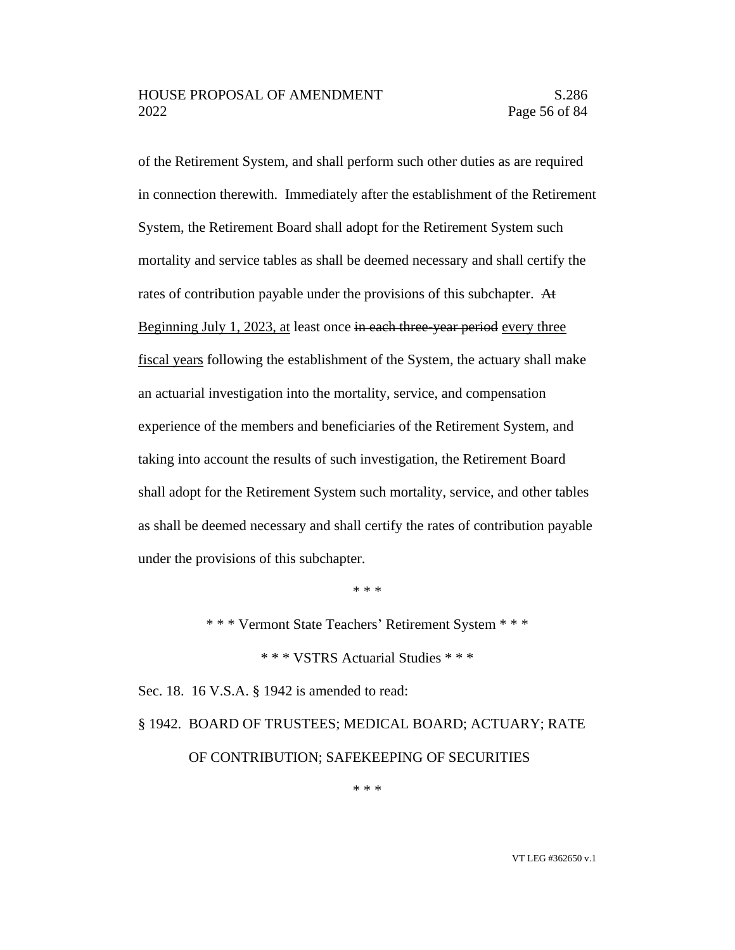#### HOUSE PROPOSAL OF AMENDMENT S.286 2022 Page 56 of 84

of the Retirement System, and shall perform such other duties as are required in connection therewith. Immediately after the establishment of the Retirement System, the Retirement Board shall adopt for the Retirement System such mortality and service tables as shall be deemed necessary and shall certify the rates of contribution payable under the provisions of this subchapter. At Beginning July 1, 2023, at least once in each three-year period every three fiscal years following the establishment of the System, the actuary shall make an actuarial investigation into the mortality, service, and compensation experience of the members and beneficiaries of the Retirement System, and taking into account the results of such investigation, the Retirement Board shall adopt for the Retirement System such mortality, service, and other tables as shall be deemed necessary and shall certify the rates of contribution payable under the provisions of this subchapter.

\* \* \*

\* \* \* Vermont State Teachers' Retirement System \* \* \*

\* \* \* VSTRS Actuarial Studies \* \* \*

Sec. 18. 16 V.S.A. § 1942 is amended to read:

## § 1942. BOARD OF TRUSTEES; MEDICAL BOARD; ACTUARY; RATE OF CONTRIBUTION; SAFEKEEPING OF SECURITIES

\* \* \*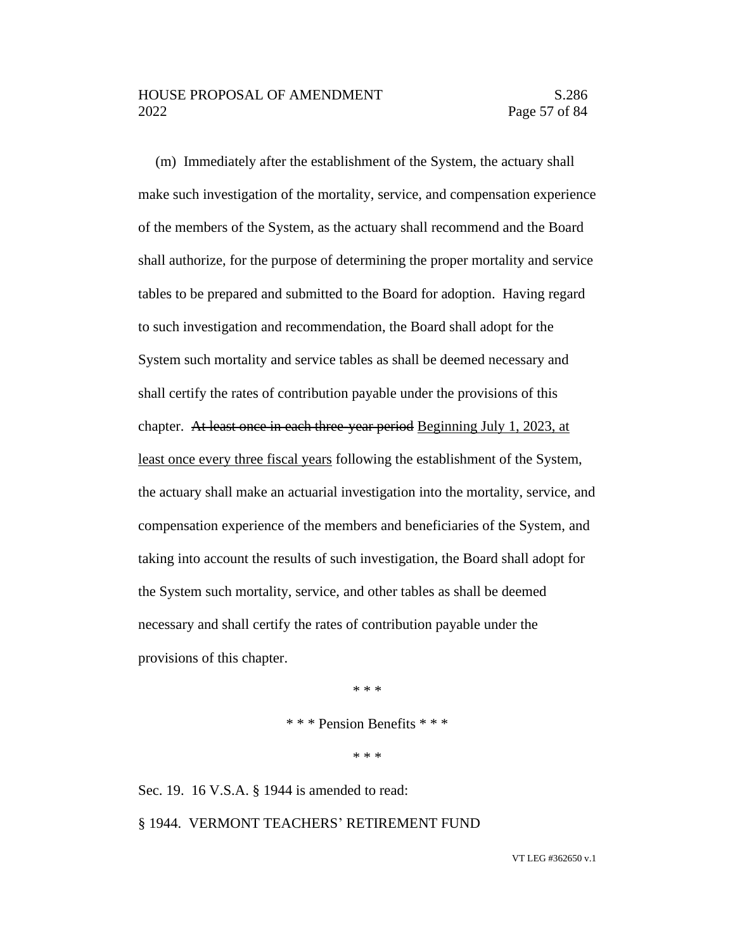(m) Immediately after the establishment of the System, the actuary shall make such investigation of the mortality, service, and compensation experience of the members of the System, as the actuary shall recommend and the Board shall authorize, for the purpose of determining the proper mortality and service tables to be prepared and submitted to the Board for adoption. Having regard to such investigation and recommendation, the Board shall adopt for the System such mortality and service tables as shall be deemed necessary and shall certify the rates of contribution payable under the provisions of this chapter. At least once in each three-year period Beginning July 1, 2023, at least once every three fiscal years following the establishment of the System, the actuary shall make an actuarial investigation into the mortality, service, and compensation experience of the members and beneficiaries of the System, and taking into account the results of such investigation, the Board shall adopt for the System such mortality, service, and other tables as shall be deemed necessary and shall certify the rates of contribution payable under the provisions of this chapter.

\* \* \*

\* \* \* Pension Benefits \* \* \*

\* \* \*

Sec. 19. 16 V.S.A. § 1944 is amended to read: § 1944. VERMONT TEACHERS' RETIREMENT FUND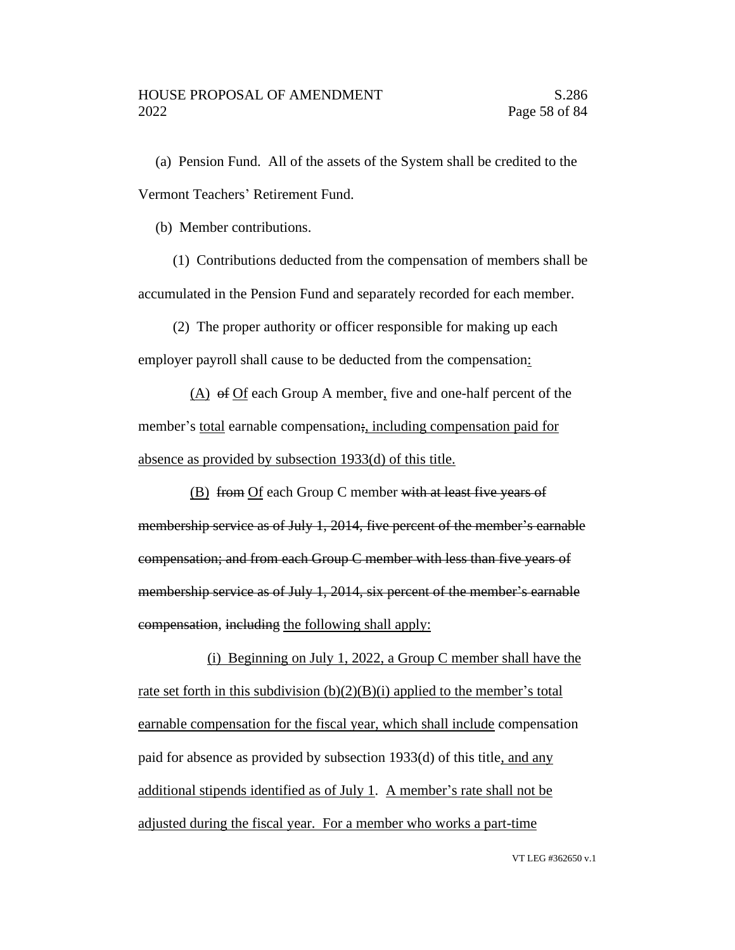(a) Pension Fund. All of the assets of the System shall be credited to the Vermont Teachers' Retirement Fund.

(b) Member contributions.

(1) Contributions deducted from the compensation of members shall be accumulated in the Pension Fund and separately recorded for each member.

(2) The proper authority or officer responsible for making up each employer payroll shall cause to be deducted from the compensation:

(A) of Of each Group A member, five and one-half percent of the member's total earnable compensation; including compensation paid for absence as provided by subsection 1933(d) of this title.

(B) from Of each Group C member with at least five years of membership service as of July 1, 2014, five percent of the member's earnable compensation; and from each Group C member with less than five years of membership service as of July 1, 2014, six percent of the member's earnable compensation, including the following shall apply:

(i) Beginning on July 1, 2022, a Group C member shall have the rate set forth in this subdivision  $(b)(2)(B)(i)$  applied to the member's total earnable compensation for the fiscal year, which shall include compensation paid for absence as provided by subsection 1933(d) of this title, and any additional stipends identified as of July 1. A member's rate shall not be adjusted during the fiscal year. For a member who works a part-time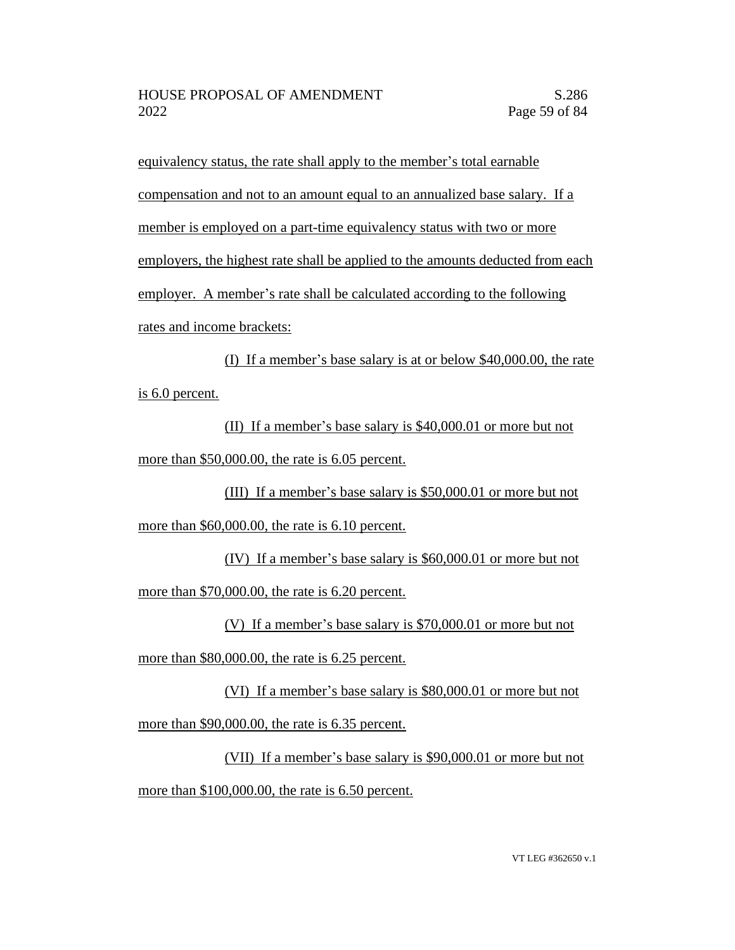equivalency status, the rate shall apply to the member's total earnable compensation and not to an amount equal to an annualized base salary. If a member is employed on a part-time equivalency status with two or more employers, the highest rate shall be applied to the amounts deducted from each employer. A member's rate shall be calculated according to the following rates and income brackets:

(I) If a member's base salary is at or below \$40,000.00, the rate is 6.0 percent.

(II) If a member's base salary is \$40,000.01 or more but not more than \$50,000.00, the rate is 6.05 percent.

(III) If a member's base salary is \$50,000.01 or more but not more than \$60,000.00, the rate is 6.10 percent.

(IV) If a member's base salary is \$60,000.01 or more but not more than \$70,000.00, the rate is 6.20 percent.

(V) If a member's base salary is \$70,000.01 or more but not

more than \$80,000.00, the rate is 6.25 percent.

(VI) If a member's base salary is \$80,000.01 or more but not more than \$90,000.00, the rate is 6.35 percent.

(VII) If a member's base salary is \$90,000.01 or more but not more than \$100,000.00, the rate is 6.50 percent.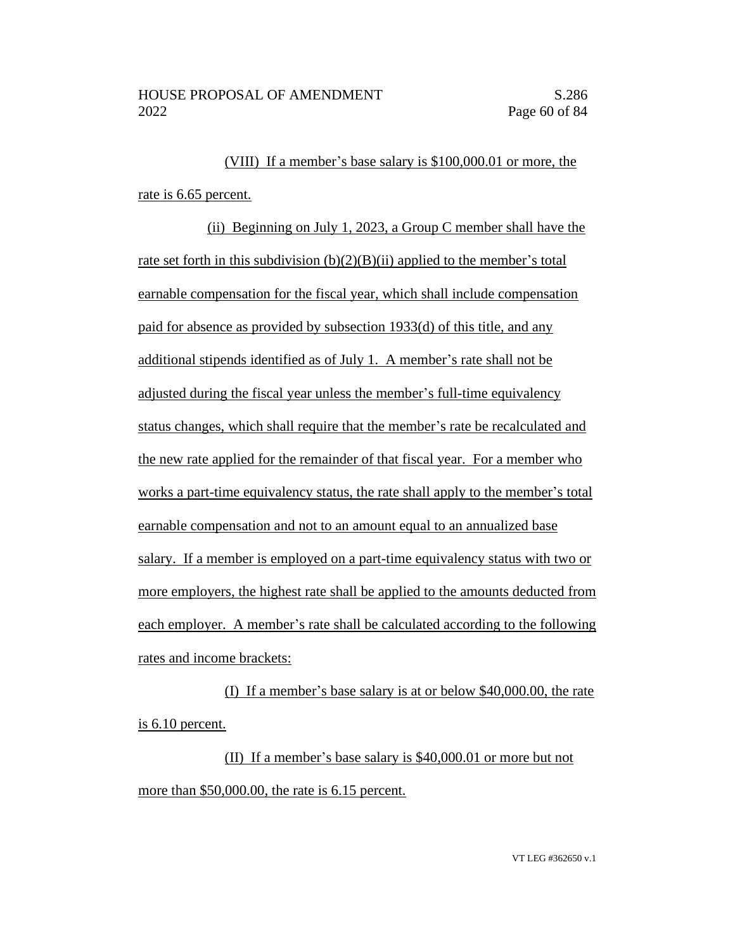(VIII) If a member's base salary is \$100,000.01 or more, the rate is 6.65 percent.

(ii) Beginning on July 1, 2023, a Group C member shall have the rate set forth in this subdivision  $(b)(2)(B)(ii)$  applied to the member's total earnable compensation for the fiscal year, which shall include compensation paid for absence as provided by subsection 1933(d) of this title, and any additional stipends identified as of July 1. A member's rate shall not be adjusted during the fiscal year unless the member's full-time equivalency status changes, which shall require that the member's rate be recalculated and the new rate applied for the remainder of that fiscal year. For a member who works a part-time equivalency status, the rate shall apply to the member's total earnable compensation and not to an amount equal to an annualized base salary. If a member is employed on a part-time equivalency status with two or more employers, the highest rate shall be applied to the amounts deducted from each employer. A member's rate shall be calculated according to the following rates and income brackets:

(I) If a member's base salary is at or below \$40,000.00, the rate is 6.10 percent.

(II) If a member's base salary is \$40,000.01 or more but not more than \$50,000.00, the rate is 6.15 percent.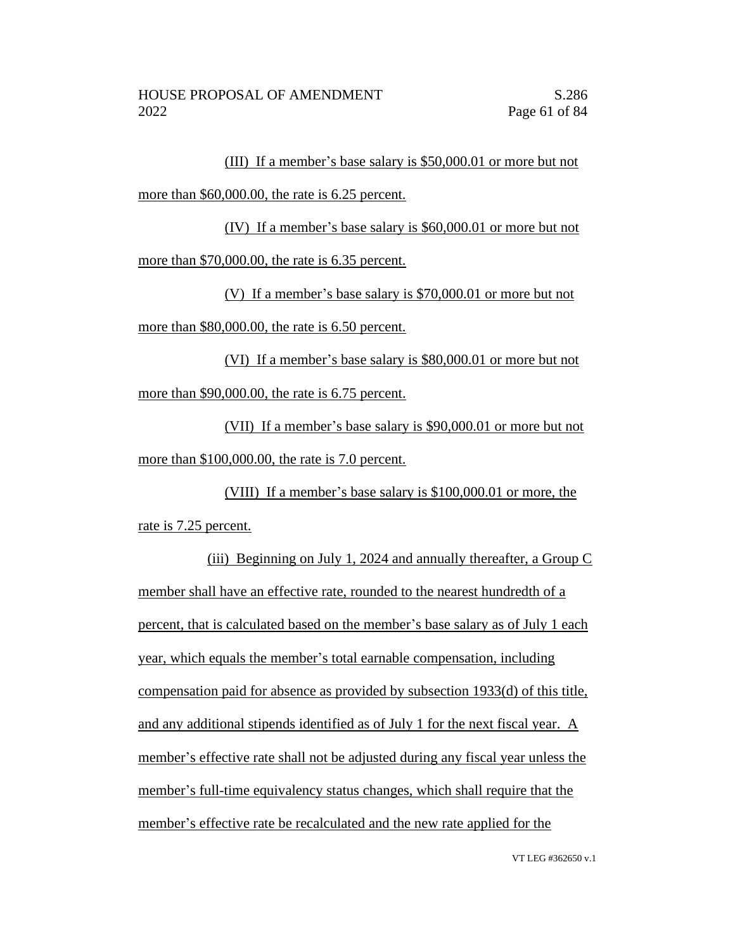(III) If a member's base salary is \$50,000.01 or more but not more than \$60,000.00, the rate is 6.25 percent.

(IV) If a member's base salary is \$60,000.01 or more but not more than \$70,000.00, the rate is 6.35 percent.

(V) If a member's base salary is \$70,000.01 or more but not more than \$80,000.00, the rate is 6.50 percent.

(VI) If a member's base salary is \$80,000.01 or more but not more than \$90,000.00, the rate is 6.75 percent.

(VII) If a member's base salary is \$90,000.01 or more but not more than \$100,000.00, the rate is 7.0 percent.

(VIII) If a member's base salary is \$100,000.01 or more, the rate is 7.25 percent.

(iii) Beginning on July 1, 2024 and annually thereafter, a Group C member shall have an effective rate, rounded to the nearest hundredth of a percent, that is calculated based on the member's base salary as of July 1 each year, which equals the member's total earnable compensation, including compensation paid for absence as provided by subsection 1933(d) of this title, and any additional stipends identified as of July 1 for the next fiscal year. A member's effective rate shall not be adjusted during any fiscal year unless the member's full-time equivalency status changes, which shall require that the member's effective rate be recalculated and the new rate applied for the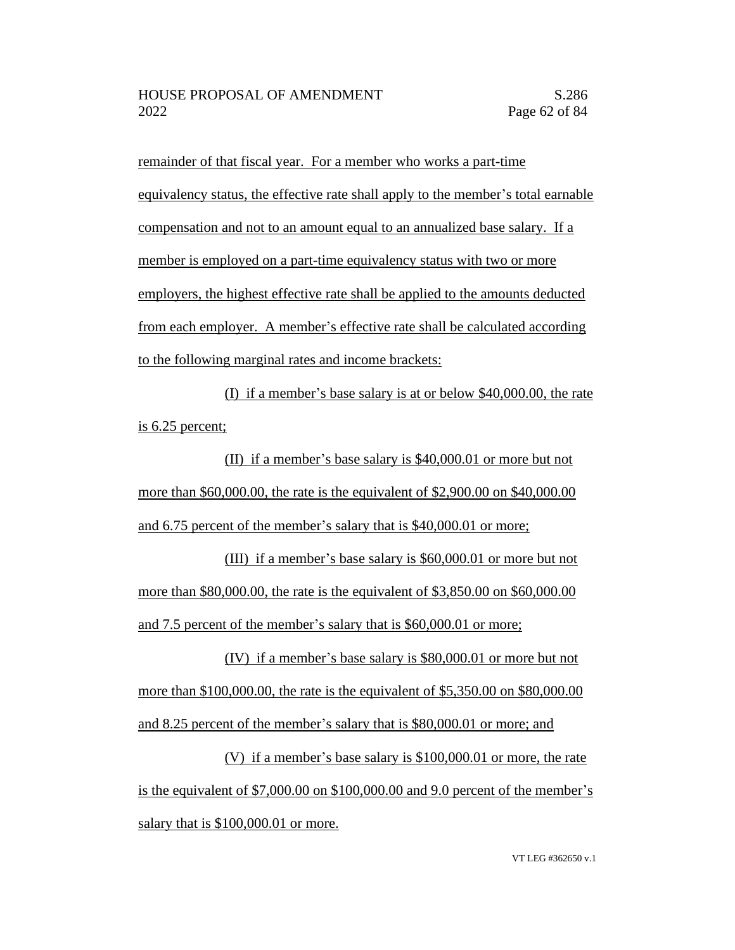remainder of that fiscal year. For a member who works a part-time equivalency status, the effective rate shall apply to the member's total earnable compensation and not to an amount equal to an annualized base salary. If a member is employed on a part-time equivalency status with two or more employers, the highest effective rate shall be applied to the amounts deducted from each employer. A member's effective rate shall be calculated according to the following marginal rates and income brackets:

(I) if a member's base salary is at or below \$40,000.00, the rate is 6.25 percent;

(II) if a member's base salary is \$40,000.01 or more but not more than \$60,000.00, the rate is the equivalent of \$2,900.00 on \$40,000.00 and 6.75 percent of the member's salary that is \$40,000.01 or more;

(III) if a member's base salary is \$60,000.01 or more but not more than \$80,000.00, the rate is the equivalent of \$3,850.00 on \$60,000.00 and 7.5 percent of the member's salary that is \$60,000.01 or more;

(IV) if a member's base salary is \$80,000.01 or more but not more than \$100,000.00, the rate is the equivalent of \$5,350.00 on \$80,000.00 and 8.25 percent of the member's salary that is \$80,000.01 or more; and

(V) if a member's base salary is \$100,000.01 or more, the rate is the equivalent of \$7,000.00 on \$100,000.00 and 9.0 percent of the member's salary that is \$100,000.01 or more.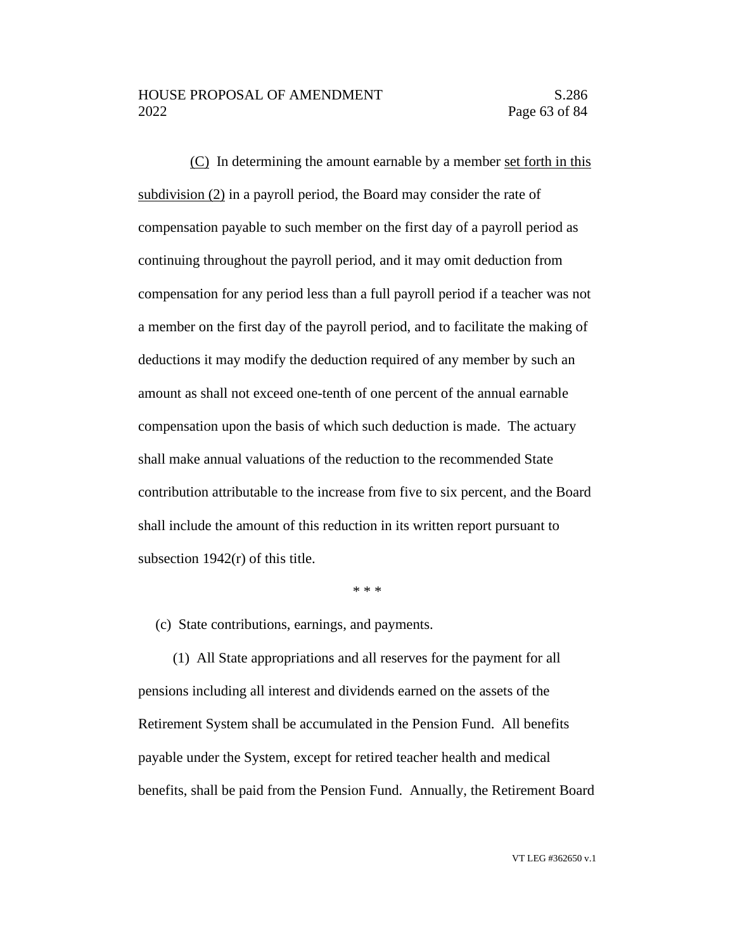(C) In determining the amount earnable by a member set forth in this subdivision (2) in a payroll period, the Board may consider the rate of compensation payable to such member on the first day of a payroll period as continuing throughout the payroll period, and it may omit deduction from compensation for any period less than a full payroll period if a teacher was not a member on the first day of the payroll period, and to facilitate the making of deductions it may modify the deduction required of any member by such an amount as shall not exceed one-tenth of one percent of the annual earnable compensation upon the basis of which such deduction is made. The actuary shall make annual valuations of the reduction to the recommended State contribution attributable to the increase from five to six percent, and the Board shall include the amount of this reduction in its written report pursuant to subsection 1942(r) of this title.

\* \* \*

(c) State contributions, earnings, and payments.

(1) All State appropriations and all reserves for the payment for all pensions including all interest and dividends earned on the assets of the Retirement System shall be accumulated in the Pension Fund. All benefits payable under the System, except for retired teacher health and medical benefits, shall be paid from the Pension Fund. Annually, the Retirement Board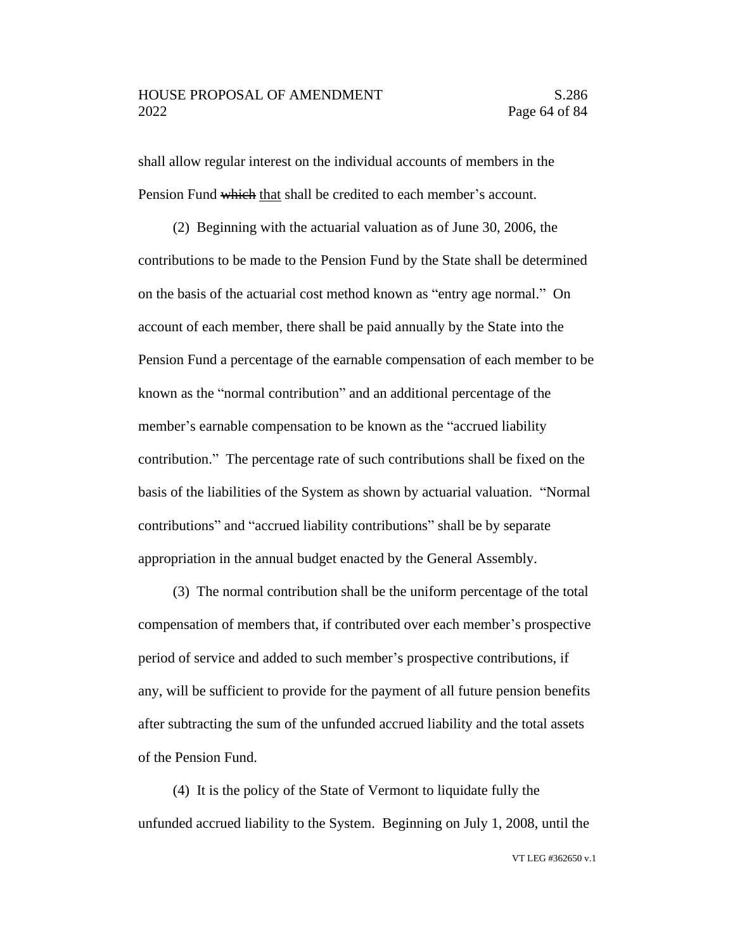shall allow regular interest on the individual accounts of members in the Pension Fund which that shall be credited to each member's account.

(2) Beginning with the actuarial valuation as of June 30, 2006, the contributions to be made to the Pension Fund by the State shall be determined on the basis of the actuarial cost method known as "entry age normal." On account of each member, there shall be paid annually by the State into the Pension Fund a percentage of the earnable compensation of each member to be known as the "normal contribution" and an additional percentage of the member's earnable compensation to be known as the "accrued liability contribution." The percentage rate of such contributions shall be fixed on the basis of the liabilities of the System as shown by actuarial valuation. "Normal contributions" and "accrued liability contributions" shall be by separate appropriation in the annual budget enacted by the General Assembly.

(3) The normal contribution shall be the uniform percentage of the total compensation of members that, if contributed over each member's prospective period of service and added to such member's prospective contributions, if any, will be sufficient to provide for the payment of all future pension benefits after subtracting the sum of the unfunded accrued liability and the total assets of the Pension Fund.

(4) It is the policy of the State of Vermont to liquidate fully the unfunded accrued liability to the System. Beginning on July 1, 2008, until the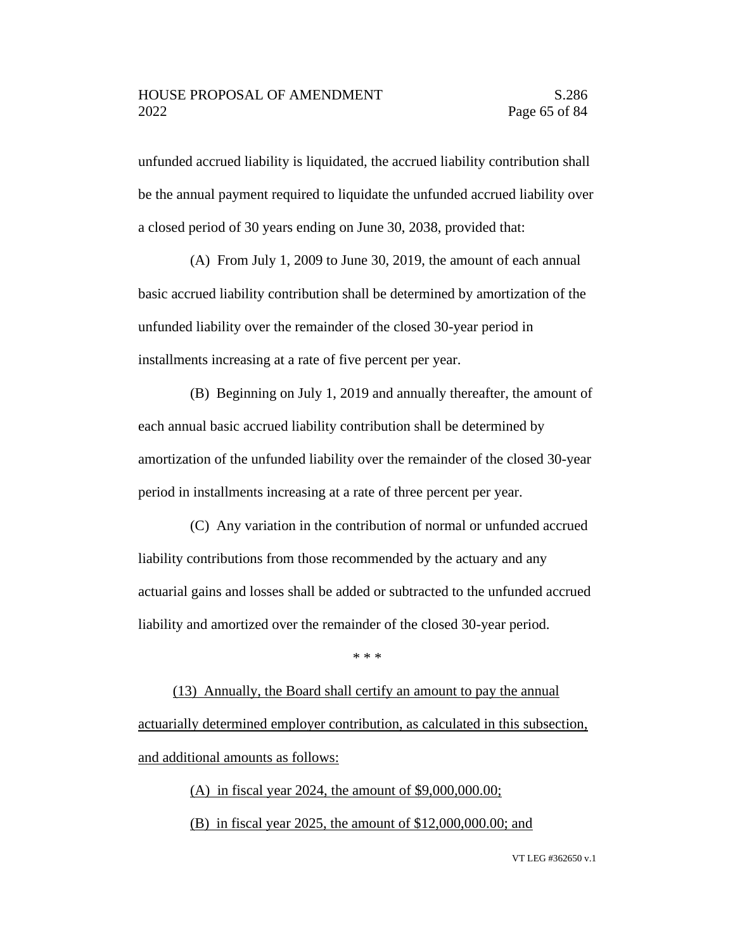unfunded accrued liability is liquidated, the accrued liability contribution shall be the annual payment required to liquidate the unfunded accrued liability over a closed period of 30 years ending on June 30, 2038, provided that:

(A) From July 1, 2009 to June 30, 2019, the amount of each annual basic accrued liability contribution shall be determined by amortization of the unfunded liability over the remainder of the closed 30-year period in installments increasing at a rate of five percent per year.

(B) Beginning on July 1, 2019 and annually thereafter, the amount of each annual basic accrued liability contribution shall be determined by amortization of the unfunded liability over the remainder of the closed 30-year period in installments increasing at a rate of three percent per year.

(C) Any variation in the contribution of normal or unfunded accrued liability contributions from those recommended by the actuary and any actuarial gains and losses shall be added or subtracted to the unfunded accrued liability and amortized over the remainder of the closed 30-year period.

\* \* \*

(13) Annually, the Board shall certify an amount to pay the annual actuarially determined employer contribution, as calculated in this subsection, and additional amounts as follows:

> (A) in fiscal year 2024, the amount of \$9,000,000.00; (B) in fiscal year 2025, the amount of \$12,000,000.00; and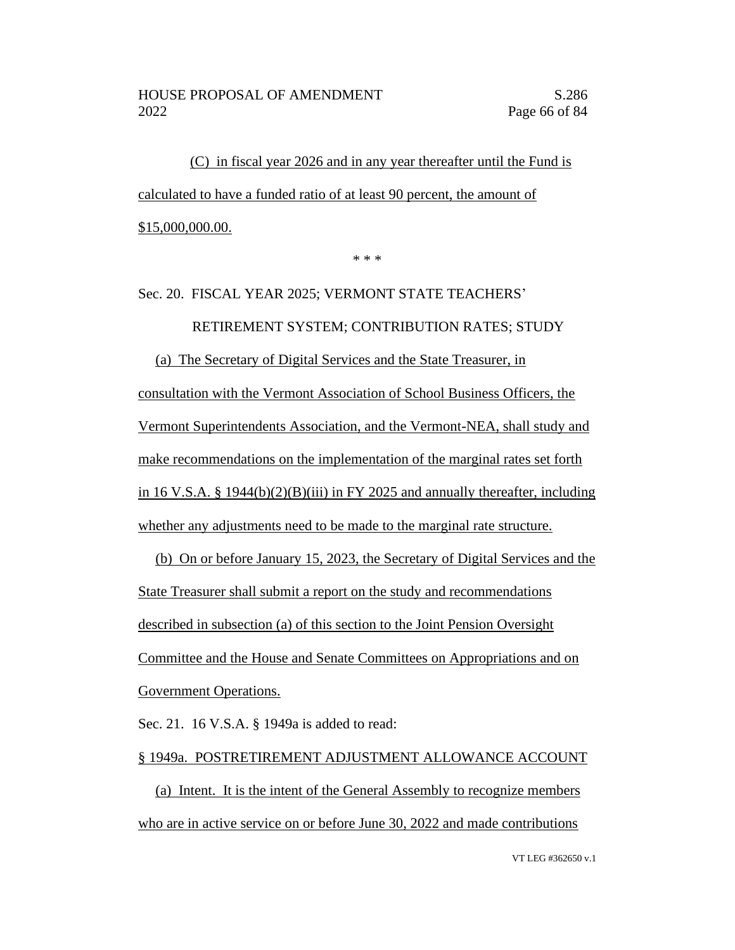(C) in fiscal year 2026 and in any year thereafter until the Fund is calculated to have a funded ratio of at least 90 percent, the amount of \$15,000,000.00.

\* \* \*

# Sec. 20. FISCAL YEAR 2025; VERMONT STATE TEACHERS' RETIREMENT SYSTEM; CONTRIBUTION RATES; STUDY (a) The Secretary of Digital Services and the State Treasurer, in consultation with the Vermont Association of School Business Officers, the Vermont Superintendents Association, and the Vermont-NEA, shall study and make recommendations on the implementation of the marginal rates set forth in 16 V.S.A. § 1944(b)(2)(B)(iii) in FY 2025 and annually thereafter, including whether any adjustments need to be made to the marginal rate structure.

(b) On or before January 15, 2023, the Secretary of Digital Services and the State Treasurer shall submit a report on the study and recommendations described in subsection (a) of this section to the Joint Pension Oversight Committee and the House and Senate Committees on Appropriations and on Government Operations.

Sec. 21. 16 V.S.A. § 1949a is added to read:

#### § 1949a. POSTRETIREMENT ADJUSTMENT ALLOWANCE ACCOUNT

(a) Intent. It is the intent of the General Assembly to recognize members who are in active service on or before June 30, 2022 and made contributions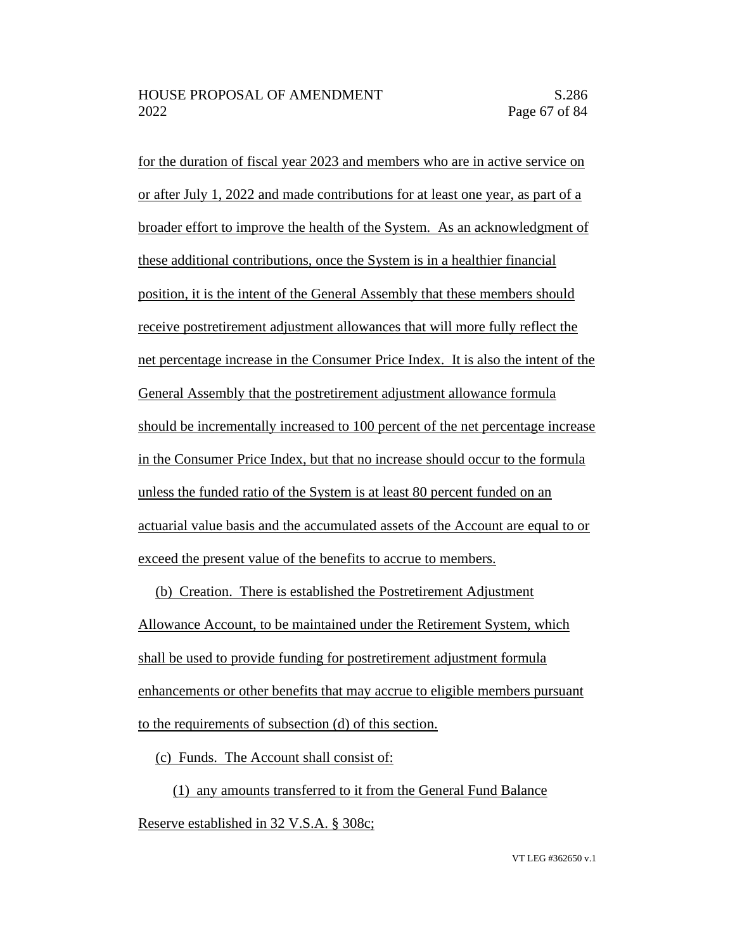for the duration of fiscal year 2023 and members who are in active service on or after July 1, 2022 and made contributions for at least one year, as part of a broader effort to improve the health of the System. As an acknowledgment of these additional contributions, once the System is in a healthier financial position, it is the intent of the General Assembly that these members should receive postretirement adjustment allowances that will more fully reflect the net percentage increase in the Consumer Price Index. It is also the intent of the General Assembly that the postretirement adjustment allowance formula should be incrementally increased to 100 percent of the net percentage increase in the Consumer Price Index, but that no increase should occur to the formula unless the funded ratio of the System is at least 80 percent funded on an actuarial value basis and the accumulated assets of the Account are equal to or exceed the present value of the benefits to accrue to members.

(b) Creation. There is established the Postretirement Adjustment Allowance Account, to be maintained under the Retirement System, which shall be used to provide funding for postretirement adjustment formula enhancements or other benefits that may accrue to eligible members pursuant to the requirements of subsection (d) of this section.

(c) Funds. The Account shall consist of:

(1) any amounts transferred to it from the General Fund Balance Reserve established in 32 V.S.A. § 308c;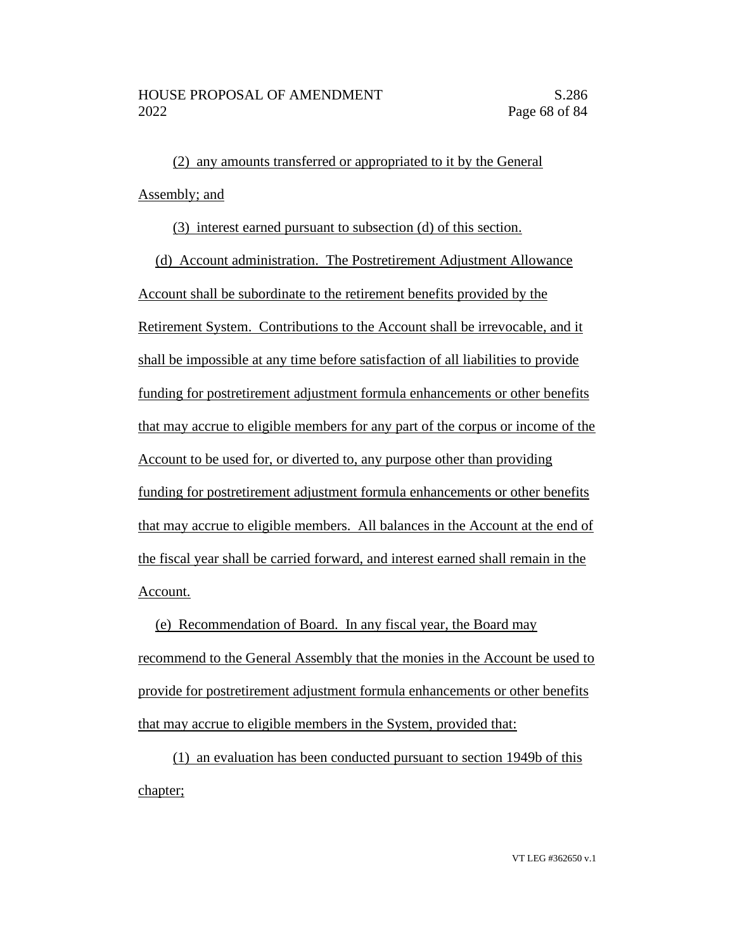(2) any amounts transferred or appropriated to it by the General Assembly; and

(3) interest earned pursuant to subsection (d) of this section.

(d) Account administration. The Postretirement Adjustment Allowance Account shall be subordinate to the retirement benefits provided by the Retirement System. Contributions to the Account shall be irrevocable, and it shall be impossible at any time before satisfaction of all liabilities to provide funding for postretirement adjustment formula enhancements or other benefits that may accrue to eligible members for any part of the corpus or income of the Account to be used for, or diverted to, any purpose other than providing funding for postretirement adjustment formula enhancements or other benefits that may accrue to eligible members. All balances in the Account at the end of the fiscal year shall be carried forward, and interest earned shall remain in the Account.

(e) Recommendation of Board. In any fiscal year, the Board may recommend to the General Assembly that the monies in the Account be used to provide for postretirement adjustment formula enhancements or other benefits that may accrue to eligible members in the System, provided that:

(1) an evaluation has been conducted pursuant to section 1949b of this chapter;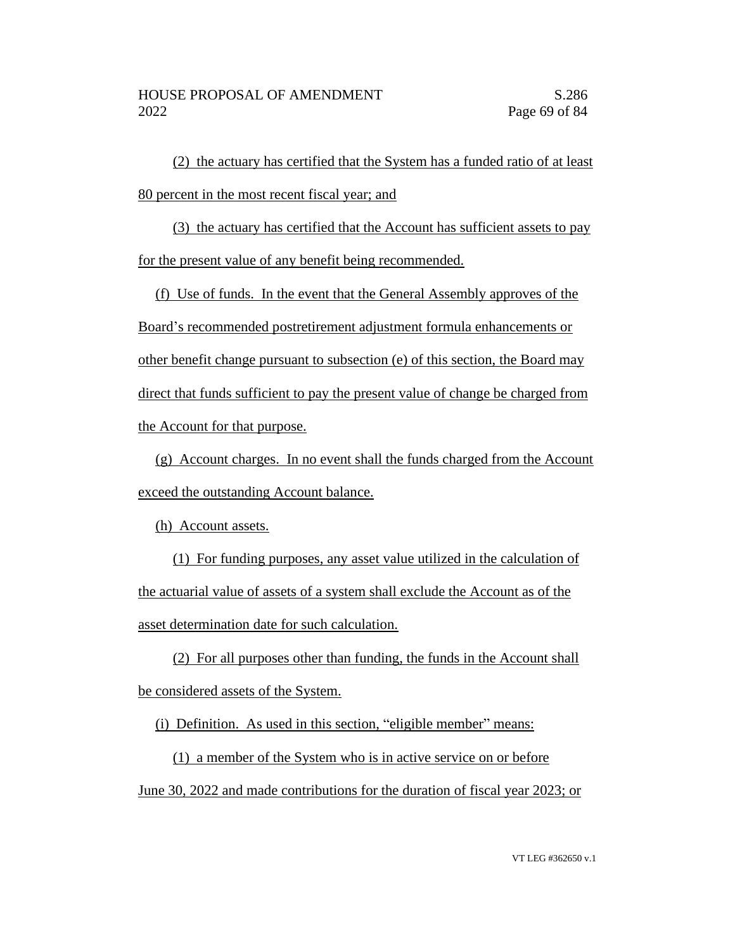(2) the actuary has certified that the System has a funded ratio of at least 80 percent in the most recent fiscal year; and

(3) the actuary has certified that the Account has sufficient assets to pay for the present value of any benefit being recommended.

(f) Use of funds. In the event that the General Assembly approves of the Board's recommended postretirement adjustment formula enhancements or other benefit change pursuant to subsection (e) of this section, the Board may direct that funds sufficient to pay the present value of change be charged from the Account for that purpose.

(g) Account charges. In no event shall the funds charged from the Account exceed the outstanding Account balance.

(h) Account assets.

(1) For funding purposes, any asset value utilized in the calculation of the actuarial value of assets of a system shall exclude the Account as of the asset determination date for such calculation.

(2) For all purposes other than funding, the funds in the Account shall be considered assets of the System.

(i) Definition. As used in this section, "eligible member" means:

(1) a member of the System who is in active service on or before June 30, 2022 and made contributions for the duration of fiscal year 2023; or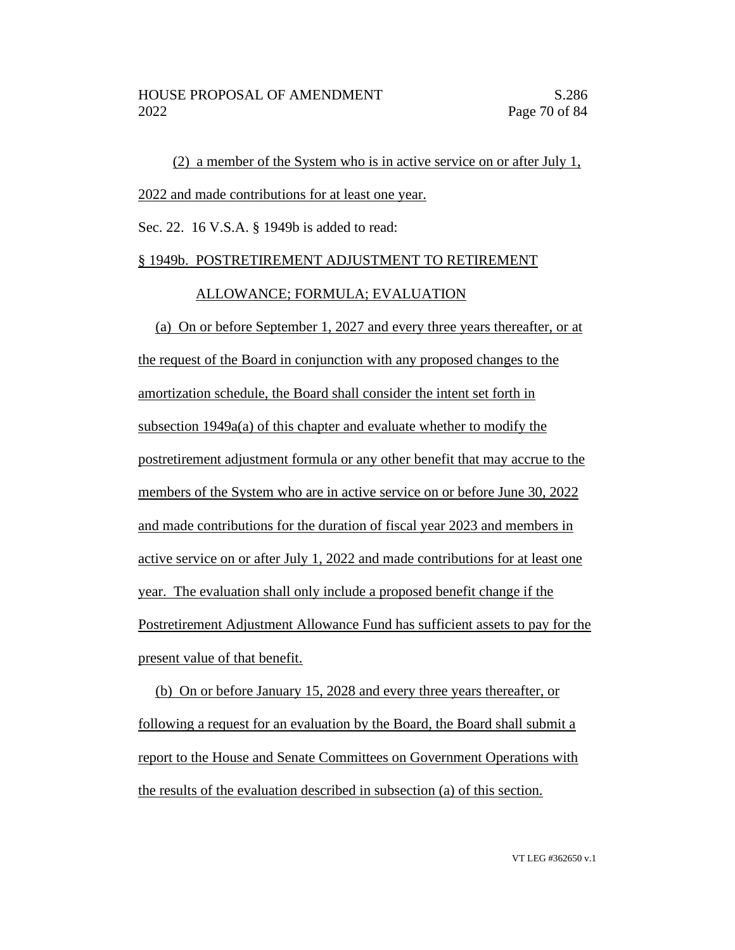(2) a member of the System who is in active service on or after July 1, 2022 and made contributions for at least one year.

Sec. 22. 16 V.S.A. § 1949b is added to read:

#### § 1949b. POSTRETIREMENT ADJUSTMENT TO RETIREMENT

#### ALLOWANCE; FORMULA; EVALUATION

(a) On or before September 1, 2027 and every three years thereafter, or at the request of the Board in conjunction with any proposed changes to the amortization schedule, the Board shall consider the intent set forth in subsection 1949a(a) of this chapter and evaluate whether to modify the postretirement adjustment formula or any other benefit that may accrue to the members of the System who are in active service on or before June 30, 2022 and made contributions for the duration of fiscal year 2023 and members in active service on or after July 1, 2022 and made contributions for at least one year. The evaluation shall only include a proposed benefit change if the Postretirement Adjustment Allowance Fund has sufficient assets to pay for the present value of that benefit.

(b) On or before January 15, 2028 and every three years thereafter, or following a request for an evaluation by the Board, the Board shall submit a report to the House and Senate Committees on Government Operations with the results of the evaluation described in subsection (a) of this section.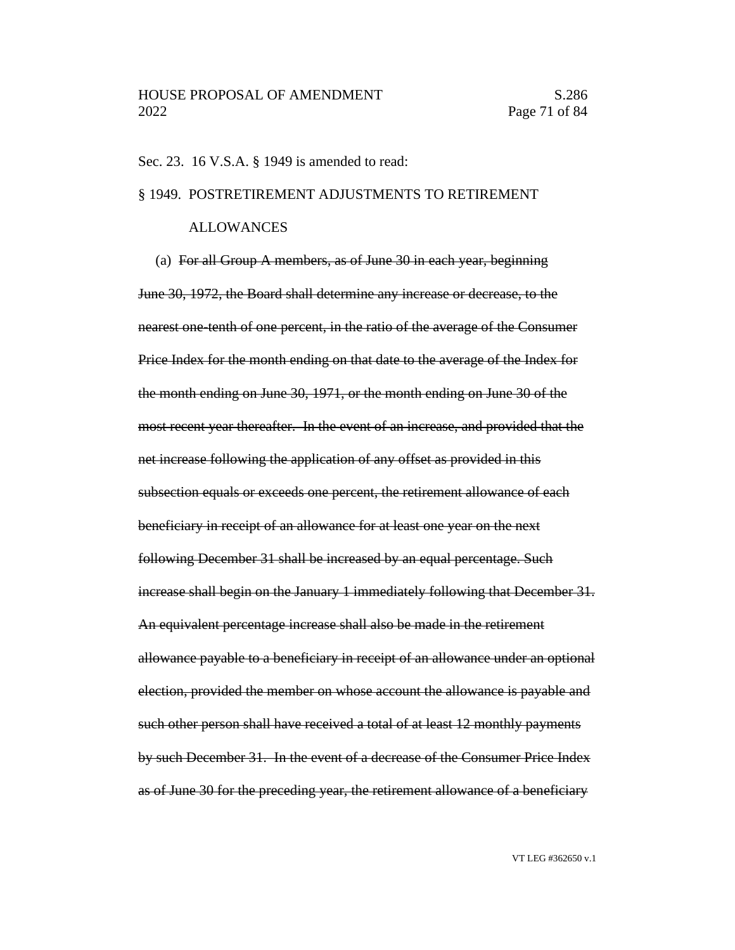#### Sec. 23. 16 V.S.A. § 1949 is amended to read:

#### § 1949. POSTRETIREMENT ADJUSTMENTS TO RETIREMENT

#### ALLOWANCES

(a) For all Group A members, as of June 30 in each year, beginning June 30, 1972, the Board shall determine any increase or decrease, to the nearest one-tenth of one percent, in the ratio of the average of the Consumer Price Index for the month ending on that date to the average of the Index for the month ending on June 30, 1971, or the month ending on June 30 of the most recent year thereafter. In the event of an increase, and provided that the net increase following the application of any offset as provided in this subsection equals or exceeds one percent, the retirement allowance of each beneficiary in receipt of an allowance for at least one year on the next following December 31 shall be increased by an equal percentage. Such increase shall begin on the January 1 immediately following that December 31. An equivalent percentage increase shall also be made in the retirement allowance payable to a beneficiary in receipt of an allowance under an optional election, provided the member on whose account the allowance is payable and such other person shall have received a total of at least 12 monthly payments by such December 31. In the event of a decrease of the Consumer Price Index as of June 30 for the preceding year, the retirement allowance of a beneficiary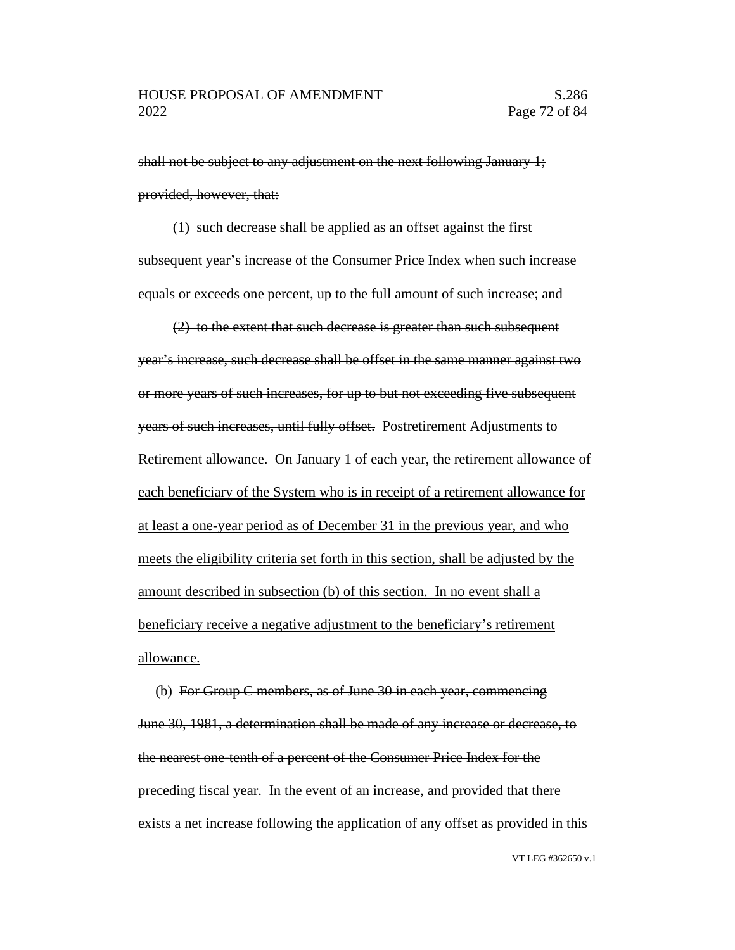shall not be subject to any adjustment on the next following January 1; provided, however, that:

(1) such decrease shall be applied as an offset against the first subsequent year's increase of the Consumer Price Index when such increase equals or exceeds one percent, up to the full amount of such increase; and

(2) to the extent that such decrease is greater than such subsequent year's increase, such decrease shall be offset in the same manner against two or more years of such increases, for up to but not exceeding five subsequent years of such increases, until fully offset. Postretirement Adjustments to Retirement allowance. On January 1 of each year, the retirement allowance of each beneficiary of the System who is in receipt of a retirement allowance for at least a one-year period as of December 31 in the previous year, and who meets the eligibility criteria set forth in this section, shall be adjusted by the amount described in subsection (b) of this section. In no event shall a beneficiary receive a negative adjustment to the beneficiary's retirement allowance.

(b) For Group C members, as of June 30 in each year, commencing June 30, 1981, a determination shall be made of any increase or decrease, to the nearest one-tenth of a percent of the Consumer Price Index for the preceding fiscal year. In the event of an increase, and provided that there exists a net increase following the application of any offset as provided in this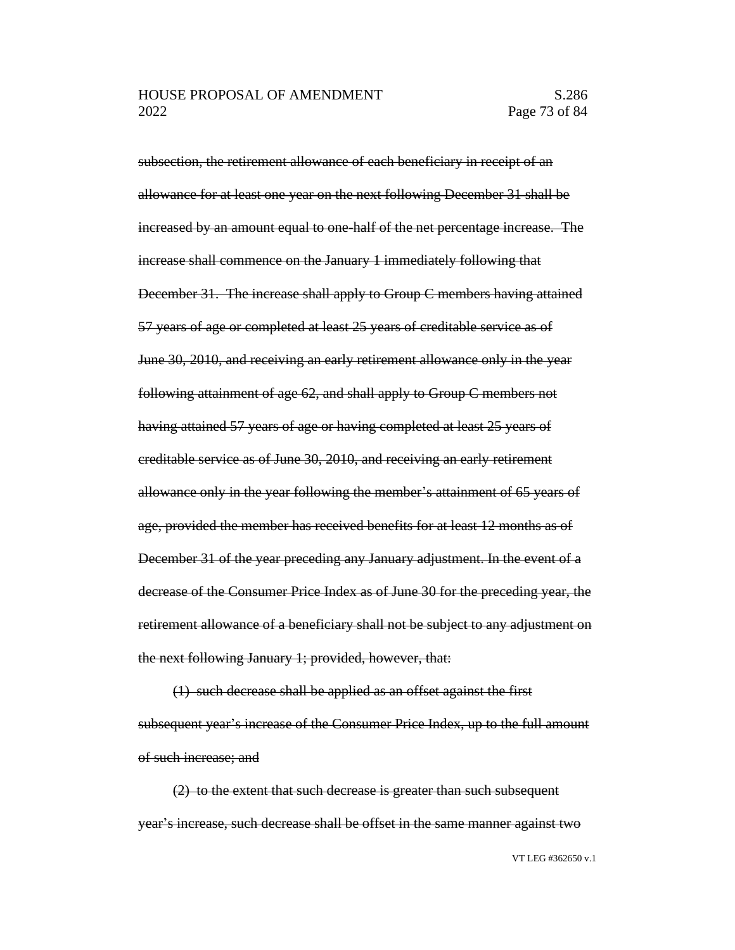subsection, the retirement allowance of each beneficiary in receipt of an allowance for at least one year on the next following December 31 shall be increased by an amount equal to one-half of the net percentage increase. The increase shall commence on the January 1 immediately following that December 31. The increase shall apply to Group C members having attained 57 years of age or completed at least 25 years of creditable service as of June 30, 2010, and receiving an early retirement allowance only in the year following attainment of age 62, and shall apply to Group C members not having attained 57 years of age or having completed at least 25 years of creditable service as of June 30, 2010, and receiving an early retirement allowance only in the year following the member's attainment of 65 years of age, provided the member has received benefits for at least 12 months as of December 31 of the year preceding any January adjustment. In the event of a decrease of the Consumer Price Index as of June 30 for the preceding year, the retirement allowance of a beneficiary shall not be subject to any adjustment on the next following January 1; provided, however, that:

(1) such decrease shall be applied as an offset against the first subsequent year's increase of the Consumer Price Index, up to the full amount of such increase; and

(2) to the extent that such decrease is greater than such subsequent year's increase, such decrease shall be offset in the same manner against two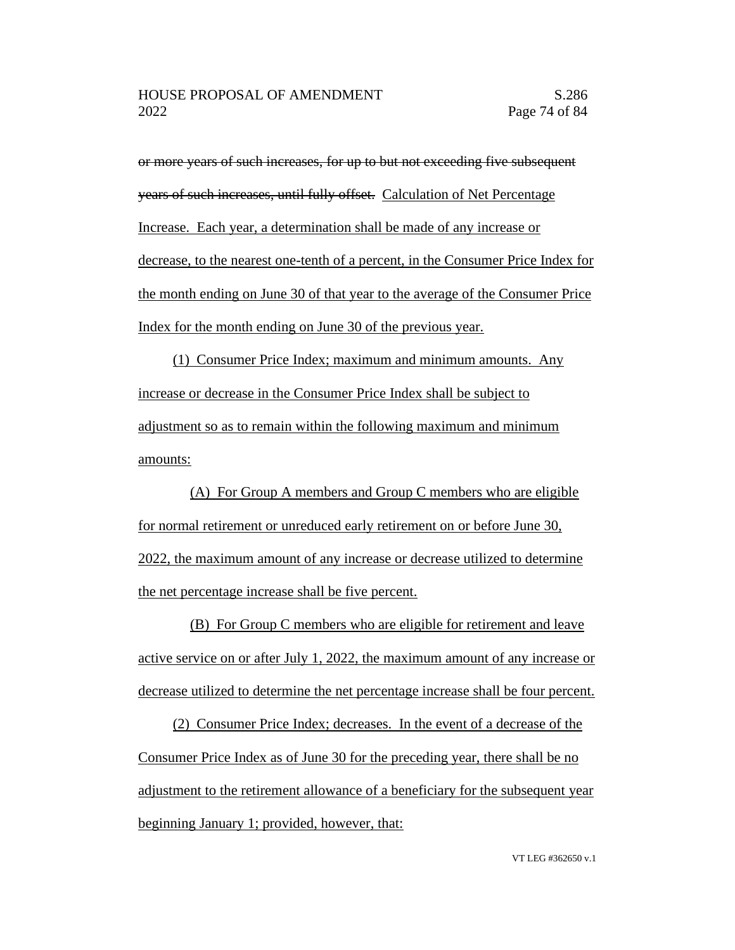or more years of such increases, for up to but not exceeding five subsequent years of such increases, until fully offset. Calculation of Net Percentage Increase. Each year, a determination shall be made of any increase or decrease, to the nearest one-tenth of a percent, in the Consumer Price Index for the month ending on June 30 of that year to the average of the Consumer Price Index for the month ending on June 30 of the previous year.

(1) Consumer Price Index; maximum and minimum amounts. Any increase or decrease in the Consumer Price Index shall be subject to adjustment so as to remain within the following maximum and minimum amounts:

(A) For Group A members and Group C members who are eligible for normal retirement or unreduced early retirement on or before June 30, 2022, the maximum amount of any increase or decrease utilized to determine the net percentage increase shall be five percent.

(B) For Group C members who are eligible for retirement and leave active service on or after July 1, 2022, the maximum amount of any increase or decrease utilized to determine the net percentage increase shall be four percent.

(2) Consumer Price Index; decreases. In the event of a decrease of the Consumer Price Index as of June 30 for the preceding year, there shall be no adjustment to the retirement allowance of a beneficiary for the subsequent year beginning January 1; provided, however, that: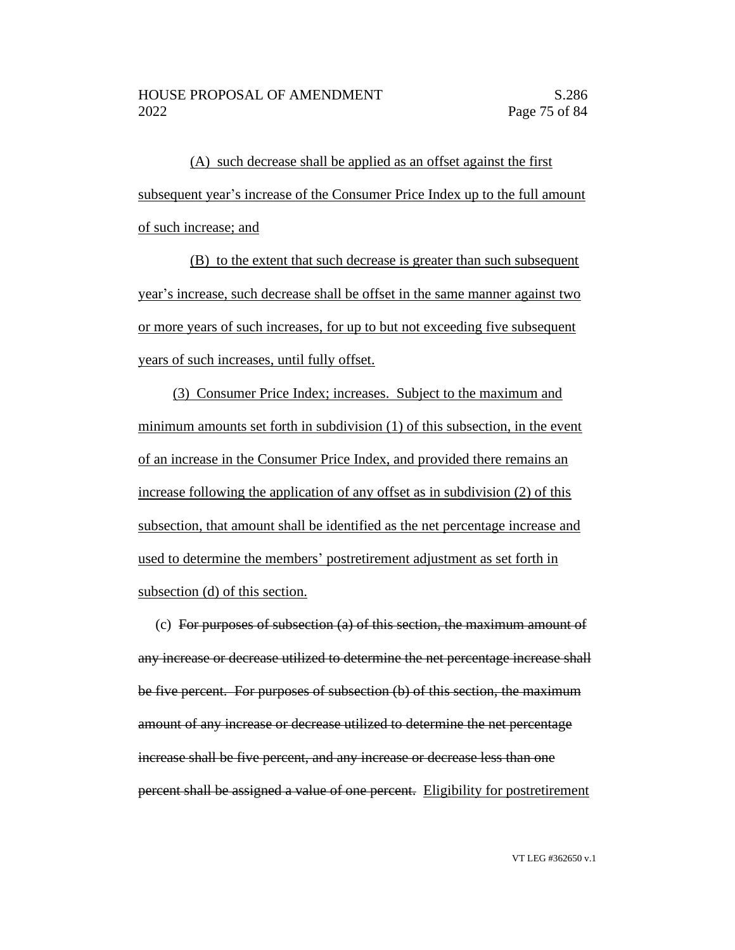(A) such decrease shall be applied as an offset against the first subsequent year's increase of the Consumer Price Index up to the full amount of such increase; and

(B) to the extent that such decrease is greater than such subsequent year's increase, such decrease shall be offset in the same manner against two or more years of such increases, for up to but not exceeding five subsequent years of such increases, until fully offset.

(3) Consumer Price Index; increases. Subject to the maximum and minimum amounts set forth in subdivision (1) of this subsection, in the event of an increase in the Consumer Price Index, and provided there remains an increase following the application of any offset as in subdivision (2) of this subsection, that amount shall be identified as the net percentage increase and used to determine the members' postretirement adjustment as set forth in subsection (d) of this section.

(c) For purposes of subsection (a) of this section, the maximum amount of any increase or decrease utilized to determine the net percentage increase shall be five percent. For purposes of subsection (b) of this section, the maximum amount of any increase or decrease utilized to determine the net percentage increase shall be five percent, and any increase or decrease less than one percent shall be assigned a value of one percent. Eligibility for postretirement

VT LEG #362650 v.1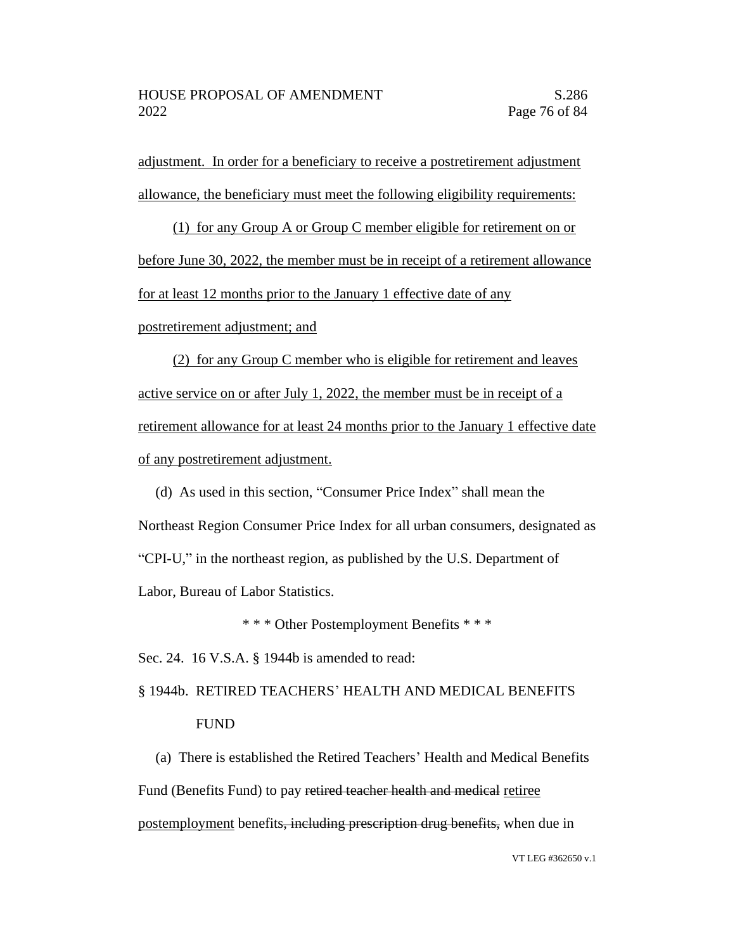adjustment. In order for a beneficiary to receive a postretirement adjustment allowance, the beneficiary must meet the following eligibility requirements:

(1) for any Group A or Group C member eligible for retirement on or before June 30, 2022, the member must be in receipt of a retirement allowance for at least 12 months prior to the January 1 effective date of any

postretirement adjustment; and

(2) for any Group C member who is eligible for retirement and leaves active service on or after July 1, 2022, the member must be in receipt of a retirement allowance for at least 24 months prior to the January 1 effective date of any postretirement adjustment.

(d) As used in this section, "Consumer Price Index" shall mean the Northeast Region Consumer Price Index for all urban consumers, designated as "CPI-U," in the northeast region, as published by the U.S. Department of Labor, Bureau of Labor Statistics.

\* \* \* Other Postemployment Benefits \* \* \*

Sec. 24. 16 V.S.A. § 1944b is amended to read:

## § 1944b. RETIRED TEACHERS' HEALTH AND MEDICAL BENEFITS FUND

(a) There is established the Retired Teachers' Health and Medical Benefits Fund (Benefits Fund) to pay retired teacher health and medical retiree postemployment benefits, including prescription drug benefits, when due in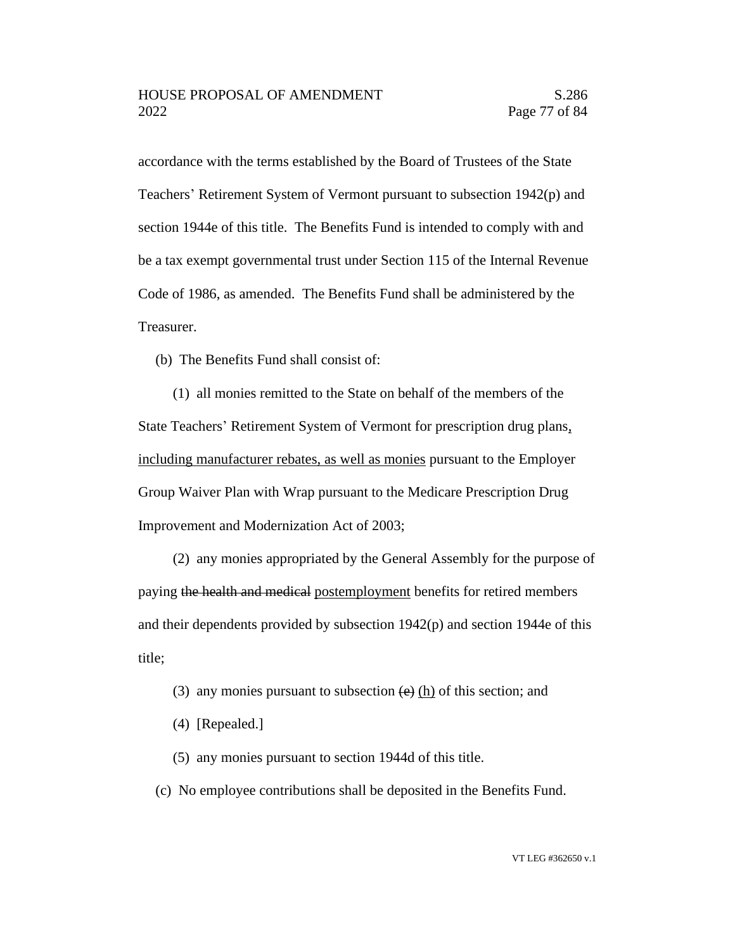accordance with the terms established by the Board of Trustees of the State Teachers' Retirement System of Vermont pursuant to subsection 1942(p) and section 1944e of this title. The Benefits Fund is intended to comply with and be a tax exempt governmental trust under Section 115 of the Internal Revenue Code of 1986, as amended. The Benefits Fund shall be administered by the Treasurer.

(b) The Benefits Fund shall consist of:

(1) all monies remitted to the State on behalf of the members of the State Teachers' Retirement System of Vermont for prescription drug plans, including manufacturer rebates, as well as monies pursuant to the Employer Group Waiver Plan with Wrap pursuant to the Medicare Prescription Drug Improvement and Modernization Act of 2003;

(2) any monies appropriated by the General Assembly for the purpose of paying the health and medical postemployment benefits for retired members and their dependents provided by subsection 1942(p) and section 1944e of this title;

- (3) any monies pursuant to subsection  $\left(\frac{e}{e}\right)$  (h) of this section; and
- (4) [Repealed.]
- (5) any monies pursuant to section 1944d of this title.
- (c) No employee contributions shall be deposited in the Benefits Fund.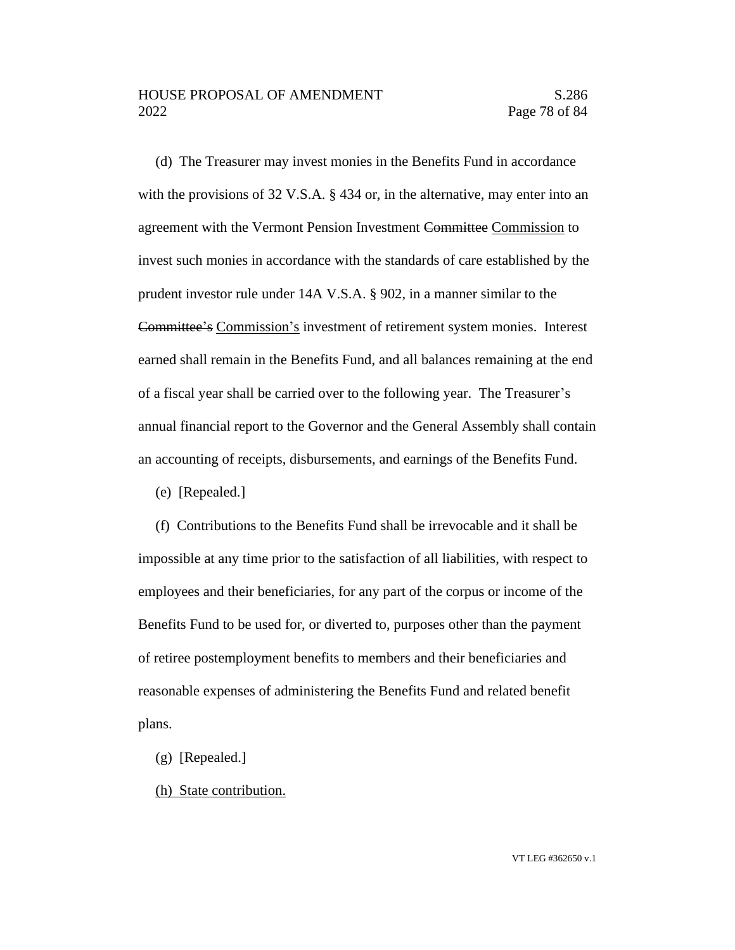(d) The Treasurer may invest monies in the Benefits Fund in accordance with the provisions of 32 V.S.A. § 434 or, in the alternative, may enter into an agreement with the Vermont Pension Investment Committee Commission to invest such monies in accordance with the standards of care established by the prudent investor rule under 14A V.S.A. § 902, in a manner similar to the Committee's Commission's investment of retirement system monies. Interest earned shall remain in the Benefits Fund, and all balances remaining at the end of a fiscal year shall be carried over to the following year. The Treasurer's annual financial report to the Governor and the General Assembly shall contain an accounting of receipts, disbursements, and earnings of the Benefits Fund.

(e) [Repealed.]

(f) Contributions to the Benefits Fund shall be irrevocable and it shall be impossible at any time prior to the satisfaction of all liabilities, with respect to employees and their beneficiaries, for any part of the corpus or income of the Benefits Fund to be used for, or diverted to, purposes other than the payment of retiree postemployment benefits to members and their beneficiaries and reasonable expenses of administering the Benefits Fund and related benefit plans.

- (g) [Repealed.]
- (h) State contribution.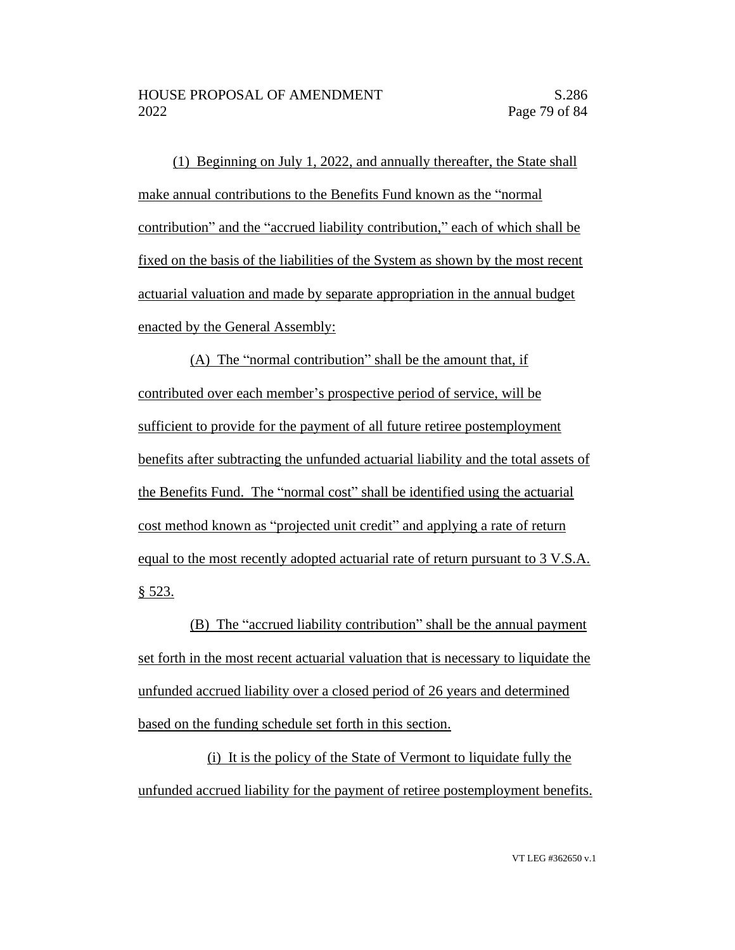(1) Beginning on July 1, 2022, and annually thereafter, the State shall make annual contributions to the Benefits Fund known as the "normal contribution" and the "accrued liability contribution," each of which shall be fixed on the basis of the liabilities of the System as shown by the most recent actuarial valuation and made by separate appropriation in the annual budget enacted by the General Assembly:

(A) The "normal contribution" shall be the amount that, if contributed over each member's prospective period of service, will be sufficient to provide for the payment of all future retiree postemployment benefits after subtracting the unfunded actuarial liability and the total assets of the Benefits Fund. The "normal cost" shall be identified using the actuarial cost method known as "projected unit credit" and applying a rate of return equal to the most recently adopted actuarial rate of return pursuant to 3 V.S.A. § 523.

(B) The "accrued liability contribution" shall be the annual payment set forth in the most recent actuarial valuation that is necessary to liquidate the unfunded accrued liability over a closed period of 26 years and determined based on the funding schedule set forth in this section.

(i) It is the policy of the State of Vermont to liquidate fully the unfunded accrued liability for the payment of retiree postemployment benefits.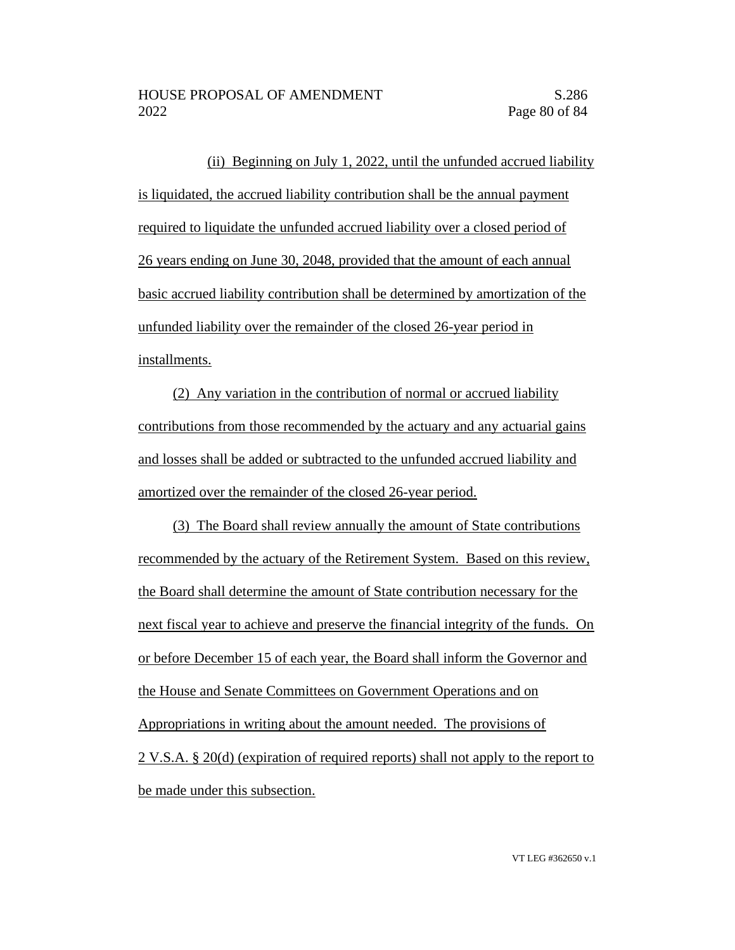(ii) Beginning on July 1, 2022, until the unfunded accrued liability is liquidated, the accrued liability contribution shall be the annual payment required to liquidate the unfunded accrued liability over a closed period of 26 years ending on June 30, 2048, provided that the amount of each annual basic accrued liability contribution shall be determined by amortization of the unfunded liability over the remainder of the closed 26-year period in installments.

(2) Any variation in the contribution of normal or accrued liability contributions from those recommended by the actuary and any actuarial gains and losses shall be added or subtracted to the unfunded accrued liability and amortized over the remainder of the closed 26-year period.

(3) The Board shall review annually the amount of State contributions recommended by the actuary of the Retirement System. Based on this review, the Board shall determine the amount of State contribution necessary for the next fiscal year to achieve and preserve the financial integrity of the funds. On or before December 15 of each year, the Board shall inform the Governor and the House and Senate Committees on Government Operations and on Appropriations in writing about the amount needed. The provisions of 2 V.S.A. § 20(d) (expiration of required reports) shall not apply to the report to be made under this subsection.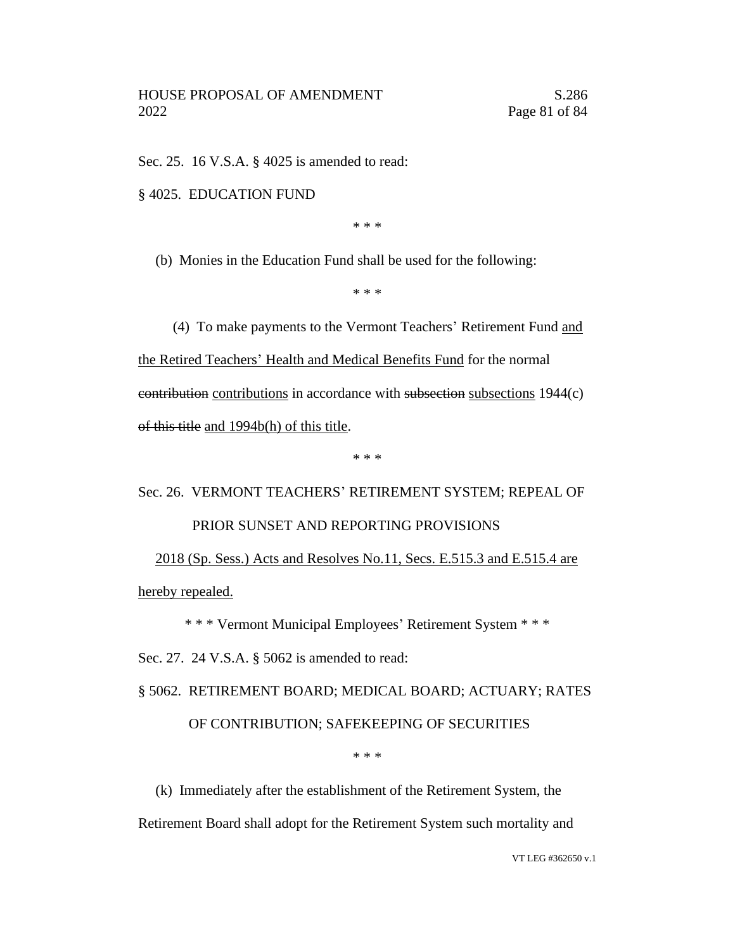Sec. 25. 16 V.S.A. § 4025 is amended to read:

§ 4025. EDUCATION FUND

\* \* \*

(b) Monies in the Education Fund shall be used for the following:

\* \* \*

(4) To make payments to the Vermont Teachers' Retirement Fund and the Retired Teachers' Health and Medical Benefits Fund for the normal contribution contributions in accordance with subsection subsections 1944(c) of this title and 1994b(h) of this title.

\* \* \*

## Sec. 26. VERMONT TEACHERS' RETIREMENT SYSTEM; REPEAL OF PRIOR SUNSET AND REPORTING PROVISIONS

2018 (Sp. Sess.) Acts and Resolves No.11, Secs. E.515.3 and E.515.4 are hereby repealed.

\* \* \* Vermont Municipal Employees' Retirement System \* \* \*

Sec. 27. 24 V.S.A. § 5062 is amended to read:

§ 5062. RETIREMENT BOARD; MEDICAL BOARD; ACTUARY; RATES OF CONTRIBUTION; SAFEKEEPING OF SECURITIES

\* \* \*

(k) Immediately after the establishment of the Retirement System, the

Retirement Board shall adopt for the Retirement System such mortality and

VT LEG #362650 v.1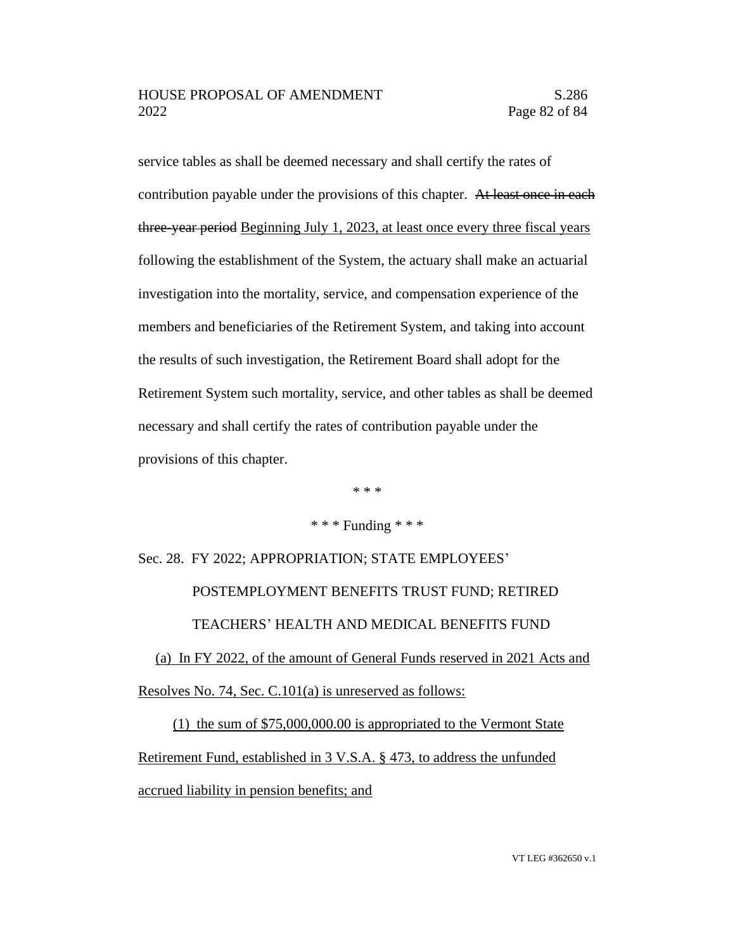service tables as shall be deemed necessary and shall certify the rates of contribution payable under the provisions of this chapter. At least once in each three-year period Beginning July 1, 2023, at least once every three fiscal years following the establishment of the System, the actuary shall make an actuarial investigation into the mortality, service, and compensation experience of the members and beneficiaries of the Retirement System, and taking into account the results of such investigation, the Retirement Board shall adopt for the Retirement System such mortality, service, and other tables as shall be deemed necessary and shall certify the rates of contribution payable under the provisions of this chapter.

\* \* \*

## \* \* \* Funding \* \* \*

Sec. 28. FY 2022; APPROPRIATION; STATE EMPLOYEES' POSTEMPLOYMENT BENEFITS TRUST FUND; RETIRED TEACHERS' HEALTH AND MEDICAL BENEFITS FUND

(a) In FY 2022, of the amount of General Funds reserved in 2021 Acts and Resolves No. 74, Sec. C.101(a) is unreserved as follows:

(1) the sum of \$75,000,000.00 is appropriated to the Vermont State Retirement Fund, established in 3 V.S.A. § 473, to address the unfunded accrued liability in pension benefits; and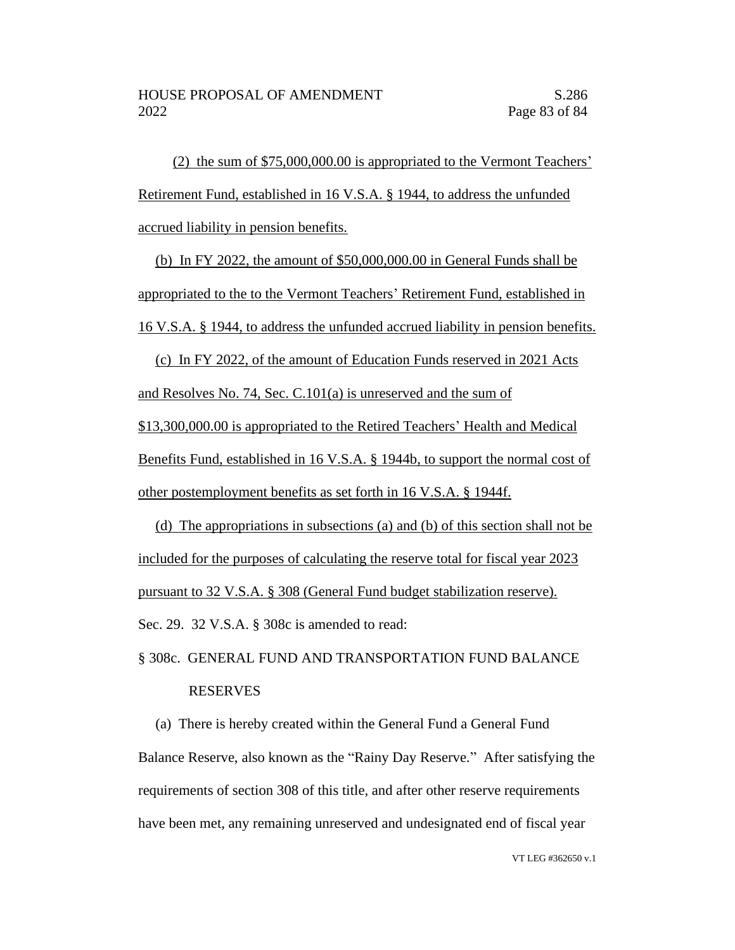(2) the sum of \$75,000,000.00 is appropriated to the Vermont Teachers' Retirement Fund, established in 16 V.S.A. § 1944, to address the unfunded accrued liability in pension benefits.

(b) In FY 2022, the amount of \$50,000,000.00 in General Funds shall be appropriated to the to the Vermont Teachers' Retirement Fund, established in 16 V.S.A. § 1944, to address the unfunded accrued liability in pension benefits.

(c) In FY 2022, of the amount of Education Funds reserved in 2021 Acts and Resolves No. 74, Sec. C.101(a) is unreserved and the sum of \$13,300,000.00 is appropriated to the Retired Teachers' Health and Medical Benefits Fund, established in 16 V.S.A. § 1944b, to support the normal cost of other postemployment benefits as set forth in 16 V.S.A. § 1944f.

(d) The appropriations in subsections (a) and (b) of this section shall not be included for the purposes of calculating the reserve total for fiscal year 2023 pursuant to 32 V.S.A. § 308 (General Fund budget stabilization reserve). Sec. 29. 32 V.S.A. § 308c is amended to read:

## § 308c. GENERAL FUND AND TRANSPORTATION FUND BALANCE RESERVES

(a) There is hereby created within the General Fund a General Fund Balance Reserve, also known as the "Rainy Day Reserve." After satisfying the requirements of section 308 of this title, and after other reserve requirements have been met, any remaining unreserved and undesignated end of fiscal year